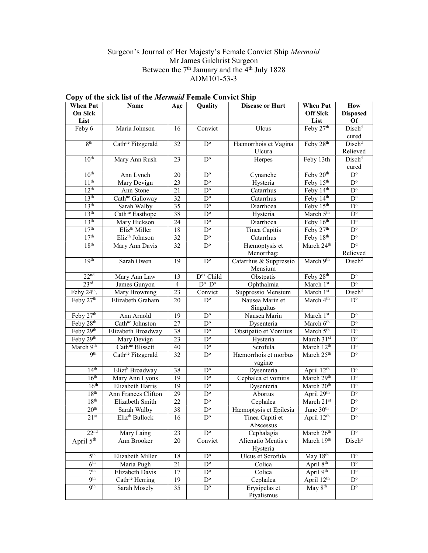### Surgeon's Journal of Her Majesty's Female Convict Ship Mermaid Mr James Gilchrist Surgeon Between the 7<sup>th</sup> January and the 4<sup>th</sup> July 1828 ADM101-53-3

| <b>When Put</b>       | <b>Name</b>                                       | Age             | Quality                 | <b>Disease or Hurt</b>              | <b>When Put</b>        | How                            |
|-----------------------|---------------------------------------------------|-----------------|-------------------------|-------------------------------------|------------------------|--------------------------------|
| <b>On Sick</b>        |                                                   |                 |                         | <b>Off Sick</b>                     | <b>Disposed</b>        |                                |
| List                  |                                                   |                 |                         |                                     | List                   | <b>Of</b>                      |
| Feby 6                | Maria Johnson                                     | 16              | Convict                 | Ulcus                               | Feby 27th              | Disch <sup>d</sup><br>cured    |
| 8 <sup>th</sup>       | Cath <sup>ne</sup> Fitzgerald                     | 32              | $D^{\circ}$             | Hæmorrhois et Vagina<br>Ulcura      | Feby 28th              | Disch <sup>d</sup><br>Relieved |
| 10 <sup>th</sup>      | Mary Ann Rush                                     | 23              | $\mathbf{D}^{\text{o}}$ | Herpes                              | Feby 13th              | Disch <sup>d</sup>             |
|                       |                                                   |                 |                         |                                     |                        | cured                          |
| 10 <sup>th</sup>      | Ann Lynch                                         | 20              | $\overline{D^{\circ}}$  | Cynanche                            | Feby 20 <sup>th</sup>  | $\overline{D^{\circ}}$         |
| 11 <sup>th</sup>      | Mary Devign                                       | 23              | $\mathbf{D}^{\text{o}}$ | Hysteria                            | Feby 15th              | $\mathbf{D}^{\text{o}}$        |
| 12 <sup>th</sup>      | Ann Stone                                         | 21              | $\mathbf{D}^{\text{o}}$ | Catarrhus                           | Feby 14th              | $\mathbf{D}^{\text{o}}$        |
| 13 <sup>th</sup>      | Cath <sup>ne</sup> Galloway                       | 32              | $\mathbf{D}^{\text{o}}$ | Catarrhus                           | Feby 14th              | $\mathbf{D}^{\text{o}}$        |
| 13 <sup>th</sup>      | Sarah Walby                                       | 35              | $\mathbf{D}^{\text{o}}$ | Diarrhoea                           | Feby 15th              | $\mathbf{D}^{\text{o}}$        |
| 13 <sup>th</sup>      | Cath <sup>ne</sup> Easthope                       | 38              | $\overline{D^{\circ}}$  | Hysteria                            | March 5 <sup>th</sup>  | $\mathbf{D}^{\text{o}}$        |
| 13 <sup>th</sup>      | Mary Hickson                                      | $\overline{24}$ | $D^{\circ}$             | Diarrhoea                           | Feby 16th              | $D^{\circ}$                    |
| 17 <sup>th</sup>      | Eliz <sup>th</sup> Miller                         | 18              | $D^{\circ}$             | Tinea Capitis                       | Feby 27th              | $D^{\circ}$                    |
| 17 <sup>th</sup>      | Eliz <sup>th</sup> Johnson                        | 32              | $D^{\circ}$             | Catarrhus                           | Feby 18th              | $\mathbf{D}^{\text{o}}$        |
| 18 <sup>th</sup>      | Mary Ann Davis                                    | 32              | $\overline{D^{\circ}}$  | Hæmoptysis et                       | March 24 <sup>th</sup> | D <sup>d</sup>                 |
|                       |                                                   |                 |                         | Menorrhag:                          |                        | Relieved                       |
| 19 <sup>th</sup>      | Sarah Owen                                        | 19              | $\mathbf{D}^{\text{o}}$ | Catarrhus & Suppressio              | March 9th              | Disch <sup>d</sup>             |
|                       |                                                   |                 |                         | Mensium                             |                        |                                |
| 22 <sup>nd</sup>      | Mary Ann Law                                      | 13              | D <sup>os</sup> Child   | Obstpatis                           | Feby 28 <sup>th</sup>  | $\overline{D^{\circ}}$         |
| 23 <sup>rd</sup>      | James Gunyon                                      | $\overline{4}$  | $D^o$ $D^o$             | Ophthalmia                          | March 1st              | $D^{\circ}$                    |
| Feby 24th.            | Mary Browning                                     | $\overline{23}$ | Convict                 | Suppressio Mensium                  | March 1st              | Disch <sup>d</sup>             |
| Feby 27th             | Elizabeth Graham                                  | 20              | $D^{\circ}$             | Nausea Marin et                     | March 4 <sup>th</sup>  | $\overline{D}^{\circ}$         |
| Feby 27th             |                                                   |                 | $\mathbf{D}^{\text{o}}$ | Singultus<br>Nausea Marin           | March 1st              | $D^{\circ}$                    |
| Feby 28th             | Ann Arnold                                        | 19<br>$27\,$    | $\mathbf{D}^{\text{o}}$ |                                     | March 6 <sup>th</sup>  | $\mathbf{D}^{\text{o}}$        |
| Feby 29th             | Cath <sup>ne</sup> Johnston<br>Elizabeth Broadway | 38              | $\mathbf{D}^{\text{o}}$ | Dysenteria<br>Obstipatio et Vomitus | March 5 <sup>th</sup>  | $D^{\circ}$                    |
| Feby 29th             | Mary Devign                                       | 23              | $D^{\circ}$             |                                     | March 31st             | $\mathbf{D}^{\text{o}}$        |
| March 9th             | Cath <sup>ne</sup> Blissett                       | 40              | $\mathbf{D}^{\text{o}}$ | Hysteria<br>Scrofula                | March 12 <sup>th</sup> | $\mathbf{D}^{\text{o}}$        |
| Qth                   | Cath <sup>ne</sup> Fitzgerald                     | 32              | $\mathbf{D}^{\text{o}}$ | Hæmorrhois et morbus                | March 25th             | $\mathbf{D}^{\text{o}}$        |
|                       |                                                   |                 |                         | vaginæ                              |                        |                                |
| 14 <sup>th</sup>      | Elizt <sup>h</sup> Broadway                       | 38              | $\mathbf{D}^{\text{o}}$ | Dysenteria                          | April 12th             | $\mathbf{D}^{\text{o}}$        |
| 16 <sup>th</sup>      | Mary Ann Lyons                                    | 19              | $\mathbf{D}^{\text{o}}$ | Cephalea et vomitis                 | March 29th             | $\overline{D^{\circ}}$         |
| 16 <sup>th</sup>      | Elizabeth Harris                                  | 19              | $\mathbf{D}^{\text{o}}$ | Dysenteria                          | March 20 <sup>th</sup> | $\mathbf{D}^{\text{o}}$        |
| 18 <sup>th</sup>      | Ann Frances Clifton                               | 29              | $\overline{D^o}$        | Abortus                             | April 29th             | $\overline{D^o}$               |
| 18 <sup>th</sup>      | Elizabeth Smith                                   | $\overline{22}$ | $\overline{D^{\circ}}$  | Cephalea                            | March 21st             | $\overline{D^{\circ}}$         |
| 20 <sup>th</sup>      | Sarah Walby                                       | 38              | $\overline{D^{\circ}}$  | Hæmoptysis et Epilesia              | June 30 <sup>th</sup>  | $D^{\circ}$                    |
| 21 <sup>st</sup>      | Eliz <sup>th</sup> Bullock                        | 16              | $D^{\circ}$             | Tinea Capiti et<br>Abscessus        | April $12^{th}$        | $D^{\circ}$                    |
| 22 <sup>nd</sup>      | Mary Laing                                        | 23              | $D^{\circ}$             | Cephalagia                          | March 26th             | $D^{\circ}$                    |
| April 5 <sup>th</sup> | Ann Brooker                                       | 20              | Convict                 | Alienatio Mentis c<br>Hysteria      | March 19th             | Disch <sup>d</sup>             |
| 5 <sup>th</sup>       | Elizabeth Miller                                  | 18              | $\overline{D^{\circ}}$  | Ulcus et Scrofula                   | May 18th               | $D^{\circ}$                    |
| 6 <sup>th</sup>       | Maria Pugh                                        | $\overline{21}$ | $D^{\circ}$             | Colica                              | April 8 <sup>th</sup>  | $\mathbf{D}^{\text{o}}$        |
| 7 <sup>th</sup>       | Elizabeth Davis                                   | 17              | $D^{\circ}$             | Colica                              | April 9 <sup>th</sup>  | $D^{\circ}$                    |
| 9 <sup>th</sup>       | Cath <sup>ne</sup> Herring                        | 19              | $D^{\circ}$             | Cephalea                            | April 12 <sup>th</sup> | $D^{\circ}$                    |
| 9 <sup>th</sup>       | Sarah Mosely                                      | 35              | $D^{\circ}$             | Erysipelas et                       | May 8 <sup>th</sup>    | $D^{\circ}$                    |
|                       |                                                   |                 |                         | Ptyalismus                          |                        |                                |

# Copy of the sick list of the Mermaid Female Convict Ship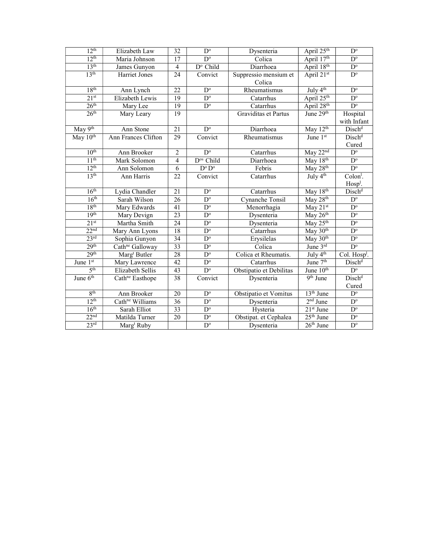| $12^{th}$<br>$D^{\circ}$<br>32<br>Elizabeth Law<br>Dysenteria<br>12 <sup>th</sup><br>April 17th<br>$D^{\circ}$<br>17<br>Colica<br>Maria Johnson<br>13 <sup>th</sup><br>April 18th<br>$D^{\circ}$ Child<br>$\overline{\mathbf{4}}$<br>Diarrhoea<br>James Gunyon<br>13 <sup>th</sup><br>April 21st<br>24<br>Suppressio mensium et<br>Harriet Jones<br>Convict<br>Colica<br>18 <sup>th</sup><br>July 4 <sup>th</sup><br>$D^{\circ}$<br>22<br>Ann Lynch<br>Rheumatismus<br>April 25 <sup>th</sup><br>21 <sup>st</sup><br>$\overline{19}$<br>$D^{\circ}$<br>Elizabeth Lewis<br>Catarrhus<br>26 <sup>th</sup><br>April 28th<br>$\overline{19}$<br>$D^{\circ}$<br>Mary Lee<br>Catarrhus<br>26 <sup>th</sup><br>June 29th<br>Graviditas et Partus<br>19<br>Mary Leary<br>May 9th<br>May 12th<br>Ann Stone<br>$D^{\circ}$<br>Diarrhoea<br>21<br>May 10th<br>Ann Frances Clifton<br>Rheumatismus<br>29<br>Convict<br>June $1st$<br>10 <sup>th</sup><br>May 22nd<br>$\overline{2}$<br>$D^{\circ}$<br>Catarrhus<br>Ann Brooker<br>11 <sup>th</sup><br>$\overline{4}$<br>D <sup>os</sup> Child<br>May 18th<br>Mark Solomon<br>Diarrhoea<br>$12^{th}$<br>$\mathbf{D}^{\text{o}}\,\mathbf{D}^{\text{o}}$<br>May 28 <sup>th</sup><br>Febris<br>Ann Solomon<br>6<br>13 <sup>th</sup><br>July $4th$<br>Ann Harris<br>22<br>Convict<br>Catarrhus<br>16 <sup>th</sup><br>May 18th<br>Lydia Chandler<br>21<br>$D^{\circ}$<br>Catarrhus<br>16 <sup>th</sup><br>Sarah Wilson<br>$\overline{D^{\circ}}$<br><b>Cynanche Tonsil</b><br>May 28th<br>26<br>18 <sup>th</sup><br>Mary Edwards<br>41<br>$\overline{\text{May }21^\text{st}}$<br>$D^{\circ}$<br>Menorrhagia<br>19 <sup>th</sup><br>23<br>May $26th$<br>$D^{\circ}$<br>Mary Devign<br>Dysenteria<br>21 <sup>st</sup><br>24<br>$\overline{\text{May }25^{\text{th}}}$<br>Martha Smith<br>$D^{\circ}$<br>Dysenteria<br>22 <sup>nd</sup><br>May 30th<br>$\overline{D^{\circ}}$<br>18<br>Catarrhus<br>Mary Ann Lyons<br>23 <sup>rd</sup><br>$D^{\circ}$<br>$\overline{34}$<br>May 30 <sup>th</sup><br>Sophia Gunyon<br>Erysilelas<br>29 <sup>th</sup><br>33<br>$\overline{D}^{\circ}$<br>June 3rd<br>Cath <sup>ne</sup> Galloway<br>Colica<br>July $4^{\text{th}}$<br>29 <sup>th</sup><br>$\overline{28}$<br>$\overline{D^{\circ}}$<br>Marg <sup>t</sup> Butler<br>Colica et Rheumatis.<br>June 1st<br>June 7 <sup>th</sup><br>$\overline{42}$<br>$\overline{D^{\circ}}$<br>Catarrhus<br>Mary Lawrence<br>5 <sup>th</sup><br>June 10 <sup>th</sup><br>43<br>$D^{\circ}$<br>Elizabeth Sellis<br>Obstipatio et Debilitas<br>June 6 <sup>th</sup><br>$9th$ June<br>38<br>Cath <sup>ne</sup> Easthope<br>Convict<br>Dysenteria<br>8 <sup>th</sup><br>$13th$ June<br>Ann Brooker<br>20<br>$D^{\circ}$<br>Obstipatio et Vomitus<br>12 <sup>th</sup><br>$2nd$ June<br>Cath <sup>ne</sup> Williams<br>$D^{\circ}$<br>36<br>Dysenteria<br>$21st$ June<br>16 <sup>th</sup><br>Sarah Elliot<br>33<br>$D^{\circ}$<br>Hysteria<br>22 <sup>nd</sup><br>$25th$ June<br>20<br>Matilda Turner<br>$\mathbf{D}^{\text{o}}$<br>Obstipat. et Cephalea<br>23 <sup>rd</sup><br>$\overline{D^{\circ}}$<br>Marg <sup>t</sup> Ruby |  |  |            |             |                          |
|-------------------------------------------------------------------------------------------------------------------------------------------------------------------------------------------------------------------------------------------------------------------------------------------------------------------------------------------------------------------------------------------------------------------------------------------------------------------------------------------------------------------------------------------------------------------------------------------------------------------------------------------------------------------------------------------------------------------------------------------------------------------------------------------------------------------------------------------------------------------------------------------------------------------------------------------------------------------------------------------------------------------------------------------------------------------------------------------------------------------------------------------------------------------------------------------------------------------------------------------------------------------------------------------------------------------------------------------------------------------------------------------------------------------------------------------------------------------------------------------------------------------------------------------------------------------------------------------------------------------------------------------------------------------------------------------------------------------------------------------------------------------------------------------------------------------------------------------------------------------------------------------------------------------------------------------------------------------------------------------------------------------------------------------------------------------------------------------------------------------------------------------------------------------------------------------------------------------------------------------------------------------------------------------------------------------------------------------------------------------------------------------------------------------------------------------------------------------------------------------------------------------------------------------------------------------------------------------------------------------------------------------------------------------------------------------------------------------------------------------------------------------------------------------------------------------------------------------------------------------------------------------------------------------------------------------------------------------------------------------------------------------------------------------------------------------------------------------------------------------------------------|--|--|------------|-------------|--------------------------|
|                                                                                                                                                                                                                                                                                                                                                                                                                                                                                                                                                                                                                                                                                                                                                                                                                                                                                                                                                                                                                                                                                                                                                                                                                                                                                                                                                                                                                                                                                                                                                                                                                                                                                                                                                                                                                                                                                                                                                                                                                                                                                                                                                                                                                                                                                                                                                                                                                                                                                                                                                                                                                                                                                                                                                                                                                                                                                                                                                                                                                                                                                                                                     |  |  |            | April 25th  | $D^{\circ}$              |
|                                                                                                                                                                                                                                                                                                                                                                                                                                                                                                                                                                                                                                                                                                                                                                                                                                                                                                                                                                                                                                                                                                                                                                                                                                                                                                                                                                                                                                                                                                                                                                                                                                                                                                                                                                                                                                                                                                                                                                                                                                                                                                                                                                                                                                                                                                                                                                                                                                                                                                                                                                                                                                                                                                                                                                                                                                                                                                                                                                                                                                                                                                                                     |  |  |            |             | $\overline{D}^{\circ}$   |
|                                                                                                                                                                                                                                                                                                                                                                                                                                                                                                                                                                                                                                                                                                                                                                                                                                                                                                                                                                                                                                                                                                                                                                                                                                                                                                                                                                                                                                                                                                                                                                                                                                                                                                                                                                                                                                                                                                                                                                                                                                                                                                                                                                                                                                                                                                                                                                                                                                                                                                                                                                                                                                                                                                                                                                                                                                                                                                                                                                                                                                                                                                                                     |  |  |            |             | $\mathbf{D}^{\text{o}}$  |
|                                                                                                                                                                                                                                                                                                                                                                                                                                                                                                                                                                                                                                                                                                                                                                                                                                                                                                                                                                                                                                                                                                                                                                                                                                                                                                                                                                                                                                                                                                                                                                                                                                                                                                                                                                                                                                                                                                                                                                                                                                                                                                                                                                                                                                                                                                                                                                                                                                                                                                                                                                                                                                                                                                                                                                                                                                                                                                                                                                                                                                                                                                                                     |  |  |            |             | $\mathbf{D}^{\text{o}}$  |
|                                                                                                                                                                                                                                                                                                                                                                                                                                                                                                                                                                                                                                                                                                                                                                                                                                                                                                                                                                                                                                                                                                                                                                                                                                                                                                                                                                                                                                                                                                                                                                                                                                                                                                                                                                                                                                                                                                                                                                                                                                                                                                                                                                                                                                                                                                                                                                                                                                                                                                                                                                                                                                                                                                                                                                                                                                                                                                                                                                                                                                                                                                                                     |  |  |            |             |                          |
|                                                                                                                                                                                                                                                                                                                                                                                                                                                                                                                                                                                                                                                                                                                                                                                                                                                                                                                                                                                                                                                                                                                                                                                                                                                                                                                                                                                                                                                                                                                                                                                                                                                                                                                                                                                                                                                                                                                                                                                                                                                                                                                                                                                                                                                                                                                                                                                                                                                                                                                                                                                                                                                                                                                                                                                                                                                                                                                                                                                                                                                                                                                                     |  |  |            |             | $\mathbf{D}^{\text{o}}$  |
|                                                                                                                                                                                                                                                                                                                                                                                                                                                                                                                                                                                                                                                                                                                                                                                                                                                                                                                                                                                                                                                                                                                                                                                                                                                                                                                                                                                                                                                                                                                                                                                                                                                                                                                                                                                                                                                                                                                                                                                                                                                                                                                                                                                                                                                                                                                                                                                                                                                                                                                                                                                                                                                                                                                                                                                                                                                                                                                                                                                                                                                                                                                                     |  |  |            |             | $D^{\circ}$              |
|                                                                                                                                                                                                                                                                                                                                                                                                                                                                                                                                                                                                                                                                                                                                                                                                                                                                                                                                                                                                                                                                                                                                                                                                                                                                                                                                                                                                                                                                                                                                                                                                                                                                                                                                                                                                                                                                                                                                                                                                                                                                                                                                                                                                                                                                                                                                                                                                                                                                                                                                                                                                                                                                                                                                                                                                                                                                                                                                                                                                                                                                                                                                     |  |  |            |             | $D^{\circ}$              |
|                                                                                                                                                                                                                                                                                                                                                                                                                                                                                                                                                                                                                                                                                                                                                                                                                                                                                                                                                                                                                                                                                                                                                                                                                                                                                                                                                                                                                                                                                                                                                                                                                                                                                                                                                                                                                                                                                                                                                                                                                                                                                                                                                                                                                                                                                                                                                                                                                                                                                                                                                                                                                                                                                                                                                                                                                                                                                                                                                                                                                                                                                                                                     |  |  |            |             | Hospital                 |
|                                                                                                                                                                                                                                                                                                                                                                                                                                                                                                                                                                                                                                                                                                                                                                                                                                                                                                                                                                                                                                                                                                                                                                                                                                                                                                                                                                                                                                                                                                                                                                                                                                                                                                                                                                                                                                                                                                                                                                                                                                                                                                                                                                                                                                                                                                                                                                                                                                                                                                                                                                                                                                                                                                                                                                                                                                                                                                                                                                                                                                                                                                                                     |  |  |            |             | with Infant              |
|                                                                                                                                                                                                                                                                                                                                                                                                                                                                                                                                                                                                                                                                                                                                                                                                                                                                                                                                                                                                                                                                                                                                                                                                                                                                                                                                                                                                                                                                                                                                                                                                                                                                                                                                                                                                                                                                                                                                                                                                                                                                                                                                                                                                                                                                                                                                                                                                                                                                                                                                                                                                                                                                                                                                                                                                                                                                                                                                                                                                                                                                                                                                     |  |  |            |             | Disch <sup>d</sup>       |
|                                                                                                                                                                                                                                                                                                                                                                                                                                                                                                                                                                                                                                                                                                                                                                                                                                                                                                                                                                                                                                                                                                                                                                                                                                                                                                                                                                                                                                                                                                                                                                                                                                                                                                                                                                                                                                                                                                                                                                                                                                                                                                                                                                                                                                                                                                                                                                                                                                                                                                                                                                                                                                                                                                                                                                                                                                                                                                                                                                                                                                                                                                                                     |  |  |            |             | Disch <sup>d</sup>       |
|                                                                                                                                                                                                                                                                                                                                                                                                                                                                                                                                                                                                                                                                                                                                                                                                                                                                                                                                                                                                                                                                                                                                                                                                                                                                                                                                                                                                                                                                                                                                                                                                                                                                                                                                                                                                                                                                                                                                                                                                                                                                                                                                                                                                                                                                                                                                                                                                                                                                                                                                                                                                                                                                                                                                                                                                                                                                                                                                                                                                                                                                                                                                     |  |  |            |             | Cured                    |
|                                                                                                                                                                                                                                                                                                                                                                                                                                                                                                                                                                                                                                                                                                                                                                                                                                                                                                                                                                                                                                                                                                                                                                                                                                                                                                                                                                                                                                                                                                                                                                                                                                                                                                                                                                                                                                                                                                                                                                                                                                                                                                                                                                                                                                                                                                                                                                                                                                                                                                                                                                                                                                                                                                                                                                                                                                                                                                                                                                                                                                                                                                                                     |  |  |            |             | $\mathbf{D}^{\text{o}}$  |
|                                                                                                                                                                                                                                                                                                                                                                                                                                                                                                                                                                                                                                                                                                                                                                                                                                                                                                                                                                                                                                                                                                                                                                                                                                                                                                                                                                                                                                                                                                                                                                                                                                                                                                                                                                                                                                                                                                                                                                                                                                                                                                                                                                                                                                                                                                                                                                                                                                                                                                                                                                                                                                                                                                                                                                                                                                                                                                                                                                                                                                                                                                                                     |  |  |            |             | $\mathbf{D}^{\text{o}}$  |
|                                                                                                                                                                                                                                                                                                                                                                                                                                                                                                                                                                                                                                                                                                                                                                                                                                                                                                                                                                                                                                                                                                                                                                                                                                                                                                                                                                                                                                                                                                                                                                                                                                                                                                                                                                                                                                                                                                                                                                                                                                                                                                                                                                                                                                                                                                                                                                                                                                                                                                                                                                                                                                                                                                                                                                                                                                                                                                                                                                                                                                                                                                                                     |  |  |            |             | $\mathbf{D}^{\text{o}}$  |
|                                                                                                                                                                                                                                                                                                                                                                                                                                                                                                                                                                                                                                                                                                                                                                                                                                                                                                                                                                                                                                                                                                                                                                                                                                                                                                                                                                                                                                                                                                                                                                                                                                                                                                                                                                                                                                                                                                                                                                                                                                                                                                                                                                                                                                                                                                                                                                                                                                                                                                                                                                                                                                                                                                                                                                                                                                                                                                                                                                                                                                                                                                                                     |  |  |            |             | Colon <sup>1</sup> .     |
|                                                                                                                                                                                                                                                                                                                                                                                                                                                                                                                                                                                                                                                                                                                                                                                                                                                                                                                                                                                                                                                                                                                                                                                                                                                                                                                                                                                                                                                                                                                                                                                                                                                                                                                                                                                                                                                                                                                                                                                                                                                                                                                                                                                                                                                                                                                                                                                                                                                                                                                                                                                                                                                                                                                                                                                                                                                                                                                                                                                                                                                                                                                                     |  |  |            |             | $Hosp1$ .                |
|                                                                                                                                                                                                                                                                                                                                                                                                                                                                                                                                                                                                                                                                                                                                                                                                                                                                                                                                                                                                                                                                                                                                                                                                                                                                                                                                                                                                                                                                                                                                                                                                                                                                                                                                                                                                                                                                                                                                                                                                                                                                                                                                                                                                                                                                                                                                                                                                                                                                                                                                                                                                                                                                                                                                                                                                                                                                                                                                                                                                                                                                                                                                     |  |  |            |             | Disch <sup>d</sup>       |
|                                                                                                                                                                                                                                                                                                                                                                                                                                                                                                                                                                                                                                                                                                                                                                                                                                                                                                                                                                                                                                                                                                                                                                                                                                                                                                                                                                                                                                                                                                                                                                                                                                                                                                                                                                                                                                                                                                                                                                                                                                                                                                                                                                                                                                                                                                                                                                                                                                                                                                                                                                                                                                                                                                                                                                                                                                                                                                                                                                                                                                                                                                                                     |  |  |            |             | $D^{\circ}$              |
|                                                                                                                                                                                                                                                                                                                                                                                                                                                                                                                                                                                                                                                                                                                                                                                                                                                                                                                                                                                                                                                                                                                                                                                                                                                                                                                                                                                                                                                                                                                                                                                                                                                                                                                                                                                                                                                                                                                                                                                                                                                                                                                                                                                                                                                                                                                                                                                                                                                                                                                                                                                                                                                                                                                                                                                                                                                                                                                                                                                                                                                                                                                                     |  |  |            |             | $D^{\circ}$              |
|                                                                                                                                                                                                                                                                                                                                                                                                                                                                                                                                                                                                                                                                                                                                                                                                                                                                                                                                                                                                                                                                                                                                                                                                                                                                                                                                                                                                                                                                                                                                                                                                                                                                                                                                                                                                                                                                                                                                                                                                                                                                                                                                                                                                                                                                                                                                                                                                                                                                                                                                                                                                                                                                                                                                                                                                                                                                                                                                                                                                                                                                                                                                     |  |  |            |             | $\overline{D^{\circ}}$   |
|                                                                                                                                                                                                                                                                                                                                                                                                                                                                                                                                                                                                                                                                                                                                                                                                                                                                                                                                                                                                                                                                                                                                                                                                                                                                                                                                                                                                                                                                                                                                                                                                                                                                                                                                                                                                                                                                                                                                                                                                                                                                                                                                                                                                                                                                                                                                                                                                                                                                                                                                                                                                                                                                                                                                                                                                                                                                                                                                                                                                                                                                                                                                     |  |  |            |             | $\mathbf{D}^{\text{o}}$  |
|                                                                                                                                                                                                                                                                                                                                                                                                                                                                                                                                                                                                                                                                                                                                                                                                                                                                                                                                                                                                                                                                                                                                                                                                                                                                                                                                                                                                                                                                                                                                                                                                                                                                                                                                                                                                                                                                                                                                                                                                                                                                                                                                                                                                                                                                                                                                                                                                                                                                                                                                                                                                                                                                                                                                                                                                                                                                                                                                                                                                                                                                                                                                     |  |  |            |             | $\mathbf{D}^{\text{o}}$  |
|                                                                                                                                                                                                                                                                                                                                                                                                                                                                                                                                                                                                                                                                                                                                                                                                                                                                                                                                                                                                                                                                                                                                                                                                                                                                                                                                                                                                                                                                                                                                                                                                                                                                                                                                                                                                                                                                                                                                                                                                                                                                                                                                                                                                                                                                                                                                                                                                                                                                                                                                                                                                                                                                                                                                                                                                                                                                                                                                                                                                                                                                                                                                     |  |  |            |             | $\overline{D}^{\circ}$   |
|                                                                                                                                                                                                                                                                                                                                                                                                                                                                                                                                                                                                                                                                                                                                                                                                                                                                                                                                                                                                                                                                                                                                                                                                                                                                                                                                                                                                                                                                                                                                                                                                                                                                                                                                                                                                                                                                                                                                                                                                                                                                                                                                                                                                                                                                                                                                                                                                                                                                                                                                                                                                                                                                                                                                                                                                                                                                                                                                                                                                                                                                                                                                     |  |  |            |             | $D^{\circ}$              |
|                                                                                                                                                                                                                                                                                                                                                                                                                                                                                                                                                                                                                                                                                                                                                                                                                                                                                                                                                                                                                                                                                                                                                                                                                                                                                                                                                                                                                                                                                                                                                                                                                                                                                                                                                                                                                                                                                                                                                                                                                                                                                                                                                                                                                                                                                                                                                                                                                                                                                                                                                                                                                                                                                                                                                                                                                                                                                                                                                                                                                                                                                                                                     |  |  |            |             | Col. Hosp <sup>1</sup> . |
|                                                                                                                                                                                                                                                                                                                                                                                                                                                                                                                                                                                                                                                                                                                                                                                                                                                                                                                                                                                                                                                                                                                                                                                                                                                                                                                                                                                                                                                                                                                                                                                                                                                                                                                                                                                                                                                                                                                                                                                                                                                                                                                                                                                                                                                                                                                                                                                                                                                                                                                                                                                                                                                                                                                                                                                                                                                                                                                                                                                                                                                                                                                                     |  |  |            |             | Disch <sup>d</sup>       |
|                                                                                                                                                                                                                                                                                                                                                                                                                                                                                                                                                                                                                                                                                                                                                                                                                                                                                                                                                                                                                                                                                                                                                                                                                                                                                                                                                                                                                                                                                                                                                                                                                                                                                                                                                                                                                                                                                                                                                                                                                                                                                                                                                                                                                                                                                                                                                                                                                                                                                                                                                                                                                                                                                                                                                                                                                                                                                                                                                                                                                                                                                                                                     |  |  |            |             | $\overline{D^{\circ}}$   |
|                                                                                                                                                                                                                                                                                                                                                                                                                                                                                                                                                                                                                                                                                                                                                                                                                                                                                                                                                                                                                                                                                                                                                                                                                                                                                                                                                                                                                                                                                                                                                                                                                                                                                                                                                                                                                                                                                                                                                                                                                                                                                                                                                                                                                                                                                                                                                                                                                                                                                                                                                                                                                                                                                                                                                                                                                                                                                                                                                                                                                                                                                                                                     |  |  |            |             | Disch <sup>d</sup>       |
|                                                                                                                                                                                                                                                                                                                                                                                                                                                                                                                                                                                                                                                                                                                                                                                                                                                                                                                                                                                                                                                                                                                                                                                                                                                                                                                                                                                                                                                                                                                                                                                                                                                                                                                                                                                                                                                                                                                                                                                                                                                                                                                                                                                                                                                                                                                                                                                                                                                                                                                                                                                                                                                                                                                                                                                                                                                                                                                                                                                                                                                                                                                                     |  |  |            |             | Cured                    |
|                                                                                                                                                                                                                                                                                                                                                                                                                                                                                                                                                                                                                                                                                                                                                                                                                                                                                                                                                                                                                                                                                                                                                                                                                                                                                                                                                                                                                                                                                                                                                                                                                                                                                                                                                                                                                                                                                                                                                                                                                                                                                                                                                                                                                                                                                                                                                                                                                                                                                                                                                                                                                                                                                                                                                                                                                                                                                                                                                                                                                                                                                                                                     |  |  |            |             | $\overline{D}^{\circ}$   |
|                                                                                                                                                                                                                                                                                                                                                                                                                                                                                                                                                                                                                                                                                                                                                                                                                                                                                                                                                                                                                                                                                                                                                                                                                                                                                                                                                                                                                                                                                                                                                                                                                                                                                                                                                                                                                                                                                                                                                                                                                                                                                                                                                                                                                                                                                                                                                                                                                                                                                                                                                                                                                                                                                                                                                                                                                                                                                                                                                                                                                                                                                                                                     |  |  |            |             | $\overline{D}^{\circ}$   |
|                                                                                                                                                                                                                                                                                                                                                                                                                                                                                                                                                                                                                                                                                                                                                                                                                                                                                                                                                                                                                                                                                                                                                                                                                                                                                                                                                                                                                                                                                                                                                                                                                                                                                                                                                                                                                                                                                                                                                                                                                                                                                                                                                                                                                                                                                                                                                                                                                                                                                                                                                                                                                                                                                                                                                                                                                                                                                                                                                                                                                                                                                                                                     |  |  |            |             | $\mathbf{D}^{\text{o}}$  |
|                                                                                                                                                                                                                                                                                                                                                                                                                                                                                                                                                                                                                                                                                                                                                                                                                                                                                                                                                                                                                                                                                                                                                                                                                                                                                                                                                                                                                                                                                                                                                                                                                                                                                                                                                                                                                                                                                                                                                                                                                                                                                                                                                                                                                                                                                                                                                                                                                                                                                                                                                                                                                                                                                                                                                                                                                                                                                                                                                                                                                                                                                                                                     |  |  |            |             | $D^{\circ}$              |
|                                                                                                                                                                                                                                                                                                                                                                                                                                                                                                                                                                                                                                                                                                                                                                                                                                                                                                                                                                                                                                                                                                                                                                                                                                                                                                                                                                                                                                                                                                                                                                                                                                                                                                                                                                                                                                                                                                                                                                                                                                                                                                                                                                                                                                                                                                                                                                                                                                                                                                                                                                                                                                                                                                                                                                                                                                                                                                                                                                                                                                                                                                                                     |  |  | Dysenteria | $26th$ June | $\overline{D}^{\circ}$   |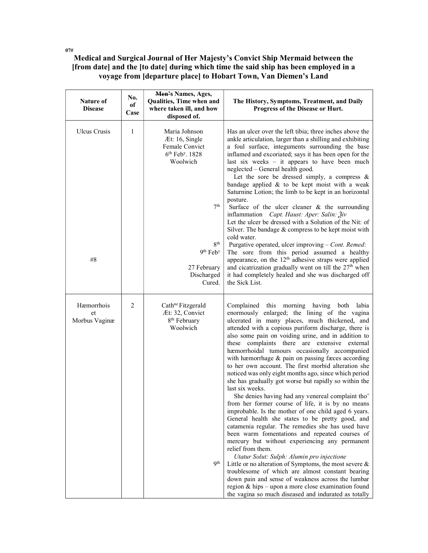## Medical and Surgical Journal of Her Majesty's Convict Ship Mermaid between the [from date] and the [to date] during which time the said ship has been employed in a voyage from [departure place] to Hobart Town, Van Diemen's Land

| <b>Nature of</b><br><b>Disease</b> | No.<br>of<br>Case | Men's Names, Ages,<br>Qualities, Time when and<br>where taken ill, and how<br>disposed of.                                                                                                            | The History, Symptoms, Treatment, and Daily<br>Progress of the Disease or Hurt.                                                                                                                                                                                                                                                                                                                                                                                                                                                                                                                                                                                                                                                                                                                                                                                                                                                                                                                                                                                                                                                                                                                                                                                                                                                                         |
|------------------------------------|-------------------|-------------------------------------------------------------------------------------------------------------------------------------------------------------------------------------------------------|---------------------------------------------------------------------------------------------------------------------------------------------------------------------------------------------------------------------------------------------------------------------------------------------------------------------------------------------------------------------------------------------------------------------------------------------------------------------------------------------------------------------------------------------------------------------------------------------------------------------------------------------------------------------------------------------------------------------------------------------------------------------------------------------------------------------------------------------------------------------------------------------------------------------------------------------------------------------------------------------------------------------------------------------------------------------------------------------------------------------------------------------------------------------------------------------------------------------------------------------------------------------------------------------------------------------------------------------------------|
| <b>Ulcus</b> Crusis<br>#8          | $\mathbf{1}$      | Maria Johnson<br>Æt: 16, Single<br>Female Convict<br>$6th$ Feb <sup>y</sup> , 1828<br>Woolwich<br>7 <sup>th</sup><br>8 <sup>th</sup><br>$9th$ Feb <sup>y</sup><br>27 February<br>Discharged<br>Cured. | Has an ulcer over the left tibia; three inches above the<br>ankle articulation, larger than a shilling and exhibiting<br>a foul surface, integuments surrounding the base<br>inflamed and excoriated; says it has been open for the<br>last six weeks $-$ it appears to have been much<br>neglected - General health good.<br>Let the sore be dressed simply, a compress $\&$<br>bandage applied $\&$ to be kept moist with a weak<br>Saturnine Lotion; the limb to be kept in an horizontal<br>posture.<br>Surface of the ulcer cleaner $\&$ the surrounding<br>inflammation <i>Capt. Haust: Aper: Salin: 3v</i><br>Let the ulcer be dressed with a Solution of the Nit: of<br>Silver. The bandage & compress to be kept moist with<br>cold water.<br>Purgative operated, ulcer improving - Cont. Remed:<br>The sore from this period assumed a healthy<br>appearance, on the $12th$ adhesive straps were applied<br>and cicatrization gradually went on till the 27 <sup>th</sup> when<br>it had completely healed and she was discharged off<br>the Sick List.                                                                                                                                                                                                                                                                                       |
| Hæmorrhois<br>et<br>Morbus Vaginæ  | 2                 | Cath <sup>ne</sup> Fitzgerald<br>Æt: 32, Convict<br>8 <sup>th</sup> February<br>Woolwich<br><b>9th</b>                                                                                                | Complained this morning having both labia<br>enormously enlarged; the lining of the vagina<br>ulcerated in many places, much thickened, and<br>attended with a copious puriform discharge, there is<br>also some pain on voiding urine, and in addition to<br>these complaints there are extensive external<br>hæmorrhoidal tumours occasionally accompanied<br>with hæmorrhage $\&$ pain on passing fæces according<br>to her own account. The first morbid alteration she<br>noticed was only eight months ago, since which period<br>she has gradually got worse but rapidly so within the<br>last six weeks.<br>She denies having had any venereal complaint tho'<br>from her former course of life, it is by no means<br>improbable. Is the mother of one child aged 6 years.<br>General health she states to be pretty good, and<br>catamenia regular. The remedies she has used have<br>been warm fomentations and repeated courses of<br>mercury but without experiencing any permanent<br>relief from them.<br>Utatur Solut: Sulph: Alumin pro injectione<br>Little or no alteration of Symptoms, the most severe $\&$<br>troublesome of which are almost constant bearing<br>down pain and sense of weakness across the lumbar<br>region & hips - upon a more close examination found<br>the vagina so much diseased and indurated as totally |

07#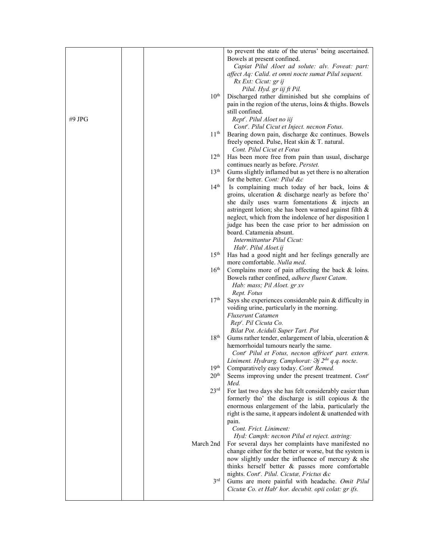|        |                  | to prevent the state of the uterus' being ascertained.                 |
|--------|------------------|------------------------------------------------------------------------|
|        |                  | Bowels at present confined.                                            |
|        |                  | Capiat Pilul Aloet ad solute: alv. Foveat: part:                       |
|        |                  |                                                                        |
|        |                  | affect Aq: Calid. et omni nocte sumat Pilul sequent.                   |
|        |                  | Rx Ext: Cicut: gr ij                                                   |
|        |                  | Pilul. Hyd. gr iij ft Pil.                                             |
|        | $10^{\rm th}$    | Discharged rather diminished but she complains of                      |
|        |                  | pain in the region of the uterus, loins & thighs. Bowels               |
|        |                  | still confined.                                                        |
| #9 JPG |                  | Rept'. Pilul Aloet no iij                                              |
|        |                  | Cont <sup>r</sup> . Pilul Cicut et Inject. necnon Fotus.               |
|        | 11 <sup>th</sup> | Bearing down pain, discharge &c continues. Bowels                      |
|        |                  | freely opened. Pulse, Heat skin & T. natural.                          |
|        |                  | Cont. Pilul Cicut et Fotus                                             |
|        | $12^{\text{th}}$ | Has been more free from pain than usual, discharge                     |
|        |                  | continues nearly as before. Perstet.                                   |
|        | 13 <sup>th</sup> | Gums slightly inflamed but as yet there is no alteration               |
|        |                  | for the better. Cont: Pilul &c                                         |
|        | 14 <sup>th</sup> | Is complaining much today of her back, loins &                         |
|        |                  | groins, ulceration & discharge nearly as before tho'                   |
|        |                  | she daily uses warm fomentations & injects an                          |
|        |                  | astringent lotion; she has been warned against filth &                 |
|        |                  | neglect, which from the indolence of her disposition I                 |
|        |                  | judge has been the case prior to her admission on                      |
|        |                  | board. Catamenia absunt.                                               |
|        |                  | Intermittantur Pilul Cicut:                                            |
|        |                  | Hab'. Pilul Aloet.ij                                                   |
|        | $15^{\text{th}}$ | Has had a good night and her feelings generally are                    |
|        |                  | more comfortable. Nulla med.                                           |
|        | $16^{\text{th}}$ |                                                                        |
|        |                  | Complains more of pain affecting the back $\&$ loins.                  |
|        |                  | Bowels rather confined, adhere fluent Catam.                           |
|        |                  | Hab: mass; Pil Aloet. gr xv                                            |
|        |                  | Rept. Fotus                                                            |
|        | 17 <sup>th</sup> | Says she experiences considerable pain & difficulty in                 |
|        |                  | voiding urine, particularly in the morning.                            |
|        |                  | <b>Fluxerunt Catamen</b>                                               |
|        |                  | Rep''. Pil Cicuta Co.                                                  |
|        |                  | Bilat Pot. Aciduli Super Tart. Pot                                     |
|        | 18 <sup>th</sup> | Gums rather tender, enlargement of labia, ulceration &                 |
|        |                  | hæmorrhoidal tumours nearly the same.                                  |
|        |                  | Cont' Pilul et Fotus, necnon affricet' part. extern.                   |
|        |                  | Liniment. Hydrarg. Camphorat: $\partial j$ 2 <sup>da</sup> q.q. nocte. |
|        | 19 <sup>th</sup> | Comparatively easy today. Cont' Remed.                                 |
|        | 20 <sup>th</sup> | Seems improving under the present treatment. Cont'                     |
|        |                  | Med.                                                                   |
|        | 23 <sup>rd</sup> | For last two days she has felt considerably easier than                |
|        |                  | formerly tho' the discharge is still copious $\&$ the                  |
|        |                  | enormous enlargement of the labia, particularly the                    |
|        |                  | right is the same, it appears indolent & unattended with               |
|        |                  | pain.                                                                  |
|        |                  | Cont. Frict. Liniment:                                                 |
|        |                  | Hyd: Camph: necnon Pilul et reject. astring:                           |
|        | March 2nd        | For several days her complaints have manifested no                     |
|        |                  | change either for the better or worse, but the system is               |
|        |                  | now slightly under the influence of mercury & she                      |
|        |                  | thinks herself better & passes more comfortable                        |
|        |                  | nights. Cont'. Pilul. Cicutæ, Frictus &c                               |
|        | $3^{\text{rd}}$  | Gums are more painful with headache. Omit Pilul                        |
|        |                  | Cicutæ Co. et Hab' hor. decubit. opii colat: gr ifs.                   |
|        |                  |                                                                        |
|        |                  |                                                                        |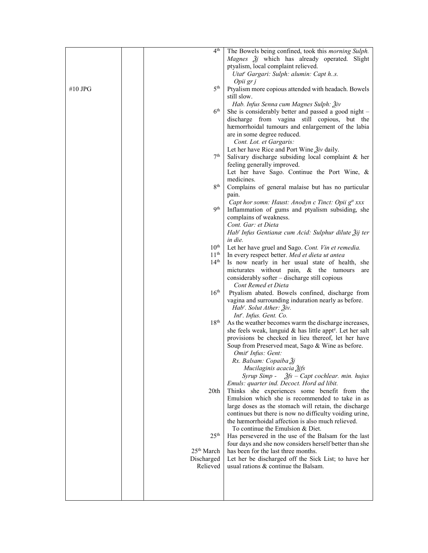|         | 4 <sup>th</sup>        | The Bowels being confined, took this morning Sulph.                                               |
|---------|------------------------|---------------------------------------------------------------------------------------------------|
|         |                        | Magnes Žj which has already operated. Slight                                                      |
|         |                        | ptyalism, local complaint relieved.                                                               |
|         |                        | Utat' Gargari: Sulph: alumin: Capt hs.                                                            |
|         |                        | Opii gr j                                                                                         |
| #10 JPG | 5 <sup>th</sup>        | Ptyalism more copious attended with headach. Bowels                                               |
|         |                        | still slow.                                                                                       |
|         |                        | Hab. Infus Senna cum Magnes Sulph: $\tilde{A}$ iv                                                 |
|         | $6^{\text{th}}$        | She is considerably better and passed a good night -                                              |
|         |                        |                                                                                                   |
|         |                        | discharge from vagina still copious, but the<br>hæmorrhoidal tumours and enlargement of the labia |
|         |                        | are in some degree reduced.                                                                       |
|         |                        |                                                                                                   |
|         |                        | Cont. Lot. et Gargaris:                                                                           |
|         | 7 <sup>th</sup>        | Let her have Rice and Port Wine $\tilde{g}_{iv}$ daily.                                           |
|         |                        | Salivary discharge subsiding local complaint & her                                                |
|         |                        | feeling generally improved.                                                                       |
|         |                        | Let her have Sago. Continue the Port Wine, &                                                      |
|         |                        | medicines.                                                                                        |
|         | 8 <sup>th</sup>        | Complains of general malaise but has no particular                                                |
|         |                        | pain.                                                                                             |
|         |                        | Capt hor somn: Haust: Anodyn c Tinct: Opii g <sup>tt</sup> xxx                                    |
|         | q <sup>th</sup>        | Inflammation of gums and ptyalism subsiding, she                                                  |
|         |                        | complains of weakness.                                                                            |
|         |                        | Cont. Gar: et Dieta                                                                               |
|         |                        | Hab' Infus Gentianæ cum Acid: Sulphur dilute Žij ter                                              |
|         |                        | in die.                                                                                           |
|         | $10^{\rm th}$          | Let her have gruel and Sago. Cont. Vin et remedia.                                                |
|         | 11 <sup>th</sup>       | In every respect better. Med et dieta ut antea                                                    |
|         | 14 <sup>th</sup>       | Is now nearly in her usual state of health, she                                                   |
|         |                        | micturates without pain, & the tumours<br>are                                                     |
|         |                        | considerably softer - discharge still copious                                                     |
|         |                        | Cont Remed et Dieta                                                                               |
|         | 16 <sup>th</sup>       | Ptyalism abated. Bowels confined, discharge from                                                  |
|         |                        | vagina and surrounding induration nearly as before.                                               |
|         |                        | Hab'. Solut Ather: Živ.                                                                           |
|         |                        | Int'. Infus. Gent. Co.                                                                            |
|         | 18 <sup>th</sup>       | As the weather becomes warm the discharge increases,                                              |
|         |                        | she feels weak, languid & has little appt <sup>e</sup> . Let her salt                             |
|         |                        | provisions be checked in lieu thereof, let her have                                               |
|         |                        | Soup from Preserved meat, Sago & Wine as before.                                                  |
|         |                        | Omit' Infus: Gent:                                                                                |
|         |                        | Rx. Balsam: Copaiba Žj                                                                            |
|         |                        | Mucilaginis acacia 3jfs                                                                           |
|         |                        | Syrup Simp - $\zeta$ fs - Capt cochlear. min. hujus                                               |
|         |                        | Emuls: quarter ind. Decoct. Hord ad libit.                                                        |
|         | 20 <sub>th</sub>       | Thinks she experiences some benefit from the                                                      |
|         |                        | Emulsion which she is recommended to take in as                                                   |
|         |                        | large doses as the stomach will retain, the discharge                                             |
|         |                        | continues but there is now no difficulty voiding urine,                                           |
|         |                        | the hæmorrhoidal affection is also much relieved.                                                 |
|         |                        | To continue the Emulsion $&$ Diet.                                                                |
|         | 25 <sup>th</sup>       | Has persevered in the use of the Balsam for the last                                              |
|         |                        | four days and she now considers herself better than she                                           |
|         | 25 <sup>th</sup> March | has been for the last three months.                                                               |
|         | Discharged             | Let her be discharged off the Sick List; to have her                                              |
|         | Relieved               | usual rations & continue the Balsam.                                                              |
|         |                        |                                                                                                   |
|         |                        |                                                                                                   |
|         |                        |                                                                                                   |
|         |                        |                                                                                                   |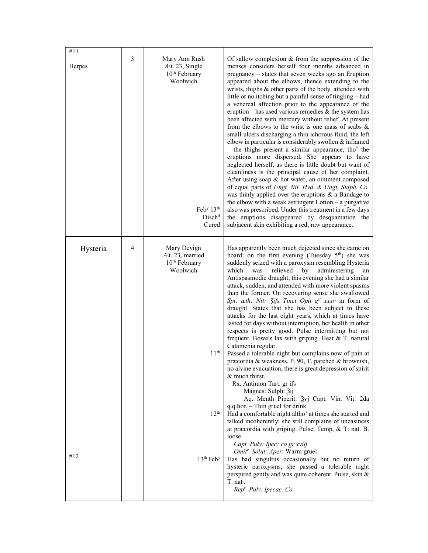| #11<br>Herpes   | 3 | Mary Ann Rush<br>Æt. 23, Single<br>10 <sup>th</sup> February<br>Woolwich<br>$\text{Feb}^{\text{y}} 13^{\text{th}}$<br>Disch <sup>d</sup><br>Cured    | Of sallow complexion $&$ from the suppression of the<br>menses considers herself four months advanced in<br>pregnancy – states that seven weeks ago an Eruption<br>appeared about the elbows, thence extending to the<br>wrists, thighs & other parts of the body, attended with<br>little or no itching but a painful sense of tingling - had<br>a venereal affection prior to the appearance of the<br>eruption – has used various remedies $\&$ the system has<br>been affected with mercury without relief. At present<br>from the elbows to the wrist is one mass of scabs $\&$<br>small ulcers discharging a thin ichorous fluid, the left<br>elbow in particular is considerably swollen & inflamed<br>- the thighs present a similar appearance, tho' the<br>eruptions more dispersed. She appears to have<br>neglected herself, as there is little doubt but want of<br>cleanliness is the principal cause of her complaint.<br>After using soap & hot water, an ointment composed<br>of equal parts of Ungt. Nit. Hyd. & Ungt. Sulph. Co.<br>was thinly applied over the eruptions $\&$ a Bandage to<br>the elbow with a weak astringent $Lotion - a purgative$<br>also was prescribed. Under this treatment in a few days<br>the eruptions disappeared by desquamation the<br>subjacent skin exhibiting a red, raw appearance.                                                                                                                                                                                                                                                                           |
|-----------------|---|------------------------------------------------------------------------------------------------------------------------------------------------------|---------------------------------------------------------------------------------------------------------------------------------------------------------------------------------------------------------------------------------------------------------------------------------------------------------------------------------------------------------------------------------------------------------------------------------------------------------------------------------------------------------------------------------------------------------------------------------------------------------------------------------------------------------------------------------------------------------------------------------------------------------------------------------------------------------------------------------------------------------------------------------------------------------------------------------------------------------------------------------------------------------------------------------------------------------------------------------------------------------------------------------------------------------------------------------------------------------------------------------------------------------------------------------------------------------------------------------------------------------------------------------------------------------------------------------------------------------------------------------------------------------------------------------------------------------------------------------------------------------------------|
| Hysteria<br>#12 | 4 | Mary Devign<br>Æt. 23, married<br>10 <sup>th</sup> February<br>Woolwich<br>11 <sup>th</sup><br>$12^{\text{th}}$<br>13 <sup>th</sup> Feb <sup>y</sup> | Has apparently been much dejected since she came on<br>board: on the first evening (Tuesday 5 <sup>th</sup> ) she was<br>suddenly seized with a paroxysm resembling Hysteria<br>relieved<br>by<br>which<br>was<br>administering<br>an<br>Antispasmodic draught; this evening she had a similar<br>attack, sudden, and attended with more violent spasms<br>than the former. On recovering sense she swallowed<br>Spt: æth: Nit: 3ifs Tinct Opii g <sup>tt</sup> xxxv in form of<br>draught. States that she has been subject to these<br>attacks for the last eight years, which at times have<br>lasted for days without interruption, her health in other<br>respects is pretty good. Pulse intermitting but not<br>frequent. Bowels lax with griping. Heat & T. natural<br>Catamenia regular.<br>Passed a tolerable night but complains now of pain at<br>præcordia & weakness. P. 90, T. parched & brownish,<br>no alvine evacuation, there is great depression of spirit<br>& much thirst.<br>Rx. Antimon Tart. gr ifs<br>Magnes: Sulph: Ѯij<br>Aq. Menth Piperit: Ѯvj Capt. Vin: Vit: 2da<br>$q.q.hor. - Thin gruel for drink$<br>Had a comfortable night altho' at times she started and<br>talked incoherently; she still complains of uneasiness<br>at præcordia with griping. Pulse, Temp, & T: nat. B.<br>loose.<br>Capt. Pulv: Ipec: co gr xviij<br>Omit'. Solut: Aper: Warm gruel<br>Has had singultus occasionally but no return of<br>hysteric paroxysms, she passed a tolerable night<br>perspired gently and was quite coherent. Pulse, skin &<br>T. nat <sup>l</sup> .<br>Rep'. Pulv. Ipecac. Co: |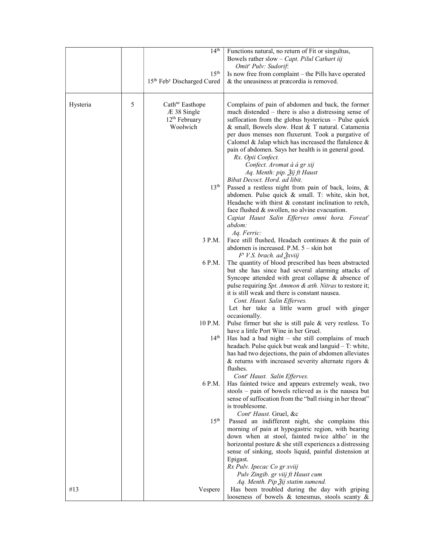|          |   | 14 <sup>th</sup>                       | Functions natural, no return of Fit or singultus,<br>Bowels rather slow $-$ Capt. Pilul Cathart iij<br>Omit <sup>r</sup> Pulv: Sudorif: |
|----------|---|----------------------------------------|-----------------------------------------------------------------------------------------------------------------------------------------|
|          |   | 15 <sup>th</sup>                       | Is now free from complaint - the Pills have operated                                                                                    |
|          |   | 15th Feb <sup>y</sup> Discharged Cured | & the uneasiness at præcordia is removed.                                                                                               |
|          |   |                                        |                                                                                                                                         |
|          | 5 | Cath <sup>ne</sup> Easthope            |                                                                                                                                         |
| Hysteria |   |                                        | Complains of pain of abdomen and back, the former                                                                                       |
|          |   | $AE$ 38 Single                         | much distended – there is also a distressing sense of                                                                                   |
|          |   | 12 <sup>th</sup> February              | suffocation from the globus hystericus - Pulse quick                                                                                    |
|          |   | Woolwich                               | & small, Bowels slow. Heat & T natural. Catamenia                                                                                       |
|          |   |                                        | per duos menses non fluxerunt. Took a purgative of                                                                                      |
|          |   |                                        | Calomel & Jalap which has increased the flatulence &                                                                                    |
|          |   |                                        | pain of abdomen. Says her health is in general good.                                                                                    |
|          |   |                                        | Rx. Opii Confect.                                                                                                                       |
|          |   |                                        | Confect. Aromat á á gr xij                                                                                                              |
|          |   |                                        | Aq. Menth: pip. 2ij ft Haust                                                                                                            |
|          |   | 13 <sup>th</sup>                       | Bibat Decoct. Hord. ad libit.                                                                                                           |
|          |   |                                        | Passed a restless night from pain of back, loins, &                                                                                     |
|          |   |                                        | abdomen. Pulse quick & small. T: white, skin hot,                                                                                       |
|          |   |                                        | Headache with thirst & constant inclination to retch,                                                                                   |
|          |   |                                        | face flushed & swollen, no alvine evacuation.<br>Capiat Haust Salin Efferves omni hora. Foveat <sup>r</sup>                             |
|          |   |                                        | abdom:                                                                                                                                  |
|          |   |                                        | Aq. Ferric:                                                                                                                             |
|          |   | 3 P.M.                                 | Face still flushed, Headach continues & the pain of                                                                                     |
|          |   |                                        | abdomen is increased. P.M. $5 -$ skin hot                                                                                               |
|          |   |                                        | $F^t$ V.S. brach. ad $\frac{3}{2}$ xviij                                                                                                |
|          |   | 6 P.M.                                 | The quantity of blood prescribed has been abstracted                                                                                    |
|          |   |                                        | but she has since had several alarming attacks of                                                                                       |
|          |   |                                        | Syncope attended with great collapse & absence of                                                                                       |
|          |   |                                        | pulse requiring Spt. Ammon & œth. Nitras to restore it;                                                                                 |
|          |   |                                        | it is still weak and there is constant nausea.                                                                                          |
|          |   |                                        | Cont. Haust. Salin Efferves.                                                                                                            |
|          |   |                                        | Let her take a little warm gruel with ginger                                                                                            |
|          |   |                                        | occasionally.                                                                                                                           |
|          |   | 10 P.M.                                | Pulse firmer but she is still pale & very restless. To                                                                                  |
|          |   |                                        | have a little Port Wine in her Gruel.                                                                                                   |
|          |   | 14 <sup>th</sup>                       | Has had a bad night $-$ she still complains of much                                                                                     |
|          |   |                                        | headach. Pulse quick but weak and languid - T: white,                                                                                   |
|          |   |                                        | has had two dejections, the pain of abdomen alleviates                                                                                  |
|          |   |                                        | $\&$ returns with increased severity alternate rigors $\&$                                                                              |
|          |   |                                        | flushes.<br>Cont' Haust. Salin Efferves.                                                                                                |
|          |   | 6 P.M.                                 | Has fainted twice and appears extremely weak, two                                                                                       |
|          |   |                                        | stools – pain of bowels relieved as is the nausea but                                                                                   |
|          |   |                                        | sense of suffocation from the "ball rising in her throat"                                                                               |
|          |   |                                        | is troublesome.                                                                                                                         |
|          |   |                                        | Cont <sup>r</sup> Haust. Gruel, &c                                                                                                      |
|          |   | 15 <sup>th</sup>                       | Passed an indifferent night, she complains this                                                                                         |
|          |   |                                        | morning of pain at hypogastric region, with bearing                                                                                     |
|          |   |                                        | down when at stool, fainted twice altho' in the                                                                                         |
|          |   |                                        | horizontal posture & she still experiences a distressing                                                                                |
|          |   |                                        | sense of sinking, stools liquid, painful distension at                                                                                  |
|          |   |                                        | Epigast.                                                                                                                                |
|          |   |                                        | Rx Pulv. Ipecac Co gr xviij                                                                                                             |
|          |   |                                        | Pulv Zingib. gr viij ft Haust cum                                                                                                       |
|          |   |                                        | Aq. Menth. Pip Žij statim sumend.                                                                                                       |
| #13      |   | Vespere                                | Has been troubled during the day with griping                                                                                           |
|          |   |                                        | looseness of bowels $\&$ tenesmus, stools scanty $\&$                                                                                   |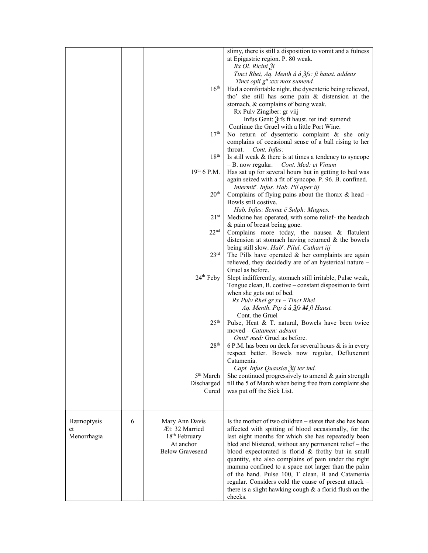|             |   |                           | slimy, there is still a disposition to vomit and a fulness |
|-------------|---|---------------------------|------------------------------------------------------------|
|             |   |                           | at Epigastric region. P. 80 weak.                          |
|             |   |                           | Rx Ol. Ricini Ži                                           |
|             |   |                           | Tinct Rhei, Aq. Menth á á $\tilde{A}$ fs: ft haust. addens |
|             |   |                           | Tinct opii g <sup>tt</sup> xxx mox sumend.                 |
|             |   | $16^{\text{th}}$          | Had a comfortable night, the dysenteric being relieved,    |
|             |   |                           | tho' she still has some pain & distension at the           |
|             |   |                           | stomach, & complains of being weak.                        |
|             |   |                           | Rx Pulv Zingiber: gr viij                                  |
|             |   |                           | Infus Gent: $\tilde{g}$ ifs ft haust. ter ind: sumend:     |
|             |   |                           | Continue the Gruel with a little Port Wine.                |
|             |   | 17 <sup>th</sup>          | No return of dysenteric complaint & she only               |
|             |   |                           | complains of occasional sense of a ball rising to her      |
|             |   |                           | throat. <i>Cont. Infus:</i>                                |
|             |   | $18^{\rm th}$             | Is still weak & there is at times a tendency to syncope    |
|             |   |                           | - B. now regular.<br>Cont. Med: et Vinum                   |
|             |   | $19th 6$ P.M.             | Has sat up for several hours but in getting to bed was     |
|             |   |                           | again seized with a fit of syncope. P. 96. B. confined.    |
|             |   |                           | Intermit <sup>r</sup> . Infus. Hab. Pil aper iij           |
|             |   | 20 <sup>th</sup>          |                                                            |
|             |   |                           | Complains of flying pains about the thorax $\&$ head $-$   |
|             |   |                           | Bowls still costive.                                       |
|             |   |                           | Hab. Infus: Sennæ č Sulph: Magnes.                         |
|             |   | $21^{st}$                 | Medicine has operated, with some relief- the headach       |
|             |   |                           | & pain of breast being gone.                               |
|             |   | $22^{\text{nd}}$          | Complains more today, the nausea & flatulent               |
|             |   |                           | distension at stomach having returned $\&$ the bowels      |
|             |   |                           | being still slow. Hab'. Pilul. Cathart iij                 |
|             |   | $23^{\text{rd}}$          | The Pills have operated $&$ her complaints are again       |
|             |   |                           | relieved, they decidedly are of an hysterical nature -     |
|             |   |                           | Gruel as before.                                           |
|             |   | $24th$ Feby               | Slept indifferently, stomach still irritable, Pulse weak,  |
|             |   |                           | Tongue clean, B. costive – constant disposition to faint   |
|             |   |                           | when she gets out of bed.                                  |
|             |   |                           | $Rx$ Pulv Rhei gr $xy$ – Tinct Rhei                        |
|             |   |                           | Aq. Menth. Pip á á $\tilde{A}$ fs M ft Haust.              |
|             |   |                           | Cont. the Gruel                                            |
|             |   | 25 <sup>th</sup>          | Pulse, Heat & T. natural, Bowels have been twice           |
|             |   |                           | moved - Catamen: adsunt                                    |
|             |   |                           | Omit <sup>r</sup> med: Gruel as before.                    |
|             |   | 28 <sup>th</sup>          | 6 P.M. has been on deck for several hours $\&$ is in every |
|             |   |                           | respect better. Bowels now regular, Defluxerunt            |
|             |   |                           | Catamenia.                                                 |
|             |   |                           | Capt. Infus Quassiæ Žij ter ind.                           |
|             |   | 5 <sup>th</sup> March     | She continued progressively to amend $\&$ gain strength    |
|             |   | Discharged                | till the 5 of March when being free from complaint she     |
|             |   | Cured                     | was put off the Sick List.                                 |
|             |   |                           |                                                            |
|             |   |                           |                                                            |
|             |   |                           |                                                            |
| Hæmoptysis  | 6 | Mary Ann Davis            | Is the mother of two children – states that she has been   |
| et          |   | Æt: 32 Married            | affected with spitting of blood occasionally, for the      |
| Menorrhagia |   | 18 <sup>th</sup> February | last eight months for which she has repeatedly been        |
|             |   | At anchor                 | bled and blistered, without any permanent relief - the     |
|             |   | <b>Below Gravesend</b>    | blood expectorated is florid & frothy but in small         |
|             |   |                           | quantity, she also complains of pain under the right       |
|             |   |                           | mamma confined to a space not larger than the palm         |
|             |   |                           | of the hand. Pulse 100, T clean, B and Catamenia           |
|             |   |                           | regular. Considers cold the cause of present attack -      |
|             |   |                           | there is a slight hawking cough $\&$ a florid flush on the |
|             |   |                           | cheeks.                                                    |
|             |   |                           |                                                            |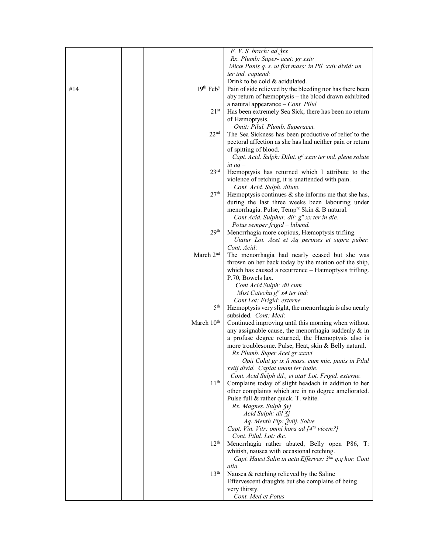|     |                        | $F. V. S. brach: ad \x3xx$                                                                   |
|-----|------------------------|----------------------------------------------------------------------------------------------|
|     |                        | Rx. Plumb: Super- acet: gr xxiv                                                              |
|     |                        | Micæ Panis qs. ut fiat mass: in Pil. xxiv divid: un                                          |
|     |                        | ter ind. capiend:                                                                            |
|     |                        | Drink to be cold & acidulated.                                                               |
| #14 | 19th Feby              | Pain of side relieved by the bleeding nor has there been                                     |
|     |                        |                                                                                              |
|     |                        | aby return of hæmoptysis – the blood drawn exhibited                                         |
|     |                        | a natural appearance - Cont. Pilul                                                           |
|     | $21^{st}$              | Has been extremely Sea Sick, there has been no return                                        |
|     |                        | of Hæmoptysis.                                                                               |
|     |                        | Omit: Pilul. Plumb. Superacet.                                                               |
|     | 22 <sup>nd</sup>       | The Sea Sickness has been productive of relief to the                                        |
|     |                        | pectoral affection as she has had neither pain or return                                     |
|     |                        | of spitting of blood.                                                                        |
|     |                        | Capt. Acid. Sulph: Dilut. g <sup>tt</sup> xxxv ter ind. plene solute                         |
|     |                        | in $aq -$                                                                                    |
|     | 23 <sup>rd</sup>       | Hæmoptysis has returned which I attribute to the                                             |
|     |                        | violence of retching, it is unattended with pain.                                            |
|     |                        | Cont. Acid. Sulph. dilute.                                                                   |
|     | 27 <sup>th</sup>       | Hæmoptysis continues $\&$ she informs me that she has,                                       |
|     |                        | during the last three weeks been labouring under                                             |
|     |                        | menorrhagia. Pulse, Temp <sup>re</sup> Skin & B natural.                                     |
|     |                        |                                                                                              |
|     |                        | Cont Acid. Sulphur. dil: g <sup>tt</sup> xx ter in die.                                      |
|     |                        | Potus semper frigid - bibend.                                                                |
|     | 29 <sup>th</sup>       | Menorrhagia more copious, Hæmoptysis trifling.                                               |
|     |                        | Utatur Lot. Acet et Aq perinæs et supra puber.                                               |
|     |                        | Cont. Acid:                                                                                  |
|     | March 2 <sup>nd</sup>  | The menorrhagia had nearly ceased but she was                                                |
|     |                        | thrown on her back today by the motion oof the ship,                                         |
|     |                        | which has caused a recurrence - Hæmoptysis trifling.                                         |
|     |                        | P.70, Bowels lax.                                                                            |
|     |                        | Cont Acid Sulph: dil cum                                                                     |
|     |                        | Mist Catechu $g^{tt}$ x4 ter ind:                                                            |
|     |                        | Cont Lot: Frigid: externe                                                                    |
|     | $5^{\text{th}}$        | Hæmoptysis very slight, the menorrhagia is also nearly                                       |
|     |                        | subsided. Cont: Med:                                                                         |
|     | March 10 <sup>th</sup> | Continued improving until this morning when without                                          |
|     |                        | any assignable cause, the menorrhagia suddenly $\&$ in                                       |
|     |                        | a profuse degree returned, the Hæmoptysis also is                                            |
|     |                        | more troublesome. Pulse, Heat, skin & Belly natural.                                         |
|     |                        | Rx Plumb. Super Acet gr xxxvi                                                                |
|     |                        | Opii Colat gr ix ft mass. cum mic. panis in Pilul                                            |
|     |                        |                                                                                              |
|     |                        | xviij divid. Capiat unam ter indie.<br>Cont. Acid Sulph dil., et utat" Lot. Frigid. externe. |
|     | 11 <sup>th</sup>       | Complains today of slight headach in addition to her                                         |
|     |                        |                                                                                              |
|     |                        | other complaints which are in no degree ameliorated.                                         |
|     |                        | Pulse full & rather quick. T. white.                                                         |
|     |                        | Rx. Magnes. Sulph 3vj                                                                        |
|     |                        | Acid Sulph: dil 3j                                                                           |
|     |                        | Aq. Menth Pip: Žviij. Solve                                                                  |
|     |                        | Capt. Vin. Vitr: omni hora ad [4 <sup>ta</sup> vicem?]                                       |
|     |                        | Cont. Pilul. Lot: &c.                                                                        |
|     | 12 <sup>th</sup>       | Menorrhagia rather abated, Belly open P86, T:                                                |
|     |                        | whitish, nausea with occasional retching.                                                    |
|     |                        | Capt. Haust Salin in actu Efferves: 3tia q.q hor. Cont                                       |
|     |                        | alia.                                                                                        |
|     | 13 <sup>th</sup>       | Nausea & retching relieved by the Saline                                                     |
|     |                        | Effervescent draughts but she complains of being                                             |
|     |                        | very thirsty.                                                                                |
|     |                        | Cont. Med et Potus                                                                           |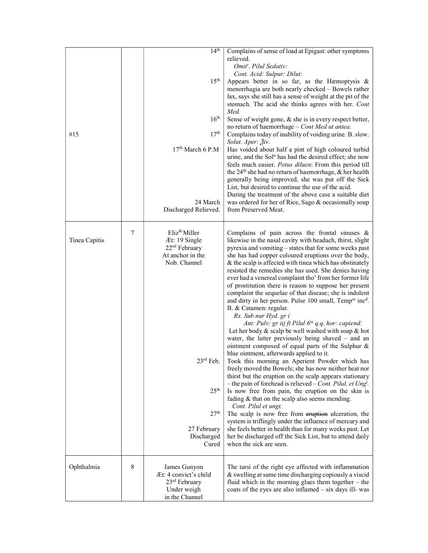| #15           |   | 14 <sup>th</sup><br>15 <sup>th</sup><br>16 <sup>th</sup><br>17 <sup>th</sup><br>17 <sup>th</sup> March 6 P.M <sup>.</sup><br>24 March<br>Discharged Relieved.                                                      | Complains of sense of load at Epigast: other symptoms<br>relieved.<br>Omit <sup>r</sup> . Pilul Sedativ:<br>Cont. Acid: Sulpur: Dilut:<br>Appears better in so far, as the Hæmoptysis &<br>menorrhagia are both nearly checked - Bowels rather<br>lax, says she still has a sense of weight at the pit of the<br>stomach. The acid she thinks agrees with her. Cont<br>Med.<br>Sense of weight gone, & she is in every respect better,<br>no return of haemorrhage - Cont Med ut antea.<br>Complains today of inability of voiding urine. B. slow.<br>Solut. Aper: 3iv.<br>Has voided about half a pint of high coloured turbid<br>urine, and the Sol <sup>n</sup> has had the desired effect; she now<br>feels much easier. Potus diluen: From this period till<br>the $24th$ she had no return of haemorrhage, & her health<br>generally being improved, she was put off the Sick<br>List, but desired to continue the use of the acid.<br>During the treatment of the above case a suitable diet<br>was ordered for her of Rice, Sago & occasionally soup<br>from Preserved Meat.                                                                                                                                                                                                                                                                                                                                                                                                                                                                                                                                            |
|---------------|---|--------------------------------------------------------------------------------------------------------------------------------------------------------------------------------------------------------------------|---------------------------------------------------------------------------------------------------------------------------------------------------------------------------------------------------------------------------------------------------------------------------------------------------------------------------------------------------------------------------------------------------------------------------------------------------------------------------------------------------------------------------------------------------------------------------------------------------------------------------------------------------------------------------------------------------------------------------------------------------------------------------------------------------------------------------------------------------------------------------------------------------------------------------------------------------------------------------------------------------------------------------------------------------------------------------------------------------------------------------------------------------------------------------------------------------------------------------------------------------------------------------------------------------------------------------------------------------------------------------------------------------------------------------------------------------------------------------------------------------------------------------------------------------------------------------------------------------------------------------------|
| Tinea Capitis | 7 | Eliz <sup>th</sup> Miller<br>Æt: 19 Single<br>22 <sup>nd</sup> February<br>At anchor in the<br>Nob. Channel<br>$23^{\text{rd}}$ Feb.<br>25 <sup>th</sup><br>27 <sup>th</sup><br>27 February<br>Discharged<br>Cured | Complains of pain across the frontal sinuses $\&$<br>likewise in the nasal cavity with headach, thirst, slight<br>pyrexia and vomiting – states that for some weeks past<br>she has had copper coloured eruptions over the body,<br>$\&$ the scalp is affected with tinea which has obstinately<br>resisted the remedies she has used. She denies having<br>ever had a venereal complaint tho' from her former life<br>of prostitution there is reason to suppose her present<br>complaint the sequelae of that disease; she is indolent<br>and dirty in her person. Pulse 100 small, Temp <sup>re</sup> inc <sup>d</sup> .<br>B. & Catamen: regular.<br>Rx. Sub nur Hyd. gr i<br>Ant: Pulv: gr iij ft Pilul 6 <sup>ta</sup> q.q. hor: capiend:<br>Let her body $\&$ scalp be well washed with soap $\&$ hot<br>water, the latter previously being shaved $-$ and an<br>ointment composed of equal parts of the Sulphur &<br>blue ointment, afterwards applied to it.<br>Took this morning an Aperient Powder which has<br>freely moved the Bowels; she has now neither heat nor<br>thirst but the eruption on the scalp appears stationary<br>- the pain of forehead is relieved $-$ Cont. Pilul, et Ung <sup>t</sup> .<br>Is now free from pain, the eruption on the skin is<br>fading $&$ that on the scalp also seems mending.<br>Cont. Pilul et ungt.<br>The scalp is now free from eruption ulceration, the<br>system is triflingly under the influence of mercury and<br>she feels better in health than for many weeks past. Let<br>her be discharged off the Sick List, but to attend daily<br>when the sick are seen. |
| Ophthalmia    | 8 | James Gunyon<br>Æt: 4 convict's child<br>$23rd$ February<br>Under weigh<br>in the Channel                                                                                                                          | The tarsi of the right eye affected with inflammation<br>& swelling at same time discharging copiously a viscid<br>fluid which in the morning glues them together $-$ the<br>coats of the eyes are also inflamed $-$ six days ill-was                                                                                                                                                                                                                                                                                                                                                                                                                                                                                                                                                                                                                                                                                                                                                                                                                                                                                                                                                                                                                                                                                                                                                                                                                                                                                                                                                                                           |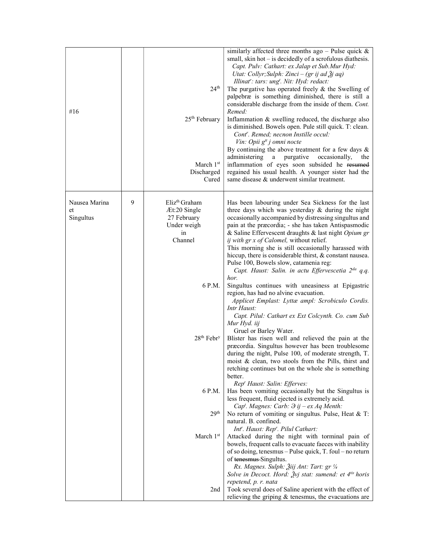| #16                              |   | $24^{\text{th}}$<br>$25th$ February<br>March $1st$<br>Discharged<br>Cured                | similarly affected three months ago - Pulse quick $\&$<br>small, skin hot – is decidedly of a scrofulous diathesis.<br>Capt. Pulv: Cathart: ex Jalap et Sub. Mur Hyd:<br>Utat: Collyr; Sulph: Zinci - (gr ij ad Žj aq)<br>Illinat': tars: ung <sup>t</sup> . Nit: Hyd: redact:<br>The purgative has operated freely $&$ the Swelling of<br>palpebræ is something diminished, there is still a<br>considerable discharge from the inside of them. Cont.<br>Remed:<br>Inflammation & swelling reduced, the discharge also<br>is diminished. Bowels open. Pule still quick. T: clean.<br>Cont <sup>r</sup> . Remed; necnon Instille occul:<br>Vin: Opii g <sup>tt</sup> j omni nocte<br>By continuing the above treatment for a few days $\&$<br>administering a purgative<br>occasionally,<br>the<br>inflammation of eyes soon subsided he resumed<br>regained his usual health. A younger sister had the<br>same disease & underwent similar treatment. |
|----------------------------------|---|------------------------------------------------------------------------------------------|--------------------------------------------------------------------------------------------------------------------------------------------------------------------------------------------------------------------------------------------------------------------------------------------------------------------------------------------------------------------------------------------------------------------------------------------------------------------------------------------------------------------------------------------------------------------------------------------------------------------------------------------------------------------------------------------------------------------------------------------------------------------------------------------------------------------------------------------------------------------------------------------------------------------------------------------------------|
| Nausea Marina<br>et<br>Singultus | 9 | Eliz <sup>th</sup> Graham<br>Æt:20 Single<br>27 February<br>Under weigh<br>in<br>Channel | Has been labouring under Sea Sickness for the last<br>three days which was yesterday & during the night<br>occasionally accompanied by distressing singultus and<br>pain at the præcordia; - she has taken Antispasmodic<br>& Saline Effervescent draughts & last night Opium gr<br>ij with gr x of Calomel, without relief.<br>This morning she is still occasionally harassed with<br>hiccup, there is considerable thirst, & constant nausea.<br>Pulse 100, Bowels slow, catamenia reg:<br>Capt. Haust: Salin. in actu Effervescetia 2 <sup>da</sup> q.q.                                                                                                                                                                                                                                                                                                                                                                                           |
|                                  |   | 6 P.M.                                                                                   | hor.<br>Singultus continues with uneasiness at Epigastric<br>region, has had no alvine evacuation.<br>Applicet Emplast: Lyttæ ampl: Scrobiculo Cordis.<br>Intr Haust:<br>Capt. Pilul: Cathart ex Ext Colcynth. Co. cum Sub<br>Mur Hyd. iij<br>Gruel or Barley Water.                                                                                                                                                                                                                                                                                                                                                                                                                                                                                                                                                                                                                                                                                   |
|                                  |   | 28 <sup>th</sup> Febr <sup>y</sup>                                                       | Blister has risen well and relieved the pain at the<br>præcordia. Singultus however has been troublesome<br>during the night, Pulse 100, of moderate strength, T.<br>moist & clean, two stools from the Pills, thirst and<br>retching continues but on the whole she is something<br>better.                                                                                                                                                                                                                                                                                                                                                                                                                                                                                                                                                                                                                                                           |
|                                  |   | 6 P.M.<br>29 <sup>th</sup>                                                               | Rep' Haust: Salin: Efferves:<br>Has been vomiting occasionally but the Singultus is<br>less frequent, fluid ejected is extremely acid.<br>Cap <sup>t</sup> . Magnes: Carb: $\partial$ ij – ex Aq Menth:<br>No return of vomiting or singultus. Pulse, Heat & T:                                                                                                                                                                                                                                                                                                                                                                                                                                                                                                                                                                                                                                                                                        |
|                                  |   | March 1st                                                                                | natural. B. confined.<br>Int'. Haust: Rep'. Pilul Cathart:<br>Attacked during the night with torminal pain of<br>bowels, frequent calls to evacuate faeces with inability<br>of so doing, tenesmus - Pulse quick, T. foul - no return                                                                                                                                                                                                                                                                                                                                                                                                                                                                                                                                                                                                                                                                                                                  |
|                                  |   |                                                                                          | of tenesmus Singultus.<br>Rx. Magnes. Sulph: Žiij Ant: Tart: gr 1/4<br>Solve in Decoct. Hord: Žvj stat: sumend: et 4tis horis<br>repetend, p. r. nata                                                                                                                                                                                                                                                                                                                                                                                                                                                                                                                                                                                                                                                                                                                                                                                                  |
|                                  |   | 2nd                                                                                      | Took several does of Saline aperient with the effect of<br>relieving the griping $\&$ tenesmus, the evacuations are                                                                                                                                                                                                                                                                                                                                                                                                                                                                                                                                                                                                                                                                                                                                                                                                                                    |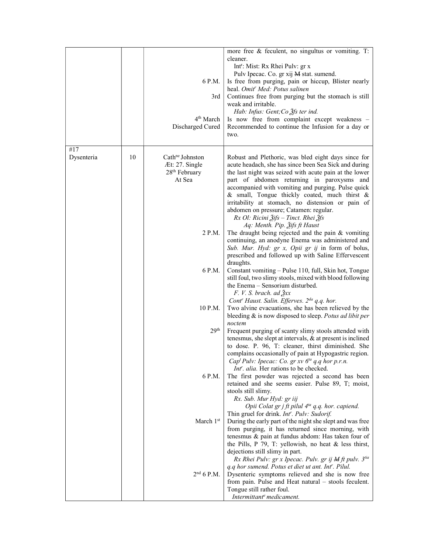|                   |    | 6 P.M.<br>3rd<br>4 <sup>th</sup> March<br>Discharged Cured                           | more free & feculent, no singultus or vomiting. T:<br>cleaner.<br>Int <sup>r</sup> : Mist: Rx Rhei Pulv: gr x<br>Pulv Ipecac. Co. gr xij M stat. sumend.<br>Is free from purging, pain or hiccup, Blister nearly<br>heal. Omit <sup>r</sup> Med: Potus salinen<br>Continues free from purging but the stomach is still<br>weak and irritable.<br>Hab: Infus: Gent; Co 2fs ter ind.<br>Is now free from complaint except weakness -<br>Recommended to continue the Infusion for a day or<br>two.                             |
|-------------------|----|--------------------------------------------------------------------------------------|-----------------------------------------------------------------------------------------------------------------------------------------------------------------------------------------------------------------------------------------------------------------------------------------------------------------------------------------------------------------------------------------------------------------------------------------------------------------------------------------------------------------------------|
| #17<br>Dysenteria | 10 | Cath <sup>ne</sup> Johnston<br>Æt: 27. Single<br>28 <sup>th</sup> February<br>At Sea | Robust and Plethoric, was bled eight days since for<br>acute headach, she has since been Sea Sick and during<br>the last night was seized with acute pain at the lower<br>part of abdomen returning in paroxysms and<br>accompanied with vomiting and purging. Pulse quick<br>& small, Tongue thickly coated, much thirst &<br>irritability at stomach, no distension or pain of<br>abdomen on pressure; Catamen: regular.<br>$Rx$ Ol: Ricini $\tilde{g}$ ifs – Tinct. Rhei $\tilde{g}$ fs<br>Aq: Menth. Pip. 2ifs ft Haust |
|                   |    | 2 P.M.                                                                               | The draught being rejected and the pain $&$ vomiting<br>continuing, an anodyne Enema was administered and<br>Sub. Mur. Hyd: gr x, Opii gr ij in form of bolus,<br>prescribed and followed up with Saline Effervescent<br>draughts.                                                                                                                                                                                                                                                                                          |
|                   |    | 6 P.M.                                                                               | Constant vomiting - Pulse 110, full, Skin hot, Tongue<br>still foul, two slimy stools, mixed with blood following<br>the Enema - Sensorium disturbed.<br>$F. V. S. brach. ad \lambda x$<br>Cont <sup>r</sup> Haust. Salin. Efferves. 2 <sup>da</sup> q.q. hor.                                                                                                                                                                                                                                                              |
|                   |    | 10 P.M.                                                                              | Two alvine evacuations, she has been relieved by the<br>bleeding & is now disposed to sleep. Potus ad libit per<br>noctem                                                                                                                                                                                                                                                                                                                                                                                                   |
|                   |    | 29 <sup>th</sup>                                                                     | Frequent purging of scanty slimy stools attended with<br>tenesmus, she slept at intervals, & at present is inclined<br>to dose. P. 96, T: cleaner, thirst diminished. She<br>complains occasionally of pain at Hypogastric region.<br>Cap <sup>t</sup> Pulv: Ipecac: Co. gr xv $6^{ta}$ q.q hor p.r.n.<br><i>Int'. alia.</i> Her rations to be checked.                                                                                                                                                                     |
|                   |    | 6 P.M.                                                                               | The first powder was rejected a second has been<br>retained and she seems easier. Pulse 89, T; moist,<br>stools still slimy.<br>Rx. Sub. Mur Hyd: gr iij<br>Opii Colat gr j ft pilul 4 <sup>ta</sup> q.q. hor. capiend.                                                                                                                                                                                                                                                                                                     |
|                   |    | March 1st                                                                            | Thin gruel for drink. Int'. Pulv: Sudorif.<br>During the early part of the night she slept and was free<br>from purging, it has returned since morning, with<br>tenesmus & pain at fundus abdom: Has taken four of<br>the Pills, P 79, T: yellowish, no heat $&$ less thirst,                                                                                                                                                                                                                                               |
|                   |    | 2 <sup>nd</sup> 6 P.M.                                                               | dejections still slimy in part.<br>Rx Rhei Pulv: gr x Ipecac. Pulv. gr ij M ft pulv. 3tia<br>q.q hor sumend. Potus et diet ut ant. Int'. Pilul.<br>Dysenteric symptoms relieved and she is now free<br>from pain. Pulse and Heat natural – stools feculent.<br>Tongue still rather foul.<br>Intermittante medicament.                                                                                                                                                                                                       |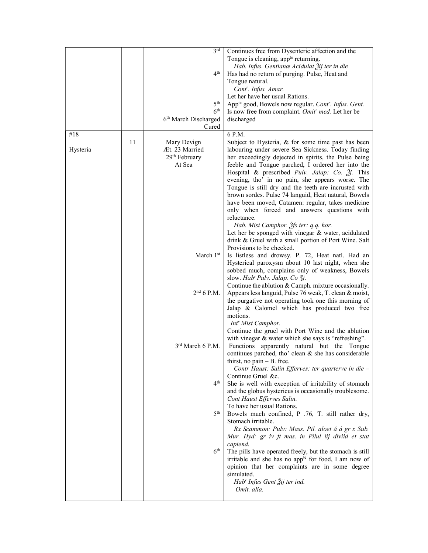|          |    | 3 <sup>rd</sup>           | Continues free from Dysenteric affection and the                    |
|----------|----|---------------------------|---------------------------------------------------------------------|
|          |    |                           | Tongue is cleaning, app <sup>te</sup> returning.                    |
|          |    |                           | Hab. Infus. Gentianæ Acidulat Žij ter in die                        |
|          |    | 4 <sup>th</sup>           | Has had no return of purging. Pulse, Heat and                       |
|          |    |                           | Tongue natural.                                                     |
|          |    |                           | Cont <sup>r</sup> . Infus. Amar.                                    |
|          |    |                           | Let her have her usual Rations.                                     |
|          |    | 5 <sup>th</sup>           | App <sup>te</sup> good, Bowels now regular. Cont'. Infus. Gent.     |
|          |    | 6 <sup>th</sup>           | Is now free from complaint. Omit' med. Let her be                   |
|          |    | 6th March Discharged      | discharged                                                          |
|          |    | Cured                     |                                                                     |
| #18      |    |                           | 6 P.M.                                                              |
|          | 11 | Mary Devign               | Subject to Hysteria, $&$ for some time past has been                |
| Hysteria |    | Æt. 23 Married            | labouring under severe Sea Sickness. Today finding                  |
|          |    | 29 <sup>th</sup> February | her exceedingly dejected in spirits, the Pulse being                |
|          |    | At Sea                    | feeble and Tongue parched, I ordered her into the                   |
|          |    |                           | Hospital & prescribed <i>Pulv. Jalap: Co. <math>3j</math>.</i> This |
|          |    |                           | evening, tho' in no pain, she appears worse. The                    |
|          |    |                           | Tongue is still dry and the teeth are incrusted with                |
|          |    |                           | brown sordes. Pulse 74 languid, Heat natural, Bowels                |
|          |    |                           | have been moved, Catamen: regular, takes medicine                   |
|          |    |                           | only when forced and answers questions with                         |
|          |    |                           | reluctance.                                                         |
|          |    |                           | Hab. Mist Camphor. 3fs ter: q.q. hor.                               |
|          |    |                           | Let her be sponged with vinegar & water, acidulated                 |
|          |    |                           | drink & Gruel with a small portion of Port Wine. Salt               |
|          |    |                           | Provisions to be checked.                                           |
|          |    | March 1st                 | Is listless and drowsy. P. 72, Heat natl. Had an                    |
|          |    |                           | Hysterical paroxysm about 10 last night, when she                   |
|          |    |                           | sobbed much, complains only of weakness, Bowels                     |
|          |    |                           | slow. Hab' Pulv. Jalap. Co 3j.                                      |
|          |    |                           | Continue the ablution & Camph. mixture occasionally.                |
|          |    | $2nd$ 6 P.M.              | Appears less languid, Pulse 76 weak, T. clean & moist,              |
|          |    |                           | the purgative not operating took one this morning of                |
|          |    |                           | Jalap & Calomel which has produced two free                         |
|          |    |                           | motions.                                                            |
|          |    |                           | Int <sup>r</sup> Mist Camphor.                                      |
|          |    |                           | Continue the gruel with Port Wine and the ablution                  |
|          |    |                           | with vinegar & water which she says is "refreshing".                |
|          |    | $3rd$ March 6 P.M.        | Functions apparently natural but the Tongue                         |
|          |    |                           | continues parched, tho' clean & she has considerable                |
|          |    |                           | thirst, no pain - B. free.                                          |
|          |    |                           | Contr Haust: Salin Efferves: ter quarterve in die -                 |
|          |    |                           | Continue Gruel &c.                                                  |
|          |    | 4 <sup>th</sup>           | She is well with exception of irritability of stomach               |
|          |    |                           | and the globus hystericus is occasionally troublesome.              |
|          |    |                           | Cont Haust Efferves Salin.                                          |
|          |    |                           | To have her usual Rations.                                          |
|          |    | 5 <sup>th</sup>           | Bowels much confined, P .76, T. still rather dry,                   |
|          |    |                           | Stomach irritable.                                                  |
|          |    |                           | Rx Scammon: Pulv: Mass. Pil. aloet á á gr x Sub.                    |
|          |    |                           | Mur. Hyd: gr iv ft mas. in Pilul iij diviid et stat                 |
|          |    |                           | capiend.                                                            |
|          |    | $6^{\rm th}$              | The pills have operated freely, but the stomach is still            |
|          |    |                           | irritable and she has no app <sup>te</sup> for food, I am now of    |
|          |    |                           | opinion that her complaints are in some degree                      |
|          |    |                           | simulated.                                                          |
|          |    |                           | Hab' Infus Gent Žij ter ind.                                        |
|          |    |                           | Omit. alia.                                                         |
|          |    |                           |                                                                     |
|          |    |                           |                                                                     |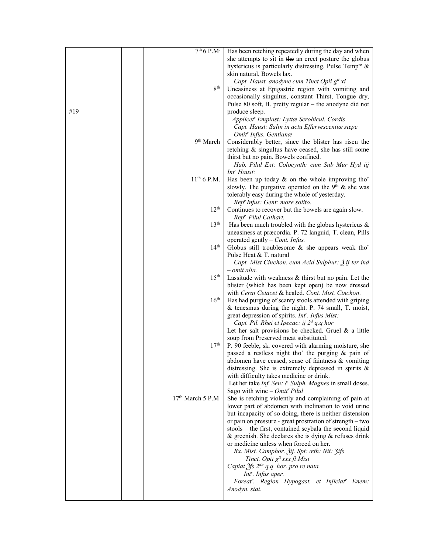|     | $7th 6 P.M-$                              | Has been retching repeatedly during the day and when                                                       |
|-----|-------------------------------------------|------------------------------------------------------------------------------------------------------------|
|     |                                           | she attempts to sit in the an erect posture the globus                                                     |
|     |                                           | hystericus is particularly distressing. Pulse Temp <sup>re</sup> &                                         |
|     |                                           | skin natural, Bowels lax.                                                                                  |
|     |                                           | Capt. Haust. anodyne cum Tinct Opii g <sup>tt</sup> xi                                                     |
|     | 8 <sup>th</sup>                           | Uneasiness at Epigastric region with vomiting and                                                          |
|     |                                           | occasionally singultus, constant Thirst, Tongue dry,                                                       |
|     |                                           | Pulse 80 soft, B. pretty regular - the anodyne did not                                                     |
| #19 |                                           | produce sleep.                                                                                             |
|     |                                           | Applicet" Emplast: Lyttæ Scrobicul. Cordis                                                                 |
|     |                                           | Capt. Haust: Salin in actu Effervescentiæ sæpe                                                             |
|     |                                           | Omit <sup>r</sup> Infus. Gentianæ                                                                          |
|     | 9 <sup>th</sup> March                     | Considerably better, since the blister has risen the                                                       |
|     |                                           | retching & singultus have ceased, she has still some                                                       |
|     |                                           | thirst but no pain. Bowels confined.                                                                       |
|     |                                           | Hab. Pilul Ext: Colocynth: cum Sub Mur Hyd iij                                                             |
|     |                                           | Int <sup>r</sup> Haust:                                                                                    |
|     | $11^{th}$ 6 P.M.                          | Has been up today $\&$ on the whole improving tho'                                                         |
|     |                                           | slowly. The purgative operated on the $9th$ & she was                                                      |
|     |                                           | tolerably easy during the whole of yesterday.                                                              |
|     |                                           | Rep' Infus: Gent: more solito.                                                                             |
|     | 12 <sup>th</sup>                          | Continues to recover but the bowels are again slow.                                                        |
|     |                                           | Rep' Pilul Cathart.                                                                                        |
|     | 13 <sup>th</sup>                          | Has been much troubled with the globus hystericus $\&$                                                     |
|     |                                           | uneasiness at præcordia. P. 72 languid, T. clean, Pills                                                    |
|     |                                           | operated gently $-$ Cont. Infus.                                                                           |
|     | 14 <sup>th</sup>                          | Globus still troublesome & she appears weak tho'                                                           |
|     |                                           | Pulse Heat & T. natural                                                                                    |
|     |                                           | Capt. Mist Cinchon. cum Acid Sulphur: $\tilde{A}$ .ij ter ind                                              |
|     |                                           | - omit alia.                                                                                               |
|     | 15 <sup>th</sup>                          | Lassitude with weakness & thirst but no pain. Let the                                                      |
|     |                                           | blister (which has been kept open) be now dressed                                                          |
|     |                                           | with Cerat Cetacei & healed. Cont. Mist. Cinchon.                                                          |
|     | $16^{\text{th}}$                          | Has had purging of scanty stools attended with griping                                                     |
|     |                                           | & tenesmus during the night. P. 74 small, T. moist,                                                        |
|     |                                           | great depression of spirits. Int <sup>r</sup> . Infus Mist:<br>Capt. Pil. Rhei et Ipecac: ij $2^d$ q.q hor |
|     |                                           | Let her salt provisions be checked. Gruel $\&$ a little                                                    |
|     |                                           | soup from Preserved meat substituted.                                                                      |
|     | 17 <sup>th</sup>                          | P. 90 feeble, sk. covered with alarming moisture, she                                                      |
|     |                                           | passed a restless night tho' the purging & pain of                                                         |
|     |                                           | abdomen have ceased, sense of faintness & vomiting                                                         |
|     |                                           | distressing. She is extremely depressed in spirits $\&$                                                    |
|     |                                           | with difficulty takes medicine or drink.                                                                   |
|     |                                           | Let her take Inf. Sen: č Sulph. Magnes in small doses.                                                     |
|     |                                           | Sago with wine $-$ Omit <sup>r</sup> Pilul                                                                 |
|     | 17 <sup>th</sup> March 5 P.M <sup>.</sup> | She is retching violently and complaining of pain at                                                       |
|     |                                           | lower part of abdomen with inclination to void urine                                                       |
|     |                                           | but incapacity of so doing, there is neither distension                                                    |
|     |                                           | or pain on pressure - great prostration of strength - two                                                  |
|     |                                           | stools – the first, contained scybala the second liquid                                                    |
|     |                                           | $\&$ greenish. She declares she is dying $\&$ refuses drink                                                |
|     |                                           | or medicine unless when forced on her.                                                                     |
|     |                                           | Rx. Mist. Camphor. Žij. Spt: œth: Nit: 3ifs                                                                |
|     |                                           | Tinct. Opii g <sup>tt</sup> xxx ft Mist                                                                    |
|     |                                           | Capiat Ѯfs 2 <sup>da</sup> q.q. hor. pro re nata.                                                          |
|     |                                           | Int <sup>r</sup> . Infus aper.                                                                             |
|     |                                           | Foreat'. Region Hypogast. et Injiciat' Enem:                                                               |
|     |                                           | Anodyn. stat.                                                                                              |
|     |                                           |                                                                                                            |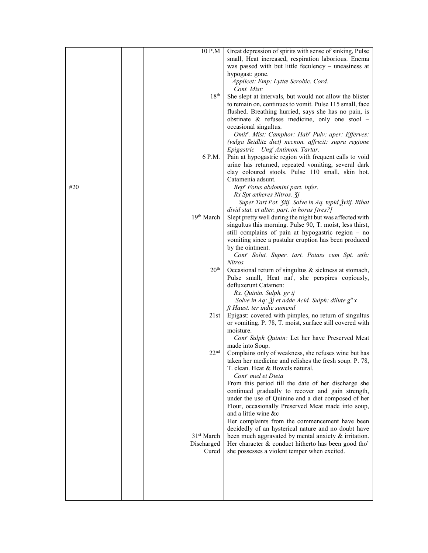|     | 10 P.M                 | Great depression of spirits with sense of sinking, Pulse                                                          |
|-----|------------------------|-------------------------------------------------------------------------------------------------------------------|
|     |                        | small, Heat increased, respiration laborious. Enema                                                               |
|     |                        | was passed with but little feculency - uneasiness at                                                              |
|     |                        | hypogast: gone.                                                                                                   |
|     |                        | Applicet: Emp: Lyttæ Scrobic. Cord.<br>Cont. Mist:                                                                |
|     | 18 <sup>th</sup>       | She slept at intervals, but would not allow the blister                                                           |
|     |                        | to remain on, continues to vomit. Pulse 115 small, face                                                           |
|     |                        | flushed. Breathing hurried, says she has no pain, is                                                              |
|     |                        | obstinate $\&$ refuses medicine, only one stool –                                                                 |
|     |                        | occasional singultus.                                                                                             |
|     |                        | Omit". Mist: Camphor: Hab' Pulv: aper: Efferves:                                                                  |
|     |                        | (vulga Seidlitz diet) necnon. affricit: supra regione                                                             |
|     |                        | Epigastric Ung <sup>t</sup> Antimon. Tartar.                                                                      |
|     | 6 P.M.                 | Pain at hypogastric region with frequent calls to void                                                            |
|     |                        | urine has returned, repeated vomiting, several dark                                                               |
|     |                        | clay coloured stools. Pulse 110 small, skin hot.                                                                  |
|     |                        | Catamenia adsunt.                                                                                                 |
| #20 |                        | Rep' Fotus abdomini part. infer.                                                                                  |
|     |                        | Rx Spt ætheres Nitros. 3j                                                                                         |
|     |                        | Super Tart Pot. Ziij. Solve in Aq. tepid Žviij. Bibat<br>divid stat. et alter. part. in horas [tres?]             |
|     | 19 <sup>th</sup> March | Slept pretty well during the night but was affected with                                                          |
|     |                        | singultus this morning. Pulse 90, T. moist, less thirst,                                                          |
|     |                        | still complains of pain at hypogastric region - no                                                                |
|     |                        | vomiting since a pustular eruption has been produced                                                              |
|     |                        | by the ointment.                                                                                                  |
|     |                        | Cont' Solut. Super. tart. Potass cum Spt. æth:                                                                    |
|     |                        | Nitros.                                                                                                           |
|     | 20 <sup>th</sup>       | Occasional return of singultus & sickness at stomach,                                                             |
|     |                        | Pulse small, Heat nat <sup>1</sup> , she perspires copiously,                                                     |
|     |                        | defluxerunt Catamen:                                                                                              |
|     |                        | Rx. Quinin. Sulph. gr ij                                                                                          |
|     |                        | Solve in Aq: $\tilde{A}j$ et adde Acid. Sulph: dilute $g^{tt}x$                                                   |
|     | 21st                   | ft Haust. ter indie sumend                                                                                        |
|     |                        | Epigast: covered with pimples, no return of singultus<br>or vomiting. P. 78, T. moist, surface still covered with |
|     |                        | moisture.                                                                                                         |
|     |                        | Cont' Sulph Quinin: Let her have Preserved Meat                                                                   |
|     |                        | made into Soup.                                                                                                   |
|     | 22 <sup>nd</sup>       | Complains only of weakness, she refuses wine but has                                                              |
|     |                        | taken her medicine and relishes the fresh soup. P. 78,                                                            |
|     |                        | T. clean. Heat & Bowels natural.                                                                                  |
|     |                        | Cont <sup>r</sup> med et Dieta                                                                                    |
|     |                        | From this period till the date of her discharge she                                                               |
|     |                        | continued gradually to recover and gain strength,                                                                 |
|     |                        | under the use of Quinine and a diet composed of her                                                               |
|     |                        | Flour, occasionally Preserved Meat made into soup,                                                                |
|     |                        | and a little wine &c<br>Her complaints from the commencement have been                                            |
|     |                        | decidedly of an hysterical nature and no doubt have                                                               |
|     | 31 <sup>st</sup> March | been much aggravated by mental anxiety $\&$ irritation.                                                           |
|     | Discharged             | Her character & conduct hitherto has been good tho'                                                               |
|     | Cured                  | she possesses a violent temper when excited.                                                                      |
|     |                        |                                                                                                                   |
|     |                        |                                                                                                                   |
|     |                        |                                                                                                                   |
|     |                        |                                                                                                                   |
|     |                        |                                                                                                                   |
|     |                        |                                                                                                                   |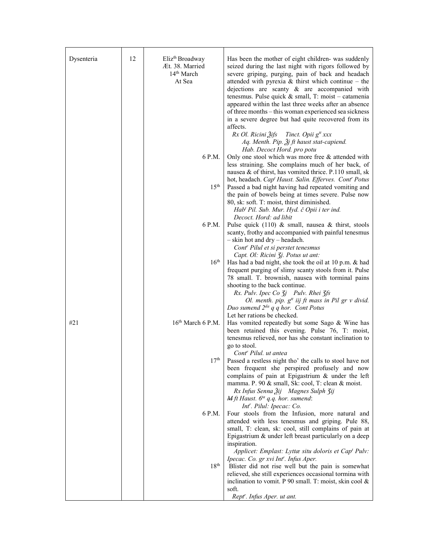| Dysenteria | 12 | Eliz <sup>th</sup> Broadway      | Has been the mother of eight children- was suddenly                                                           |
|------------|----|----------------------------------|---------------------------------------------------------------------------------------------------------------|
|            |    | Æt. 38. Married                  | seized during the last night with rigors followed by                                                          |
|            |    | 14 <sup>th</sup> March<br>At Sea | severe griping, purging, pain of back and headach<br>attended with pyrexia & thirst which continue – the      |
|            |    |                                  | dejections are scanty $\&$ are accompanied with                                                               |
|            |    |                                  | tenesmus. Pulse quick $\&$ small, T: moist - catamenia                                                        |
|            |    |                                  | appeared within the last three weeks after an absence                                                         |
|            |    |                                  | of three months – this woman experienced sea sickness                                                         |
|            |    |                                  | in a severe degree but had quite recovered from its                                                           |
|            |    |                                  | affects.                                                                                                      |
|            |    |                                  | Rx Ol. Ricini Žifs Tinct. Opii g <sup>tt</sup> xxx                                                            |
|            |    |                                  | Aq. Menth. Pip. $\tilde{A}$ j ft haust stat-capiend.                                                          |
|            |    |                                  | Hab. Decoct Hord. pro potu                                                                                    |
|            |    | 6 P.M.                           | Only one stool which was more free & attended with                                                            |
|            |    |                                  | less straining. She complains much of her back, of<br>nausea & of thirst, has vomited thrice. P.110 small, sk |
|            |    |                                  | hot, headach. Cap' Haust. Salin. Efferves. Cont' Potus                                                        |
|            |    | $15^{\text{th}}$                 | Passed a bad night having had repeated vomiting and                                                           |
|            |    |                                  | the pain of bowels being at times severe. Pulse now                                                           |
|            |    |                                  | 80, sk: soft. T: moist, thirst diminished.                                                                    |
|            |    |                                  | Hab <sup>t</sup> Pil. Sub. Mur. Hyd. č Opii i ter ind.                                                        |
|            |    |                                  | Decoct. Hord: ad libit                                                                                        |
|            |    | 6 P.M.                           | Pulse quick $(110)$ & small, nausea & thirst, stools                                                          |
|            |    |                                  | scanty, frothy and accompanied with painful tenesmus<br>$-$ skin hot and dry $-$ headach.                     |
|            |    |                                  | Cont <sup>r</sup> Pilul et si perstet tenesmus                                                                |
|            |    |                                  | Capt. Ol: Ricini <i>Zj. Potus ut ant:</i>                                                                     |
|            |    | $16^{\text{th}}$                 | Has had a bad night, she took the oil at 10 p.m. & had                                                        |
|            |    |                                  | frequent purging of slimy scanty stools from it. Pulse                                                        |
|            |    |                                  | 78 small. T. brownish, nausea with torminal pains                                                             |
|            |    |                                  | shooting to the back continue.                                                                                |
|            |    |                                  | Rx. Pulv. Ipec Co 3j Pulv. Rhei 3fs<br>Ol. menth. pip. g <sup>tt</sup> iij ft mass in Pil gr v divid.         |
|            |    |                                  | Duo sumend $2^{da}$ q q hor. Cont Potus                                                                       |
|            |    |                                  | Let her rations be checked.                                                                                   |
| #21        |    | 16 <sup>th</sup> March 6 P.M.    | Has vomited repeatedly but some Sago & Wine has                                                               |
|            |    |                                  | been retained this evening. Pulse 76, T: moist,                                                               |
|            |    |                                  | tenesmus relieved, nor has she constant inclination to                                                        |
|            |    |                                  | go to stool.<br>Cont <sup>r</sup> Pilul. ut antea                                                             |
|            |    | 17 <sup>th</sup>                 | Passed a restless night tho' the calls to stool have not                                                      |
|            |    |                                  | been frequent she perspired profusely and now                                                                 |
|            |    |                                  | complains of pain at Epigastrium & under the left                                                             |
|            |    |                                  | mamma. P. 90 & small, Sk: cool, T: clean & moist.                                                             |
|            |    |                                  | Rx Infus Senna Žij Magnes Sulph Zij<br>M ft Haust. $6^{ta}$ q.q. hor. sumend:                                 |
|            |    |                                  | Int <sup>r</sup> . Pilul: Ipecac: Co.                                                                         |
|            |    | 6 P.M.                           | Four stools from the Infusion, more natural and                                                               |
|            |    |                                  | attended with less tenesmus and griping. Pule 88,                                                             |
|            |    |                                  | small, T: clean, sk: cool, still complains of pain at                                                         |
|            |    |                                  | Epigastrium & under left breast particularly on a deep                                                        |
|            |    |                                  | inspiration.<br>Applicet: Emplast: Lyttæ situ doloris et Cap <sup>t</sup> Pulv:                               |
|            |    |                                  | Ipecac. Co. gr xvi Int'. Infus Aper.                                                                          |
|            |    | 18 <sup>th</sup>                 | Blister did not rise well but the pain is somewhat                                                            |
|            |    |                                  | relieved, she still experiences occasional tormina with                                                       |
|            |    |                                  | inclination to vomit. P 90 small. T: moist, skin cool &                                                       |
|            |    |                                  | soft.                                                                                                         |
|            |    |                                  | Rept'. Infus Aper. ut ant.                                                                                    |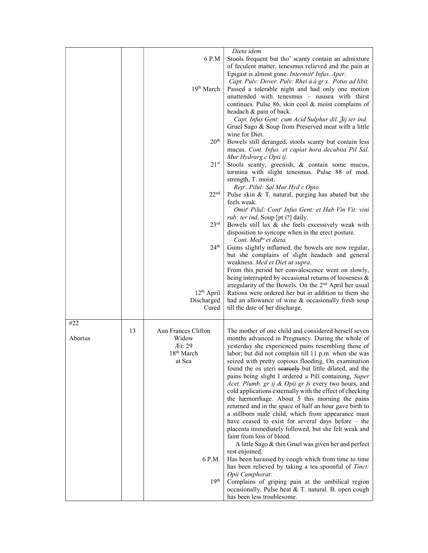| Dieta idem<br>6 P.M<br>Stools frequent but tho' scanty contain an admixture<br>of feculent matter, tenesmus relieved and the pain at<br>Epigast is almost gone. Intermitt' Infus. Aper.<br>Capt. Pulv: Dover. Pulv: Rhei á á gr x. Potus ad libit.<br>19th March<br>Passed a tolerable night and had only one motion<br>unattended with tenesmus - nausea with thirst<br>continues. Pulse 86, skin cool & moist complains of<br>headach & pain of back.<br>Capt. Infus Gent: cum Acid Sulphur dil. 3ij ter ind.<br>Gruel Sago & Soup from Preserved meat with a little<br>wine for Diet.<br>20 <sup>th</sup><br>Bowels still deranged, stools scanty but contain less<br>mucus. Cont. Infus. et capiat hora decubita Pil Sal.<br>Mur Hydrarg c Opii ij.<br>21 <sup>st</sup><br>Stools scanty, greenish, & contain some mucus,<br>tormina with slight tenesmus. Pulse 88 of mod.<br>strength, T. moist.<br>Rep'. Pilul: Sal Mur Hyd c Opio<br>22 <sup>nd</sup><br>Pulse skin & T. natural, purging has abated but she |
|----------------------------------------------------------------------------------------------------------------------------------------------------------------------------------------------------------------------------------------------------------------------------------------------------------------------------------------------------------------------------------------------------------------------------------------------------------------------------------------------------------------------------------------------------------------------------------------------------------------------------------------------------------------------------------------------------------------------------------------------------------------------------------------------------------------------------------------------------------------------------------------------------------------------------------------------------------------------------------------------------------------------|
|                                                                                                                                                                                                                                                                                                                                                                                                                                                                                                                                                                                                                                                                                                                                                                                                                                                                                                                                                                                                                      |
|                                                                                                                                                                                                                                                                                                                                                                                                                                                                                                                                                                                                                                                                                                                                                                                                                                                                                                                                                                                                                      |
|                                                                                                                                                                                                                                                                                                                                                                                                                                                                                                                                                                                                                                                                                                                                                                                                                                                                                                                                                                                                                      |
|                                                                                                                                                                                                                                                                                                                                                                                                                                                                                                                                                                                                                                                                                                                                                                                                                                                                                                                                                                                                                      |
|                                                                                                                                                                                                                                                                                                                                                                                                                                                                                                                                                                                                                                                                                                                                                                                                                                                                                                                                                                                                                      |
|                                                                                                                                                                                                                                                                                                                                                                                                                                                                                                                                                                                                                                                                                                                                                                                                                                                                                                                                                                                                                      |
|                                                                                                                                                                                                                                                                                                                                                                                                                                                                                                                                                                                                                                                                                                                                                                                                                                                                                                                                                                                                                      |
|                                                                                                                                                                                                                                                                                                                                                                                                                                                                                                                                                                                                                                                                                                                                                                                                                                                                                                                                                                                                                      |
|                                                                                                                                                                                                                                                                                                                                                                                                                                                                                                                                                                                                                                                                                                                                                                                                                                                                                                                                                                                                                      |
|                                                                                                                                                                                                                                                                                                                                                                                                                                                                                                                                                                                                                                                                                                                                                                                                                                                                                                                                                                                                                      |
|                                                                                                                                                                                                                                                                                                                                                                                                                                                                                                                                                                                                                                                                                                                                                                                                                                                                                                                                                                                                                      |
|                                                                                                                                                                                                                                                                                                                                                                                                                                                                                                                                                                                                                                                                                                                                                                                                                                                                                                                                                                                                                      |
|                                                                                                                                                                                                                                                                                                                                                                                                                                                                                                                                                                                                                                                                                                                                                                                                                                                                                                                                                                                                                      |
|                                                                                                                                                                                                                                                                                                                                                                                                                                                                                                                                                                                                                                                                                                                                                                                                                                                                                                                                                                                                                      |
|                                                                                                                                                                                                                                                                                                                                                                                                                                                                                                                                                                                                                                                                                                                                                                                                                                                                                                                                                                                                                      |
| feels weak.                                                                                                                                                                                                                                                                                                                                                                                                                                                                                                                                                                                                                                                                                                                                                                                                                                                                                                                                                                                                          |
| Omit' Pilul: Cont' Infus Gent: et Hab Vin Vit: vini                                                                                                                                                                                                                                                                                                                                                                                                                                                                                                                                                                                                                                                                                                                                                                                                                                                                                                                                                                  |
| rub: ter ind. Soup [pt i?] daily.                                                                                                                                                                                                                                                                                                                                                                                                                                                                                                                                                                                                                                                                                                                                                                                                                                                                                                                                                                                    |
| 23 <sup>rd</sup><br>Bowels still lax & she feels excessively weak with                                                                                                                                                                                                                                                                                                                                                                                                                                                                                                                                                                                                                                                                                                                                                                                                                                                                                                                                               |
| disposition to syncope when in the erect posture.                                                                                                                                                                                                                                                                                                                                                                                                                                                                                                                                                                                                                                                                                                                                                                                                                                                                                                                                                                    |
| Cont. Med <sup>ta</sup> et dieta.<br>$24^{\rm th}$                                                                                                                                                                                                                                                                                                                                                                                                                                                                                                                                                                                                                                                                                                                                                                                                                                                                                                                                                                   |
| Gums slightly inflamed, the bowels are now regular,<br>but she complains of slight headach and general                                                                                                                                                                                                                                                                                                                                                                                                                                                                                                                                                                                                                                                                                                                                                                                                                                                                                                               |
| weakness. Med et Diet ut supra.                                                                                                                                                                                                                                                                                                                                                                                                                                                                                                                                                                                                                                                                                                                                                                                                                                                                                                                                                                                      |
| From this period her convalescence went on slowly,                                                                                                                                                                                                                                                                                                                                                                                                                                                                                                                                                                                                                                                                                                                                                                                                                                                                                                                                                                   |
| being interrupted by occasional returns of looseness &                                                                                                                                                                                                                                                                                                                                                                                                                                                                                                                                                                                                                                                                                                                                                                                                                                                                                                                                                               |
| irregularity of the Bowels. On the 2 <sup>nd</sup> April her usual                                                                                                                                                                                                                                                                                                                                                                                                                                                                                                                                                                                                                                                                                                                                                                                                                                                                                                                                                   |
| $12th$ April<br>Rations were ordered her but in addition to them she<br>Discharged<br>had an allowance of wine & occasionally fresh soup                                                                                                                                                                                                                                                                                                                                                                                                                                                                                                                                                                                                                                                                                                                                                                                                                                                                             |
| Cured<br>till the date of her discharge.                                                                                                                                                                                                                                                                                                                                                                                                                                                                                                                                                                                                                                                                                                                                                                                                                                                                                                                                                                             |
|                                                                                                                                                                                                                                                                                                                                                                                                                                                                                                                                                                                                                                                                                                                                                                                                                                                                                                                                                                                                                      |
| #22                                                                                                                                                                                                                                                                                                                                                                                                                                                                                                                                                                                                                                                                                                                                                                                                                                                                                                                                                                                                                  |
| 13<br>Ann Frances Clifton<br>The mother of one child and considered herself seven                                                                                                                                                                                                                                                                                                                                                                                                                                                                                                                                                                                                                                                                                                                                                                                                                                                                                                                                    |
| Abortus<br>Widow<br>months advanced in Pregnancy. During the whole of<br>Æt: 29<br>yesterday she experienced pains resembling those of                                                                                                                                                                                                                                                                                                                                                                                                                                                                                                                                                                                                                                                                                                                                                                                                                                                                               |
| 18 <sup>th</sup> March<br>labor; but did not complain till 11 p.m. when she was                                                                                                                                                                                                                                                                                                                                                                                                                                                                                                                                                                                                                                                                                                                                                                                                                                                                                                                                      |
| at Sea<br>seized with pretty copious flooding. On examination                                                                                                                                                                                                                                                                                                                                                                                                                                                                                                                                                                                                                                                                                                                                                                                                                                                                                                                                                        |
| found the os uteri searcely but little dilated, and the                                                                                                                                                                                                                                                                                                                                                                                                                                                                                                                                                                                                                                                                                                                                                                                                                                                                                                                                                              |
| pains being slight I ordered a Pill containing, Super                                                                                                                                                                                                                                                                                                                                                                                                                                                                                                                                                                                                                                                                                                                                                                                                                                                                                                                                                                |
| Acet. Plumb. gr ij & Opii gr fs every two hours, and                                                                                                                                                                                                                                                                                                                                                                                                                                                                                                                                                                                                                                                                                                                                                                                                                                                                                                                                                                 |
| cold applications externally with the effect of checking<br>the hæmorrhage. About 5 this morning the pains                                                                                                                                                                                                                                                                                                                                                                                                                                                                                                                                                                                                                                                                                                                                                                                                                                                                                                           |
| returned and in the space of half an hour gave birth to                                                                                                                                                                                                                                                                                                                                                                                                                                                                                                                                                                                                                                                                                                                                                                                                                                                                                                                                                              |
| a stillborn male child, which from appearance must                                                                                                                                                                                                                                                                                                                                                                                                                                                                                                                                                                                                                                                                                                                                                                                                                                                                                                                                                                   |
| have ceased to exist for several days before – the                                                                                                                                                                                                                                                                                                                                                                                                                                                                                                                                                                                                                                                                                                                                                                                                                                                                                                                                                                   |
| placenta immediately followed, but she felt weak and                                                                                                                                                                                                                                                                                                                                                                                                                                                                                                                                                                                                                                                                                                                                                                                                                                                                                                                                                                 |
| faint from loss of blood.<br>A little Sago & thin Gruel was given her and perfect                                                                                                                                                                                                                                                                                                                                                                                                                                                                                                                                                                                                                                                                                                                                                                                                                                                                                                                                    |
| rest enjoined.                                                                                                                                                                                                                                                                                                                                                                                                                                                                                                                                                                                                                                                                                                                                                                                                                                                                                                                                                                                                       |
|                                                                                                                                                                                                                                                                                                                                                                                                                                                                                                                                                                                                                                                                                                                                                                                                                                                                                                                                                                                                                      |
| 6 P.M.                                                                                                                                                                                                                                                                                                                                                                                                                                                                                                                                                                                                                                                                                                                                                                                                                                                                                                                                                                                                               |
| Has been harassed by cough which from time to time<br>has been relieved by taking a tea spoonful of Tinct:                                                                                                                                                                                                                                                                                                                                                                                                                                                                                                                                                                                                                                                                                                                                                                                                                                                                                                           |
| Opii Camphorat:                                                                                                                                                                                                                                                                                                                                                                                                                                                                                                                                                                                                                                                                                                                                                                                                                                                                                                                                                                                                      |
| 19 <sup>th</sup><br>Complains of griping pain at the umbilical region<br>occasionally. Pulse heat & T. natural. B. open cough                                                                                                                                                                                                                                                                                                                                                                                                                                                                                                                                                                                                                                                                                                                                                                                                                                                                                        |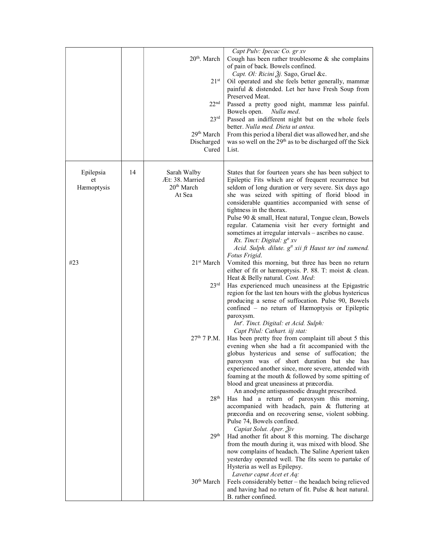|            |    |                        | Capt Pulv: Ipecac Co. gr xv                                                                   |
|------------|----|------------------------|-----------------------------------------------------------------------------------------------|
|            |    | $20th$ . March         | Cough has been rather troublesome $\&$ she complains                                          |
|            |    |                        | of pain of back. Bowels confined.                                                             |
|            |    |                        | Capt. Ol: Ricini Žj. Sago, Gruel &c.                                                          |
|            |    | $21^{st}$              | Oil operated and she feels better generally, mammæ                                            |
|            |    |                        | painful & distended. Let her have Fresh Soup from                                             |
|            |    |                        | Preserved Meat.                                                                               |
|            |    | 22 <sup>nd</sup>       |                                                                                               |
|            |    |                        | Passed a pretty good night, mammæ less painful.                                               |
|            |    |                        | Bowels open. Nulla med.                                                                       |
|            |    | 23 <sup>rd</sup>       | Passed an indifferent night but on the whole feels                                            |
|            |    |                        | better. Nulla med. Dieta ut antea.                                                            |
|            |    | 29th March             | From this period a liberal diet was allowed her, and she                                      |
|            |    | Discharged             | was so well on the 29 <sup>th</sup> as to be discharged off the Sick                          |
|            |    | Cured                  | List.                                                                                         |
|            |    |                        |                                                                                               |
|            |    |                        |                                                                                               |
| Epilepsia  | 14 | Sarah Walby            | States that for fourteen years she has been subject to                                        |
| et         |    | Æt: 38. Married        | Epileptic Fits which are of frequent recurrence but                                           |
| Hæmoptysis |    | 20 <sup>th</sup> March | seldom of long duration or very severe. Six days ago                                          |
|            |    | At Sea                 | she was seized with spitting of florid blood in                                               |
|            |    |                        | considerable quantities accompanied with sense of                                             |
|            |    |                        | tightness in the thorax.                                                                      |
|            |    |                        | Pulse 90 & small, Heat natural, Tongue clean, Bowels                                          |
|            |    |                        | regular. Catamenia visit her every fortnight and                                              |
|            |    |                        | sometimes at irregular intervals – ascribes no cause.                                         |
|            |    |                        | Rx. Tinct: Digital: $g^{tt} xv$                                                               |
|            |    |                        | Acid. Sulph. dilute. g <sup>tt</sup> xii ft Haust ter ind sumend.                             |
|            |    |                        | Fotus Frigid.                                                                                 |
| #23        |    | 21 <sup>st</sup> March | Vomited this morning, but three has been no return                                            |
|            |    |                        | either of fit or hæmoptysis. P. 88. T: moist & clean.                                         |
|            |    |                        | Heat & Belly natural. Cont. Med:                                                              |
|            |    | 23 <sup>rd</sup>       | Has experienced much uneasiness at the Epigastric                                             |
|            |    |                        | region for the last ten hours with the globus hystericus                                      |
|            |    |                        | producing a sense of suffocation. Pulse 90, Bowels                                            |
|            |    |                        | confined - no return of Hæmoptysis or Epileptic                                               |
|            |    |                        | paroxysm.                                                                                     |
|            |    |                        | Int'. Tinct. Digital: et Acid. Sulph:                                                         |
|            |    |                        | Capt Pilul: Cathart. iij stat:                                                                |
|            |    | $27th$ 7 P.M.          | Has been pretty free from complaint till about 5 this                                         |
|            |    |                        | evening when she had a fit accompanied with the                                               |
|            |    |                        |                                                                                               |
|            |    |                        | globus hystericus and sense of suffocation; the<br>paroxysm was of short duration but she has |
|            |    |                        |                                                                                               |
|            |    |                        | experienced another since, more severe, attended with                                         |
|            |    |                        | foaming at the mouth & followed by some spitting of                                           |
|            |    |                        | blood and great uneasiness at præcordia.                                                      |
|            |    |                        | An anodyne antispasmodic draught prescribed.                                                  |
|            |    | 28 <sup>th</sup>       | Has had a return of paroxysm this morning,                                                    |
|            |    |                        | accompanied with headach, pain & fluttering at                                                |
|            |    |                        | præcordia and on recovering sense, violent sobbing.                                           |
|            |    |                        | Pulse 74, Bowels confined.                                                                    |
|            |    |                        | Capiat Solut. Aper. 3iv                                                                       |
|            |    | 29 <sup>th</sup>       | Had another fit about 8 this morning. The discharge                                           |
|            |    |                        | from the mouth during it, was mixed with blood. She                                           |
|            |    |                        | now complains of headach. The Saline Aperient taken                                           |
|            |    |                        | yesterday operated well. The fits seem to partake of                                          |
|            |    |                        | Hysteria as well as Epilepsy.                                                                 |
|            |    |                        | Lavetur caput Acet et Aq:                                                                     |
|            |    | 30 <sup>th</sup> March | Feels considerably better - the headach being relieved                                        |
|            |    |                        | and having had no return of fit. Pulse & heat natural.                                        |
|            |    |                        | B. rather confined.                                                                           |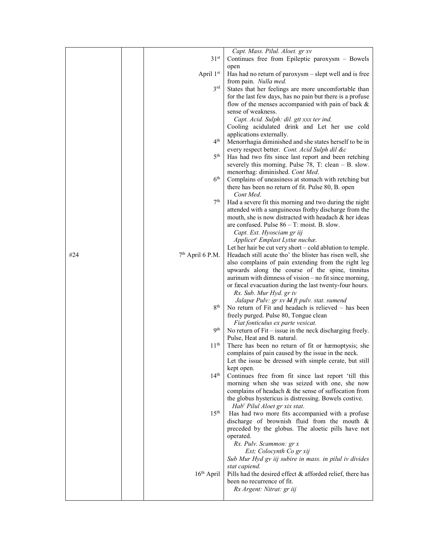|     |                        | Capt. Mass. Pilul. Aloet. gr xv                                                                                 |
|-----|------------------------|-----------------------------------------------------------------------------------------------------------------|
|     | 31 <sup>st</sup>       | Continues free from Epileptic paroxysm - Bowels                                                                 |
|     |                        | open                                                                                                            |
|     | April 1st              | Has had no return of paroxysm - slept well and is free<br>from pain. Nulla med.                                 |
|     | $3^{\text{rd}}$        | States that her feelings are more uncomfortable than                                                            |
|     |                        | for the last few days, has no pain but there is a profuse                                                       |
|     |                        | flow of the menses accompanied with pain of back &                                                              |
|     |                        | sense of weakness.                                                                                              |
|     |                        | Capt. Acid. Sulph: dil. gtt xxx ter ind.                                                                        |
|     |                        | Cooling acidulated drink and Let her use cold                                                                   |
|     | 4 <sup>th</sup>        | applications externally.<br>Menorrhagia diminished and she states herself to be in                              |
|     |                        | every respect better. Cont. Acid Sulph dil &c                                                                   |
|     | 5 <sup>th</sup>        | Has had two fits since last report and been retching                                                            |
|     |                        | severely this morning. Pulse $78$ , T: clean – B. slow.                                                         |
|     |                        | menorrhag: diminished. Cont Med.                                                                                |
|     | $6^{\rm th}$           | Complains of uneasiness at stomach with retching but                                                            |
|     |                        | there has been no return of fit. Pulse 80, B. open                                                              |
|     |                        | Cont Med.                                                                                                       |
|     | 7th                    | Had a severe fit this morning and two during the night<br>attended with a sanguineous frothy discharge from the |
|     |                        | mouth, she is now distracted with headach & her ideas                                                           |
|     |                        | are confused. Pulse $86 - T$ : moist. B. slow.                                                                  |
|     |                        | Capt. Ext. Hyosciam gr iij                                                                                      |
|     |                        | Applicet <sup>r</sup> Emplast Lyttæ nuchæ.                                                                      |
|     |                        | Let her hair be cut very short – cold ablution to temple.                                                       |
| #24 | $7th$ April 6 P.M.     | Headach still acute tho' the blister has risen well, she                                                        |
|     |                        | also complains of pain extending from the right leg<br>upwards along the course of the spine, tinnitus          |
|     |                        | aurinum with dimness of vision – no fit since morning,                                                          |
|     |                        | or fæcal evacuation during the last twenty-four hours.                                                          |
|     |                        | Rx. Sub. Mur Hyd. gr iv                                                                                         |
|     |                        | Jalapæ Pulv: gr xv M ft pulv. stat. sumend                                                                      |
|     | 8 <sup>th</sup>        | No return of Fit and headach is relieved - has been                                                             |
|     |                        | freely purged. Pulse 80, Tongue clean                                                                           |
|     | 9 <sup>th</sup>        | Fiat fonticulus ex parte vesicat.<br>No return of $Fit$ – issue in the neck discharging freely.                 |
|     |                        | Pulse, Heat and B. natural.                                                                                     |
|     | 11 <sup>th</sup>       | There has been no return of fit or hæmoptysis; she                                                              |
|     |                        | complains of pain caused by the issue in the neck.                                                              |
|     |                        | Let the issue be dressed with simple cerate, but still                                                          |
|     |                        | kept open.                                                                                                      |
|     | 14 <sup>th</sup>       | Continues free from fit since last report 'till this                                                            |
|     |                        | morning when she was seized with one, she now<br>complains of headach & the sense of suffocation from           |
|     |                        | the globus hystericus is distressing. Bowels costive.                                                           |
|     |                        | Hab' Pilul Aloet gr xix stat.                                                                                   |
|     | $15^{\text{th}}$       | Has had two more fits accompanied with a profuse                                                                |
|     |                        | discharge of brownish fluid from the mouth &                                                                    |
|     |                        | preceded by the globus. The aloetic pills have not                                                              |
|     |                        | operated.                                                                                                       |
|     |                        | Rx. Pulv. Scammon: gr x                                                                                         |
|     |                        | Ext; Colocynth Co gr xij                                                                                        |
|     |                        | Sub Mur Hyd gv iij subire in mass. in pilul iv divides<br>stat capiend.                                         |
|     | 16 <sup>th</sup> April | Pills had the desired effect & afforded relief, there has                                                       |
|     |                        | been no recurrence of fit.                                                                                      |
|     |                        | Rx Argent: Nitrat: gr iij                                                                                       |
|     |                        |                                                                                                                 |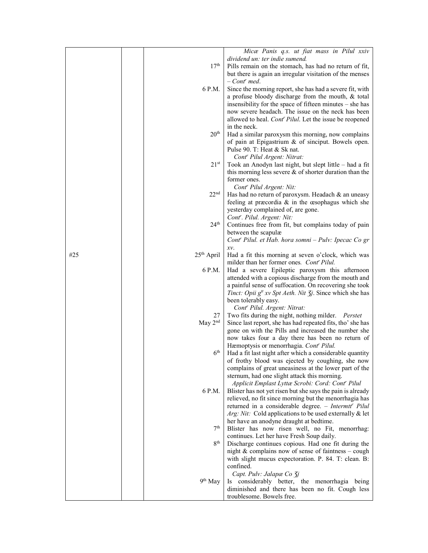|     |                        | Micæ Panis q.s. ut fiat mass in Pilul xxiv                                             |
|-----|------------------------|----------------------------------------------------------------------------------------|
|     |                        | dividend un: ter indie sumend.                                                         |
|     | 17 <sup>th</sup>       | Pills remain on the stomach, has had no return of fit,                                 |
|     |                        |                                                                                        |
|     |                        | but there is again an irregular visitation of the menses<br>$-$ Cont <sup>r</sup> med. |
|     | 6 P.M.                 |                                                                                        |
|     |                        | Since the morning report, she has had a severe fit, with                               |
|     |                        | a profuse bloody discharge from the mouth, & total                                     |
|     |                        | insensibility for the space of fifteen minutes – she has                               |
|     |                        | now severe headach. The issue on the neck has been                                     |
|     |                        | allowed to heal. Cont' Pilul. Let the issue be reopened                                |
|     |                        | in the neck.                                                                           |
|     | 20 <sup>th</sup>       | Had a similar paroxysm this morning, now complains                                     |
|     |                        | of pain at Epigastrium & of sinciput. Bowels open.                                     |
|     |                        | Pulse 90. T: Heat & Sk nat.                                                            |
|     |                        | Cont' Pilul Argent: Nitrat:                                                            |
|     | $21^{st}$              | Took an Anodyn last night, but slept little - had a fit                                |
|     |                        | this morning less severe $\&$ of shorter duration than the                             |
|     |                        | former ones.                                                                           |
|     |                        | Cont <sup>r</sup> Pilul Argent: Nit:                                                   |
|     | 22 <sup>nd</sup>       | Has had no return of paroxysm. Headach & an uneasy                                     |
|     |                        | feeling at præcordia $\&$ in the œsophagus which she                                   |
|     |                        |                                                                                        |
|     |                        | yesterday complained of, are gone.                                                     |
|     |                        | Cont'. Pilul. Argent: Nit:                                                             |
|     | 24 <sup>th</sup>       | Continues free from fit, but complains today of pain                                   |
|     |                        | between the scapulæ                                                                    |
|     |                        | Cont' Pilul. et Hab. hora somni - Pulv: Ipecac Co gr                                   |
|     |                        | xv.                                                                                    |
| #25 | 25 <sup>th</sup> April | Had a fit this morning at seven o'clock, which was                                     |
|     |                        | milder than her former ones. Cont' Pilul.                                              |
|     | 6 P.M.                 | Had a severe Epileptic paroxysm this afternoon                                         |
|     |                        | attended with a copious discharge from the mouth and                                   |
|     |                        | a painful sense of suffocation. On recovering she took                                 |
|     |                        | <i>Tinct: Opii g<sup>tt</sup> xv Spt Aeth. Nit 3j.</i> Since which she has             |
|     |                        | been tolerably easy.                                                                   |
|     |                        | Cont <sup>r</sup> Pilul. Argent: Nitrat:                                               |
|     | 27                     | Two fits during the night, nothing milder. Perstet                                     |
|     | May $2nd$              | Since last report, she has had repeated fits, tho' she has                             |
|     |                        | gone on with the Pills and increased the number she                                    |
|     |                        | now takes four a day there has been no return of                                       |
|     |                        | Hæmoptysis or menorrhagia. Cont <sup>r</sup> Pilul.                                    |
|     | 6 <sup>th</sup>        | Had a fit last night after which a considerable quantity                               |
|     |                        | of frothy blood was ejected by coughing, she now                                       |
|     |                        | complains of great uneasiness at the lower part of the                                 |
|     |                        | sternum, had one slight attack this morning.                                           |
|     |                        | Applicit Emplast Lyttæ Scrobi: Cord: Cont' Pilul                                       |
|     | 6 P.M.                 | Blister has not yet risen but she says the pain is already                             |
|     |                        | relieved, no fit since morning but the menorrhagia has                                 |
|     |                        | returned in a considerable degree. - Intermtt' Pilul                                   |
|     |                        | Arg: Nit: Cold applications to be used externally $\&$ let                             |
|     |                        | her have an anodyne draught at bedtime.                                                |
|     | 7 <sup>th</sup>        | Blister has now risen well, no Fit, menorrhag:                                         |
|     |                        | continues. Let her have Fresh Soup daily.                                              |
|     | 8 <sup>th</sup>        | Discharge continues copious. Had one fit during the                                    |
|     |                        | night $&$ complains now of sense of faintness – cough                                  |
|     |                        | with slight mucus expectoration. P. 84. T: clean. B:                                   |
|     |                        | confined.                                                                              |
|     |                        |                                                                                        |
|     | $9^{th}$ May           | Capt. Pulv: Jalapæ Co 3j<br>Is considerably better, the menorrhagia being              |
|     |                        |                                                                                        |
|     |                        | diminished and there has been no fit. Cough less                                       |
|     |                        | troublesome. Bowels free.                                                              |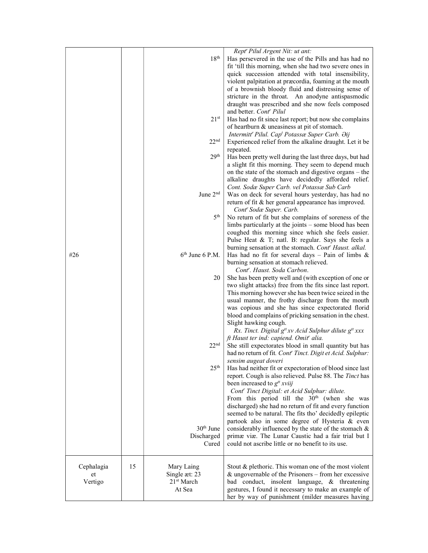|                             |    | 18 <sup>th</sup><br>$21^{st}$<br>22 <sup>nd</sup>               | Rept' Pilul Argent Nit: ut ant:<br>Has persevered in the use of the Pills and has had no<br>fit 'till this morning, when she had two severe ones in<br>quick succession attended with total insensibility,<br>violent palpitation at præcordia, foaming at the mouth<br>of a brownish bloody fluid and distressing sense of<br>stricture in the throat. An anodyne antispasmodic<br>draught was prescribed and she now feels composed<br>and better. Cont <sup>r</sup> Pilul<br>Has had no fit since last report; but now she complains<br>of heartburn & uneasiness at pit of stomach.<br>Intermitt' Pilul. Cap <sup>t</sup> Potassæ Super Carb. Əij<br>Experienced relief from the alkaline draught. Let it be<br>repeated. |
|-----------------------------|----|-----------------------------------------------------------------|-------------------------------------------------------------------------------------------------------------------------------------------------------------------------------------------------------------------------------------------------------------------------------------------------------------------------------------------------------------------------------------------------------------------------------------------------------------------------------------------------------------------------------------------------------------------------------------------------------------------------------------------------------------------------------------------------------------------------------|
|                             |    | 29 <sup>th</sup>                                                | Has been pretty well during the last three days, but had<br>a slight fit this morning. They seem to depend much<br>on the state of the stomach and digestive organs – the<br>alkaline draughts have decidedly afforded relief.<br>Cont. Sodæ Super Carb. vel Potassæ Sub Carb                                                                                                                                                                                                                                                                                                                                                                                                                                                 |
|                             |    | June 2 <sup>nd</sup>                                            | Was on deck for several hours yesterday, has had no<br>return of fit & her general appearance has improved.<br>Cont <sup>r</sup> Sodæ Super. Carb.                                                                                                                                                                                                                                                                                                                                                                                                                                                                                                                                                                            |
|                             |    | 5 <sup>th</sup>                                                 | No return of fit but she complains of soreness of the<br>limbs particularly at the joints – some blood has been<br>coughed this morning since which she feels easier.<br>Pulse Heat & T; natl. B: regular. Says she feels a                                                                                                                                                                                                                                                                                                                                                                                                                                                                                                   |
| #26                         |    | $6th$ June 6 P.M.                                               | burning sensation at the stomach. Cont' Haust. alkal.<br>Has had no fit for several days $-$ Pain of limbs &<br>burning sensation at stomach relieved.                                                                                                                                                                                                                                                                                                                                                                                                                                                                                                                                                                        |
|                             |    | 20                                                              | Cont''. Haust. Soda Carbon.<br>She has been pretty well and (with exception of one or<br>two slight attacks) free from the fits since last report.<br>This morning however she has been twice seized in the<br>usual manner, the frothy discharge from the mouth<br>was copious and she has since expectorated florid<br>blood and complains of pricking sensation in the chest.<br>Slight hawking cough.<br>Rx. Tinct. Digital $g^{tt}xv$ Acid Sulphur dilute $g^{tt}xxx$<br>ft Haust ter ind: capiend. Omit' alia.                                                                                                                                                                                                          |
|                             |    | 22 <sup>nd</sup><br>25 <sup>th</sup>                            | She still expectorates blood in small quantity but has<br>had no return of fit. Cont' Tinct. Digit et Acid. Sulphur:<br>sensim augeat doveri<br>Has had neither fit or expectoration of blood since last                                                                                                                                                                                                                                                                                                                                                                                                                                                                                                                      |
|                             |    |                                                                 | report. Cough is also relieved. Pulse 88. The Tinct has<br>been increased to $g^{tt}$ xviij<br>Cont <sup>r</sup> Tinct Digital: et Acid Sulphur: dilute.<br>From this period till the $30th$ (when she was<br>discharged) she had no return of fit and every function<br>seemed to be natural. The fits tho' decidedly epileptic                                                                                                                                                                                                                                                                                                                                                                                              |
|                             |    | 30 <sup>th</sup> June<br>Discharged<br>Cured                    | partook also in some degree of Hysteria & even<br>considerably influenced by the state of the stomach &<br>primæ viæ. The Lunar Caustic had a fair trial but I<br>could not ascribe little or no benefit to its use.                                                                                                                                                                                                                                                                                                                                                                                                                                                                                                          |
| Cephalagia<br>et<br>Vertigo | 15 | Mary Laing<br>Single æt: 23<br>21 <sup>st</sup> March<br>At Sea | Stout & plethoric. This woman one of the most violent<br>$&$ ungovernable of the Prisoners – from her excessive<br>bad conduct, insolent language, & threatening<br>gestures, I found it necessary to make an example of<br>her by way of punishment (milder measures having                                                                                                                                                                                                                                                                                                                                                                                                                                                  |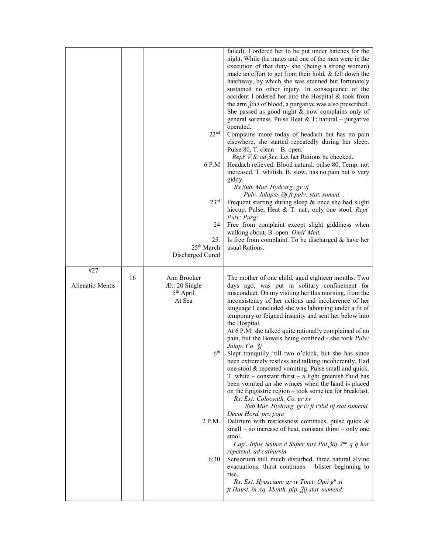|                         |    | 22 <sup>nd</sup><br>6 P.M<br>23 <sup>rd</sup><br>24<br>25.<br>25 <sup>th</sup> March<br>Discharged Cured | failed). I ordered her to be put under hatches for the<br>night. While the mates and one of the men were in the<br>execution of that duty- she, (being a strong woman)<br>made an effort to get from their hold, & fell down the<br>hatchway, by which she was stunned but fortunately<br>sustained no other injury. In consequence of the<br>accident I ordered her into the Hospital & took from<br>the arm $\frac{3}{2}$ xvi of blood, a purgative was also prescribed.<br>She passed as good night $&$ now complains only of<br>general soreness. Pulse Heat & T: natural – purgative<br>operated.<br>Complains more today of headach but has no pain<br>elsewhere, she started repeatedly during her sleep.<br>Pulse $80$ , T. clean - B. open.<br><i>Rept' V.S. ad gxx.</i> Let her Rations be checked.<br>Headach relieved. Blood natural. pulse 80, Temp. not<br>increased. T. whitish. B. slow, has no pain but is very<br>giddy.<br>Rx Sub. Mur. Hydrarg: gr vj<br>Pulv. Jalapæ $\partial$ j ft pulv: stat. sumed.<br>Frequent starting during sleep & once she had slight<br>hiccup. Pulse, Heat & T: nat <sup>1</sup> , only one stool. Rept <sup>r</sup><br>Pulv: Purg:<br>Free from complaint except slight giddiness when<br>walking about. B. open. Omit' Med.<br>Is free from complaint. To be discharged & have her<br>usual Rations.                                                                                           |
|-------------------------|----|----------------------------------------------------------------------------------------------------------|---------------------------------------------------------------------------------------------------------------------------------------------------------------------------------------------------------------------------------------------------------------------------------------------------------------------------------------------------------------------------------------------------------------------------------------------------------------------------------------------------------------------------------------------------------------------------------------------------------------------------------------------------------------------------------------------------------------------------------------------------------------------------------------------------------------------------------------------------------------------------------------------------------------------------------------------------------------------------------------------------------------------------------------------------------------------------------------------------------------------------------------------------------------------------------------------------------------------------------------------------------------------------------------------------------------------------------------------------------------------------------------------------------------------------------------------------|
|                         |    |                                                                                                          |                                                                                                                                                                                                                                                                                                                                                                                                                                                                                                                                                                                                                                                                                                                                                                                                                                                                                                                                                                                                                                                                                                                                                                                                                                                                                                                                                                                                                                                   |
| #27<br>Alienatio Mentis | 16 | Ann Brooker<br>Æt: 20 Single<br>$5th$ April<br>At Sea<br>6 <sup>th</sup><br>2 P.M.<br>6:30               | The mother of one child, aged eighteen months. Two<br>days ago, was put in solitary confinement for<br>misconduct. On my visiting her this morning, from the<br>inconsistency of her actions and incoherence of her<br>language I concluded she was labouring under a fit of<br>temporary or feigned insanity and sent her below into<br>the Hospital.<br>At 6 P.M. she talked quite rationally complained of no<br>pain, but the Bowels being confined - she took Pulv:<br>Jalap: Co. 3j<br>Slept tranquilly 'till two o'clock, but she has since<br>been extremely restless and talking incoherently. Had<br>one stool & repeated vomiting. Pulse small and quick.<br>T. white $-$ constant thirst $-$ a light greenish fluid has<br>been vomited an she winces when the hand is placed<br>on the Epigastric region – took some tea for breakfast.<br>Rx. Ext: Colocynth. Co. gr xv<br>Sub Mur. Hydrarg. gr iv ft Pilul iij stat sumend.<br>Decot Hord. pro pota<br>Delirium with restlessness continues, pulse quick &<br>$small - no increase of heat, constant thirst - only one$<br>stool.<br>Cap <sup>t</sup> . Infus Sennæ č Super tart Pot. Žiij 2 <sup>da</sup> q q hor<br>repetend. ad catharsin<br>Sensorium still much disturbed, three natural alvine<br>evacuations, thirst continues - blister beginning to<br>rise.<br>Rx. Ext. Hyosciam: gr iv Tinct: Opii g <sup>tt</sup> xi<br>ft Haust. in Aq. Menth. pip. Žij stat. sumend: |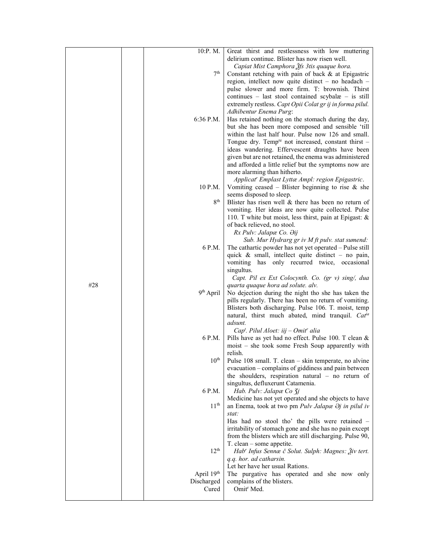|     | 10:P.M.               | Great thirst and restlessness with low muttering                        |
|-----|-----------------------|-------------------------------------------------------------------------|
|     |                       | delirium continue. Blister has now risen well.                          |
|     |                       | Capiat Mist Camphora 3fs 3tis quaque hora.                              |
|     |                       | 7 <sup>th</sup><br>Constant retching with pain of back & at Epigastric  |
|     |                       | region, intellect now quite distinct - no headach -                     |
|     |                       | pulse slower and more firm. T: brownish. Thirst                         |
|     |                       | continues $-$ last stool contained scybal $x -$ is still                |
|     |                       | extremely restless. Capt Opii Colat gr ij in forma pilul.               |
|     |                       |                                                                         |
|     |                       | Adhibentur Enema Purg:                                                  |
|     | 6:36 P.M.             | Has retained nothing on the stomach during the day,                     |
|     |                       | but she has been more composed and sensible 'till                       |
|     |                       | within the last half hour. Pulse now 126 and small.                     |
|     |                       | Tongue dry. Temp <sup>re</sup> not increased, constant thirst -         |
|     |                       | ideas wandering. Effervescent draughts have been                        |
|     |                       | given but are not retained, the enema was administered                  |
|     |                       | and afforded a little relief but the symptoms now are                   |
|     |                       | more alarming than hitherto.                                            |
|     |                       | Applicat" Emplast Lyttæ Ampl: region Epigastric.                        |
|     | 10 P.M.               |                                                                         |
|     |                       | Vomiting ceased – Blister beginning to rise $\&$ she                    |
|     |                       | seems disposed to sleep.                                                |
|     |                       | 8 <sup>th</sup><br>Blister has risen well & there has been no return of |
|     |                       | vomiting. Her ideas are now quite collected. Pulse                      |
|     |                       | 110. T white but moist, less thirst, pain at Epigast: &                 |
|     |                       | of back relieved, no stool.                                             |
|     |                       | Rx Pulv: Jalapæ Co. Əij                                                 |
|     |                       | Sub. Mur Hydrarg gr iv M ft pulv. stat sumend:                          |
|     | 6 P.M.                | The cathartic powder has not yet operated - Pulse still                 |
|     |                       | quick $\&$ small, intellect quite distinct – no pain,                   |
|     |                       |                                                                         |
|     |                       | vomiting has only recurred twice, occasional                            |
|     |                       | singultus.                                                              |
|     |                       | Capt. Pil ex Ext Colocynth. Co. (gr v) sing/, dua                       |
| #28 |                       | quarta quaque hora ad solute. alv.                                      |
|     | 9 <sup>th</sup> April | No dejection during the night tho she has taken the                     |
|     |                       | pills regularly. There has been no return of vomiting.                  |
|     |                       | Blisters both discharging. Pulse 106. T. moist, temp                    |
|     |                       | natural, thirst much abated, mind tranquil. Catia                       |
|     |                       | adsunt.                                                                 |
|     |                       | $Capt$ . Pilul Aloet: iij – Omit <sup>r</sup> alia                      |
|     | 6 P.M.                |                                                                         |
|     |                       | Pills have as yet had no effect. Pulse 100. T clean &                   |
|     |                       | moist – she took some Fresh Soup apparently with                        |
|     |                       | relish.                                                                 |
|     | $10^{\rm th}$         | Pulse 108 small. T. clean - skin temperate, no alvine                   |
|     |                       | evacuation – complains of giddiness and pain between                    |
|     |                       | the shoulders, respiration natural $-$ no return of                     |
|     |                       | singultus, defluxerunt Catamenia.                                       |
|     | 6 P.M.                | Hab. Pulv: Jalapæ Co 3j                                                 |
|     |                       | Medicine has not yet operated and she objects to have                   |
|     | 11 <sup>th</sup>      | an Enema, took at two pm Pulv Jalapæ $\partial j$ in pilul iv           |
|     |                       | stat:                                                                   |
|     |                       |                                                                         |
|     |                       | Has had no stool tho' the pills were retained -                         |
|     |                       | irritability of stomach gone and she has no pain except                 |
|     |                       | from the blisters which are still discharging. Pulse 90,                |
|     |                       | T. clean - some appetite.                                               |
|     | 12 <sup>th</sup>      | Hab' Infus Sennæ č Solut. Sulph: Magnes: Živ tert.                      |
|     |                       | q.q. hor. ad catharsin.                                                 |
|     |                       | Let her have her usual Rations.                                         |
|     | April 19th            | The purgative has operated and she now only                             |
|     | Discharged            | complains of the blisters.                                              |
|     | Cured                 | Omit <sup>r</sup> Med.                                                  |
|     |                       |                                                                         |
|     |                       |                                                                         |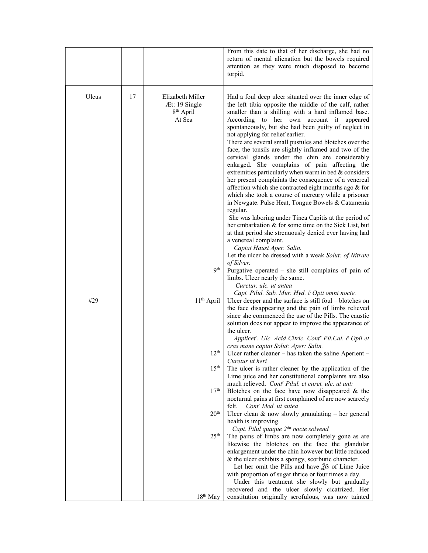|       |    |                                                                      | From this date to that of her discharge, she had no<br>return of mental alienation but the bowels required<br>attention as they were much disposed to become<br>torpid.                                                                                                                                                                                                                                                                                                                                                                                                                                                                                                                                                                                                                                                                                                                                                                                                                                                                                                                                                              |
|-------|----|----------------------------------------------------------------------|--------------------------------------------------------------------------------------------------------------------------------------------------------------------------------------------------------------------------------------------------------------------------------------------------------------------------------------------------------------------------------------------------------------------------------------------------------------------------------------------------------------------------------------------------------------------------------------------------------------------------------------------------------------------------------------------------------------------------------------------------------------------------------------------------------------------------------------------------------------------------------------------------------------------------------------------------------------------------------------------------------------------------------------------------------------------------------------------------------------------------------------|
| Ulcus | 17 | Elizabeth Miller<br>Æt: 19 Single<br>8 <sup>th</sup> April<br>At Sea | Had a foul deep ulcer situated over the inner edge of<br>the left tibia opposite the middle of the calf, rather<br>smaller than a shilling with a hard inflamed base.<br>According to her own account it appeared<br>spontaneously, but she had been guilty of neglect in<br>not applying for relief earlier.<br>There are several small pustules and blotches over the<br>face, the tonsils are slightly inflamed and two of the<br>cervical glands under the chin are considerably<br>enlarged. She complains of pain affecting the<br>extremities particularly when warm in bed $&$ considers<br>her present complaints the consequence of a venereal<br>affection which she contracted eight months ago & for<br>which she took a course of mercury while a prisoner<br>in Newgate. Pulse Heat, Tongue Bowels & Catamenia<br>regular.<br>She was laboring under Tinea Capitis at the period of<br>her embarkation & for some time on the Sick List, but<br>at that period she strenuously denied ever having had<br>a venereal complaint.<br>Capiat Haust Aper. Salin.<br>Let the ulcer be dressed with a weak Solut: of Nitrate |
|       |    | q <sup>th</sup>                                                      | of Silver.<br>Purgative operated - she still complains of pain of<br>limbs. Ulcer nearly the same.                                                                                                                                                                                                                                                                                                                                                                                                                                                                                                                                                                                                                                                                                                                                                                                                                                                                                                                                                                                                                                   |
| #29   |    | 11 <sup>th</sup> April                                               | Curetur, ulc. ut antea<br>Capt. Pilul. Sub. Mur. Hyd. č Opii omni nocte.<br>Ulcer deeper and the surface is still foul – blotches on<br>the face disappearing and the pain of limbs relieved<br>since she commenced the use of the Pills. The caustic<br>solution does not appear to improve the appearance of<br>the ulcer.<br>Applicet'. Ulc. Acid Citric. Cont' Pil.Cal. č Opii et<br>cras mane capiat Solut: Aper: Salin.                                                                                                                                                                                                                                                                                                                                                                                                                                                                                                                                                                                                                                                                                                        |
|       |    | $12^{th}$                                                            | Ulcer rather cleaner – has taken the saline Aperient –<br>Curetur ut heri                                                                                                                                                                                                                                                                                                                                                                                                                                                                                                                                                                                                                                                                                                                                                                                                                                                                                                                                                                                                                                                            |
|       |    | 15 <sup>th</sup>                                                     | The ulcer is rather cleaner by the application of the<br>Lime juice and her constitutional complaints are also                                                                                                                                                                                                                                                                                                                                                                                                                                                                                                                                                                                                                                                                                                                                                                                                                                                                                                                                                                                                                       |
|       |    | 17 <sup>th</sup>                                                     | much relieved. Cont <sup>r</sup> Pilul. et curet. ulc. ut ant:<br>Blotches on the face have now disappeared $\&$ the<br>nocturnal pains at first complained of are now scarcely<br>felt.<br>Cont <sup>r</sup> Med. ut antea                                                                                                                                                                                                                                                                                                                                                                                                                                                                                                                                                                                                                                                                                                                                                                                                                                                                                                          |
|       |    | 20 <sup>th</sup>                                                     | Ulcer clean $\&$ now slowly granulating – her general<br>health is improving.                                                                                                                                                                                                                                                                                                                                                                                                                                                                                                                                                                                                                                                                                                                                                                                                                                                                                                                                                                                                                                                        |
|       |    | 25 <sup>th</sup>                                                     | Capt. Pilul quaque 2 <sup>da</sup> nocte solvend<br>The pains of limbs are now completely gone as are<br>likewise the blotches on the face the glandular<br>enlargement under the chin however but little reduced                                                                                                                                                                                                                                                                                                                                                                                                                                                                                                                                                                                                                                                                                                                                                                                                                                                                                                                    |
|       |    |                                                                      | & the ulcer exhibits a spongy, scorbutic character.<br>Let her omit the Pills and have $\tilde{g}$ fs of Lime Juice<br>with proportion of sugar thrice or four times a day.<br>Under this treatment she slowly but gradually                                                                                                                                                                                                                                                                                                                                                                                                                                                                                                                                                                                                                                                                                                                                                                                                                                                                                                         |
|       |    | $18th$ May                                                           | recovered and the ulcer slowly cicatrized. Her<br>constitution originally scrofulous, was now tainted                                                                                                                                                                                                                                                                                                                                                                                                                                                                                                                                                                                                                                                                                                                                                                                                                                                                                                                                                                                                                                |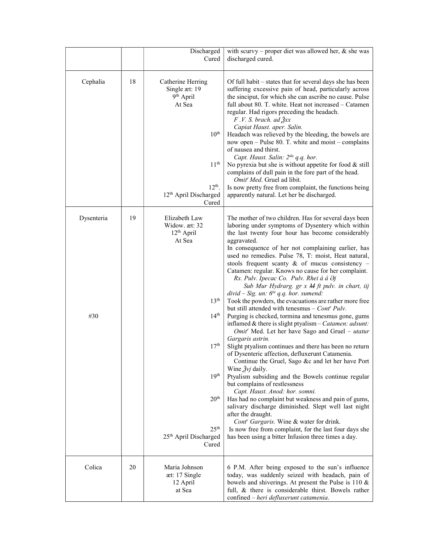|            |    | Discharged<br>Cured                                                                                                                                                     | with scurvy – proper diet was allowed her, $\&$ she was<br>discharged cured.                                                                                                                                                                                                                                                                                                                                                                                                                                                                                                                                                                                                                                                                                                                                         |
|------------|----|-------------------------------------------------------------------------------------------------------------------------------------------------------------------------|----------------------------------------------------------------------------------------------------------------------------------------------------------------------------------------------------------------------------------------------------------------------------------------------------------------------------------------------------------------------------------------------------------------------------------------------------------------------------------------------------------------------------------------------------------------------------------------------------------------------------------------------------------------------------------------------------------------------------------------------------------------------------------------------------------------------|
| Cephalia   | 18 | Catherine Herring<br>Single æt: 19<br>9 <sup>th</sup> April<br>At Sea<br>10 <sup>th</sup><br>11 <sup>th</sup><br>$12th$ .<br>12 <sup>th</sup> April Discharged<br>Cured | Of full habit – states that for several days she has been<br>suffering excessive pain of head, particularly across<br>the sinciput, for which she can ascribe no cause. Pulse<br>full about 80. T. white. Heat not increased – Catamen<br>regular. Had rigors preceding the headach.<br>$F. V. S. brach. ad \lambda x$<br>Capiat Haust. aper. Salin.<br>Headach was relieved by the bleeding, the bowels are<br>now open - Pulse 80. T. white and moist - complains<br>of nausea and thirst.<br>Capt. Haust. Salin: 2 <sup>da</sup> q.q. hor.<br>No pyrexia but she is without appetite for food $&$ still<br>complains of dull pain in the fore part of the head.<br>Omit <sup>r</sup> Med. Gruel ad libit.<br>Is now pretty free from complaint, the functions being<br>apparently natural. Let her be discharged. |
| Dysenteria | 19 | Elizabeth Law<br>Widow. æt: 32                                                                                                                                          | The mother of two children. Has for several days been<br>laboring under symptoms of Dysentery which within                                                                                                                                                                                                                                                                                                                                                                                                                                                                                                                                                                                                                                                                                                           |
|            |    | 12 <sup>th</sup> April<br>At Sea                                                                                                                                        | the last twenty four hour has become considerably                                                                                                                                                                                                                                                                                                                                                                                                                                                                                                                                                                                                                                                                                                                                                                    |
|            |    |                                                                                                                                                                         | aggravated.<br>In consequence of her not complaining earlier, has                                                                                                                                                                                                                                                                                                                                                                                                                                                                                                                                                                                                                                                                                                                                                    |
|            |    |                                                                                                                                                                         | used no remedies. Pulse 78, T: moist, Heat natural,                                                                                                                                                                                                                                                                                                                                                                                                                                                                                                                                                                                                                                                                                                                                                                  |
|            |    |                                                                                                                                                                         | stools frequent scanty $\&$ of mucus consistency -                                                                                                                                                                                                                                                                                                                                                                                                                                                                                                                                                                                                                                                                                                                                                                   |
|            |    |                                                                                                                                                                         | Catamen: regular. Knows no cause for her complaint.                                                                                                                                                                                                                                                                                                                                                                                                                                                                                                                                                                                                                                                                                                                                                                  |
|            |    |                                                                                                                                                                         | Rx. Pulv. Ipecac Co. Pulv. Rhei á á Əj<br>Sub Mur Hydrarg. gr x M ft pulv. in chart, iij                                                                                                                                                                                                                                                                                                                                                                                                                                                                                                                                                                                                                                                                                                                             |
|            |    |                                                                                                                                                                         | divid – Sig. un: $6^{ta}$ q.q. hor. sumend:                                                                                                                                                                                                                                                                                                                                                                                                                                                                                                                                                                                                                                                                                                                                                                          |
|            |    | 13 <sup>th</sup>                                                                                                                                                        | Took the powders, the evacuations are rather more free                                                                                                                                                                                                                                                                                                                                                                                                                                                                                                                                                                                                                                                                                                                                                               |
|            |    |                                                                                                                                                                         | but still attended with tenesmus $-$ Cont <sup>r</sup> Pulv.                                                                                                                                                                                                                                                                                                                                                                                                                                                                                                                                                                                                                                                                                                                                                         |
| #30        |    | 14 <sup>th</sup>                                                                                                                                                        | Purging is checked, tormina and tenesmus gone, gums<br>inflamed $&$ there is slight ptyalism – Catamen: adsunt:<br>Omit <sup>r</sup> Med. Let her have Sago and Gruel – utatur                                                                                                                                                                                                                                                                                                                                                                                                                                                                                                                                                                                                                                       |
|            |    |                                                                                                                                                                         | Gargaris astrin.                                                                                                                                                                                                                                                                                                                                                                                                                                                                                                                                                                                                                                                                                                                                                                                                     |
|            |    | 17 <sup>th</sup>                                                                                                                                                        | Slight ptyalism continues and there has been no return<br>of Dysenteric affection, defluxerunt Catamenia.<br>Continue the Gruel, Sago &c and let her have Port                                                                                                                                                                                                                                                                                                                                                                                                                                                                                                                                                                                                                                                       |
|            |    | 19 <sup>th</sup>                                                                                                                                                        | Wine $2\dot{y}$ daily.                                                                                                                                                                                                                                                                                                                                                                                                                                                                                                                                                                                                                                                                                                                                                                                               |
|            |    |                                                                                                                                                                         | Ptyalism subsiding and the Bowels continue regular<br>but complains of restlessness<br>Capt. Haust. Anod: hor. somni.                                                                                                                                                                                                                                                                                                                                                                                                                                                                                                                                                                                                                                                                                                |
|            |    | 20 <sup>th</sup>                                                                                                                                                        | Has had no complaint but weakness and pain of gums,<br>salivary discharge diminished. Slept well last night                                                                                                                                                                                                                                                                                                                                                                                                                                                                                                                                                                                                                                                                                                          |
|            |    |                                                                                                                                                                         | after the draught.                                                                                                                                                                                                                                                                                                                                                                                                                                                                                                                                                                                                                                                                                                                                                                                                   |
|            |    | 25 <sup>th</sup>                                                                                                                                                        | Cont <sup>r</sup> Gargaris. Wine & water for drink.                                                                                                                                                                                                                                                                                                                                                                                                                                                                                                                                                                                                                                                                                                                                                                  |
|            |    | 25th April Discharged                                                                                                                                                   | Is now free from complaint, for the last four days she<br>has been using a bitter Infusion three times a day.                                                                                                                                                                                                                                                                                                                                                                                                                                                                                                                                                                                                                                                                                                        |
|            |    | Cured                                                                                                                                                                   |                                                                                                                                                                                                                                                                                                                                                                                                                                                                                                                                                                                                                                                                                                                                                                                                                      |
| Colica     | 20 | Maria Johnson                                                                                                                                                           | 6 P.M. After being exposed to the sun's influence                                                                                                                                                                                                                                                                                                                                                                                                                                                                                                                                                                                                                                                                                                                                                                    |
|            |    | æt: 17 Single                                                                                                                                                           | today, was suddenly seized with headach, pain of                                                                                                                                                                                                                                                                                                                                                                                                                                                                                                                                                                                                                                                                                                                                                                     |
|            |    | 12 April                                                                                                                                                                | bowels and shiverings. At present the Pulse is $110 \&$                                                                                                                                                                                                                                                                                                                                                                                                                                                                                                                                                                                                                                                                                                                                                              |
|            |    | at Sea                                                                                                                                                                  | full, & there is considerable thirst. Bowels rather<br>confined - heri defluxerunt catamenia.                                                                                                                                                                                                                                                                                                                                                                                                                                                                                                                                                                                                                                                                                                                        |
|            |    |                                                                                                                                                                         |                                                                                                                                                                                                                                                                                                                                                                                                                                                                                                                                                                                                                                                                                                                                                                                                                      |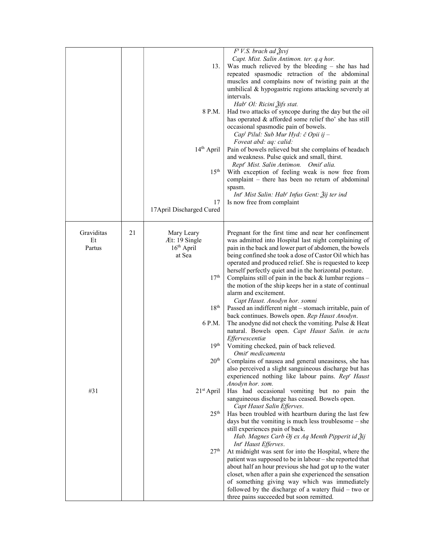|            |    |                           | $F^t V.S.$ brach ad $\frac{3}{2}$ xvj                          |
|------------|----|---------------------------|----------------------------------------------------------------|
|            |    |                           | Capt. Mist. Salin Antimon. ter. q.q hor.                       |
|            |    | 13.                       | Was much relieved by the bleeding $-$ she has had              |
|            |    |                           | repeated spasmodic retraction of the abdominal                 |
|            |    |                           |                                                                |
|            |    |                           | muscles and complains now of twisting pain at the              |
|            |    |                           | umbilical & hypogastric regions attacking severely at          |
|            |    |                           | intervals.                                                     |
|            |    |                           | Hab' Ol: Ricini Žifs stat.                                     |
|            |    | 8 P.M.                    | Had two attacks of syncope during the day but the oil          |
|            |    |                           | has operated & afforded some relief tho' she has still         |
|            |    |                           | occasional spasmodic pain of bowels.                           |
|            |    |                           | Cap <sup>t</sup> Pilul: Sub Mur Hyd: č Opii ij –               |
|            |    |                           | Foveat abd: aq: calid:                                         |
|            |    | $14th$ April              | Pain of bowels relieved but she complains of headach           |
|            |    |                           | and weakness. Pulse quick and small, thirst.                   |
|            |    |                           | Rept <sup>r</sup> Mist. Salin Antimon. Omit <sup>r</sup> alia. |
|            |    | 15 <sup>th</sup>          | With exception of feeling weak is now free from                |
|            |    |                           |                                                                |
|            |    |                           | complaint – there has been no return of abdominal              |
|            |    |                           | spasm.                                                         |
|            |    |                           | Int'' Mist Salin: Hab'' Infus Gent: 3ij ter ind                |
|            |    | 17                        | Is now free from complaint                                     |
|            |    | 17 April Discharged Cured |                                                                |
|            |    |                           |                                                                |
|            |    |                           |                                                                |
| Graviditas | 21 | Mary Leary                | Pregnant for the first time and near her confinement           |
| Et         |    | Æt: 19 Single             | was admitted into Hospital last night complaining of           |
| Partus     |    | $16th$ April              | pain in the back and lower part of abdomen, the bowels         |
|            |    | at Sea                    | being confined she took a dose of Castor Oil which has         |
|            |    |                           | operated and produced relief. She is requested to keep         |
|            |    |                           | herself perfectly quiet and in the horizontal posture.         |
|            |    | 17 <sup>th</sup>          | Complains still of pain in the back $&$ lumbar regions $-$     |
|            |    |                           | the motion of the ship keeps her in a state of continual       |
|            |    |                           | alarm and excitement.                                          |
|            |    |                           |                                                                |
|            |    | 18 <sup>th</sup>          | Capt Haust. Anodyn hor. somni                                  |
|            |    |                           | Passed an indifferent night - stomach irritable, pain of       |
|            |    |                           | back continues. Bowels open. Rep Haust Anodyn.                 |
|            |    | 6 P.M.                    | The anodyne did not check the vomiting. Pulse & Heat           |
|            |    |                           | natural. Bowels open. Capt Haust Salin. in actu                |
|            |    |                           | Effervescentiæ                                                 |
|            |    | 19 <sup>th</sup>          | Vomiting checked, pain of back relieved.                       |
|            |    |                           | Omit <sup>r</sup> medicamenta                                  |
|            |    | 20 <sup>th</sup>          | Complains of nausea and general uneasiness, she has            |
|            |    |                           | also perceived a slight sanguineous discharge but has          |
|            |    |                           | experienced nothing like labour pains. Rep' Haust              |
|            |    |                           | Anodyn hor. som.                                               |
| #31        |    | $21st$ April              | Has had occasional vomiting but no pain the                    |
|            |    |                           | sanguineous discharge has ceased. Bowels open.                 |
|            |    |                           | Capt Haust Salin Efferves.                                     |
|            |    | 25 <sup>th</sup>          | Has been troubled with heartburn during the last few           |
|            |    |                           | days but the vomiting is much less troublesome $-$ she         |
|            |    |                           | still experiences pain of back.                                |
|            |    |                           | Hab. Magnes Carb Əj ex Aq Menth Pipperit id Žij                |
|            |    |                           |                                                                |
|            |    |                           | Int' Haust Efferves.                                           |
|            |    | 27 <sup>th</sup>          | At midnight was sent for into the Hospital, where the          |
|            |    |                           | patient was supposed to be in labour - she reported that       |
|            |    |                           | about half an hour previous she had got up to the water        |
|            |    |                           | closet, when after a pain she experienced the sensation        |
|            |    |                           | of something giving way which was immediately                  |
|            |    |                           | followed by the discharge of a watery fluid $-$ two or         |
|            |    |                           | three pains succeeded but soon remitted.                       |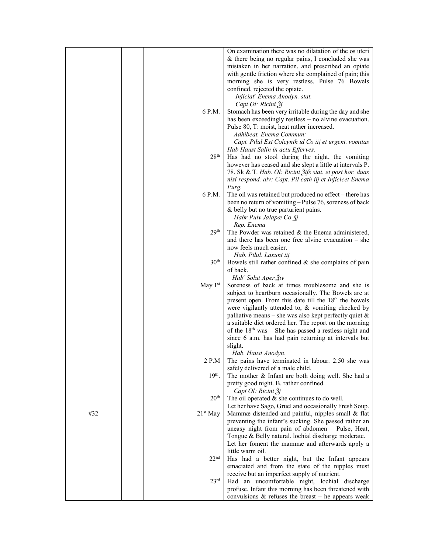|     |                      | On examination there was no dilatation of the os uteri            |
|-----|----------------------|-------------------------------------------------------------------|
|     |                      | & there being no regular pains, I concluded she was               |
|     |                      |                                                                   |
|     |                      | mistaken in her narration, and prescribed an opiate               |
|     |                      | with gentle friction where she complained of pain; this           |
|     |                      | morning she is very restless. Pulse 76 Bowels                     |
|     |                      | confined, rejected the opiate.                                    |
|     |                      | Injiciat' Enema Anodyn. stat.                                     |
|     |                      | Capt Ol: Ricini 3j                                                |
|     | 6 P.M.               | Stomach has been very irritable during the day and she            |
|     |                      | has been exceedingly restless - no alvine evacuation.             |
|     |                      | Pulse 80, T: moist, heat rather increased.                        |
|     |                      | Adhibeat. Enema Commun:                                           |
|     |                      | Capt. Pilul Ext Colcynth id Co iij et urgent. vomitas             |
|     |                      | Hab Haust Salin in actu Efferves.                                 |
|     | 28 <sup>th</sup>     | Has had no stool during the night, the vomiting                   |
|     |                      | however has ceased and she slept a little at intervals P.         |
|     |                      | 78. Sk & T. Hab. Ol: Ricini Žifs stat. et post hor. duas          |
|     |                      | nisi respond. alv: Capt. Pil cath iij et Injicicet Enema          |
|     |                      | Purg.                                                             |
|     | 6 P.M.               | The oil was retained but produced no effect – there has           |
|     |                      | been no return of vomiting – Pulse 76, soreness of back           |
|     |                      |                                                                   |
|     |                      | & belly but no true parturient pains.                             |
|     |                      | Habr Pulv Jalapæ Co 3j                                            |
|     |                      | Rep. Enema                                                        |
|     | 29 <sup>th</sup>     | The Powder was retained $&$ the Enema administered,               |
|     |                      | and there has been one free alvine evacuation $-$ she             |
|     |                      | now feels much easier.                                            |
|     |                      | Hab. Pilul. Laxunt iij                                            |
|     | 30 <sup>th</sup>     | Bowels still rather confined $\&$ she complains of pain           |
|     |                      | of back.                                                          |
|     |                      | Hab' Solut Aper. 3iv                                              |
|     | May $1st$            | Soreness of back at times troublesome and she is                  |
|     |                      | subject to heartburn occasionally. The Bowels are at              |
|     |                      | present open. From this date till the 18 <sup>th</sup> the bowels |
|     |                      | were vigilantly attended to, & vomiting checked by                |
|     |                      | palliative means – she was also kept perfectly quiet $\&$         |
|     |                      | a suitable diet ordered her. The report on the morning            |
|     |                      |                                                                   |
|     |                      | of the $18th$ was - She has passed a restless night and           |
|     |                      | since 6 a.m. has had pain returning at intervals but              |
|     |                      | slight.                                                           |
|     |                      | Hab. Haust Anodyn.                                                |
|     | 2 P.M                | The pains have terminated in labour. 2.50 she was                 |
|     |                      | safely delivered of a male child.                                 |
|     | $19th$ .             | The mother & Infant are both doing well. She had a                |
|     |                      | pretty good night. B. rather confined.                            |
|     |                      | Capt Ol: Ricini Žj                                                |
|     | 20 <sup>th</sup>     | The oil operated $&$ she continues to do well.                    |
|     |                      | Let her have Sago, Gruel and occasionally Fresh Soup.             |
| #32 | 21 <sup>st</sup> May | Mammæ distended and painful, nipples small & flat                 |
|     |                      | preventing the infant's sucking. She passed rather an             |
|     |                      | uneasy night from pain of abdomen - Pulse, Heat,                  |
|     |                      | Tongue & Belly natural. lochial discharge moderate.               |
|     |                      | Let her foment the mammæ and afterwards apply a                   |
|     |                      | little warm oil.                                                  |
|     | 22 <sup>nd</sup>     | Has had a better night, but the Infant appears                    |
|     |                      | emaciated and from the state of the nipples must                  |
|     |                      |                                                                   |
|     |                      | receive but an imperfect supply of nutrient.                      |
|     | 23 <sup>rd</sup>     | Had an uncomfortable night, lochial discharge                     |
|     |                      | profuse. Infant this morning has been threatened with             |
|     |                      | convulsions $\&$ refuses the breast – he appears weak             |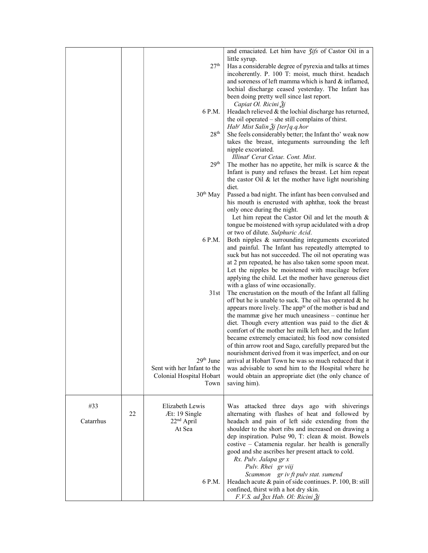|           |    | 27 <sup>th</sup>                 | and emaciated. Let him have <i>Jifs</i> of Castor Oil in a<br>little syrup.                                                                                            |
|-----------|----|----------------------------------|------------------------------------------------------------------------------------------------------------------------------------------------------------------------|
|           |    |                                  | Has a considerable degree of pyrexia and talks at times<br>incoherently. P. 100 T: moist, much thirst. headach<br>and soreness of left mamma which is hard & inflamed, |
|           |    |                                  | lochial discharge ceased yesterday. The Infant has                                                                                                                     |
|           |    |                                  | been doing pretty well since last report.                                                                                                                              |
|           |    |                                  | Capiat Ol. Ricini Žj                                                                                                                                                   |
|           |    | 6 P.M.                           | Headach relieved & the lochial discharge has returned,                                                                                                                 |
|           |    |                                  | the oil operated – she still complains of thirst.                                                                                                                      |
|           |    | 28 <sup>th</sup>                 | Hab' Mist Salin $\tilde{A}$ j [ter]q.q.hor<br>She feels considerably better; the Infant tho' weak now                                                                  |
|           |    |                                  | takes the breast, integuments surrounding the left                                                                                                                     |
|           |    |                                  | nipple excoriated.                                                                                                                                                     |
|           |    |                                  | Illinat <sup>r</sup> Cerat Cetae. Cont. Mist.                                                                                                                          |
|           |    | 29 <sup>th</sup>                 | The mother has no appetite, her milk is scarce $\&$ the                                                                                                                |
|           |    |                                  | Infant is puny and refuses the breast. Let him repeat                                                                                                                  |
|           |    |                                  | the castor Oil $&$ let the mother have light nourishing                                                                                                                |
|           |    | 30 <sup>th</sup> May             | diet.<br>Passed a bad night. The infant has been convulsed and                                                                                                         |
|           |    |                                  | his mouth is encrusted with aphthæ, took the breast                                                                                                                    |
|           |    |                                  | only once during the night.                                                                                                                                            |
|           |    |                                  | Let him repeat the Castor Oil and let the mouth $\&$                                                                                                                   |
|           |    |                                  | tongue be moistened with syrup acidulated with a drop                                                                                                                  |
|           |    | 6 P.M.                           | or two of dilute. Sulphuric Acid.                                                                                                                                      |
|           |    |                                  | Both nipples & surrounding integuments excoriated<br>and painful. The Infant has repeatedly attempted to                                                               |
|           |    |                                  | suck but has not succeeded. The oil not operating was                                                                                                                  |
|           |    |                                  | at 2 pm repeated, he has also taken some spoon meat.                                                                                                                   |
|           |    |                                  | Let the nipples be moistened with mucilage before                                                                                                                      |
|           |    |                                  | applying the child. Let the mother have generous diet                                                                                                                  |
|           |    |                                  | with a glass of wine occasionally.                                                                                                                                     |
|           |    | 31st                             | The encrustation on the mouth of the Infant all falling<br>off but he is unable to suck. The oil has operated & he                                                     |
|           |    |                                  | appears more lively. The app <sup>te</sup> of the mother is bad and                                                                                                    |
|           |    |                                  | the mammæ give her much uneasiness – continue her                                                                                                                      |
|           |    |                                  | diet. Though every attention was paid to the diet $\&$                                                                                                                 |
|           |    |                                  | comfort of the mother her milk left her, and the Infant                                                                                                                |
|           |    |                                  | became extremely emaciated; his food now consisted                                                                                                                     |
|           |    |                                  | of thin arrow root and Sago, carefully prepared but the<br>nourishment derived from it was imperfect, and on our                                                       |
|           |    | 29 <sup>m</sup> June             | arrival at Hobart Town he was so much reduced that it                                                                                                                  |
|           |    | Sent with her Infant to the      | was advisable to send him to the Hospital where he                                                                                                                     |
|           |    | Colonial Hospital Hobart         | would obtain an appropriate diet (the only chance of                                                                                                                   |
|           |    | Town                             | saving him).                                                                                                                                                           |
|           |    |                                  |                                                                                                                                                                        |
| #33       |    | Elizabeth Lewis                  | Was attacked three days ago with shiverings                                                                                                                            |
|           | 22 | Æt: 19 Single                    | alternating with flashes of heat and followed by                                                                                                                       |
| Catarrhus |    | 22 <sup>nd</sup> April<br>At Sea | headach and pain of left side extending from the                                                                                                                       |
|           |    |                                  | shoulder to the short ribs and increased on drawing a<br>dep inspiration. Pulse 90, T: clean & moist. Bowels                                                           |
|           |    |                                  | costive - Catamenia regular. her health is generally                                                                                                                   |
|           |    |                                  | good and she ascribes her present attack to cold.                                                                                                                      |
|           |    |                                  | Rx. Pulv. Jalapa gr x                                                                                                                                                  |
|           |    |                                  | Pulv. Rhei gr viij                                                                                                                                                     |
|           |    | 6 P.M.                           | Scammon gr iv ft pulv stat. sumend<br>Headach acute & pain of side continues. P. 100, B: still                                                                         |
|           |    |                                  | confined, thirst with a hot dry skin.                                                                                                                                  |
|           |    |                                  | F.V.S. ad $\frac{3}{2}xx$ Hab. Ol: Ricini $\frac{3}{2}y$                                                                                                               |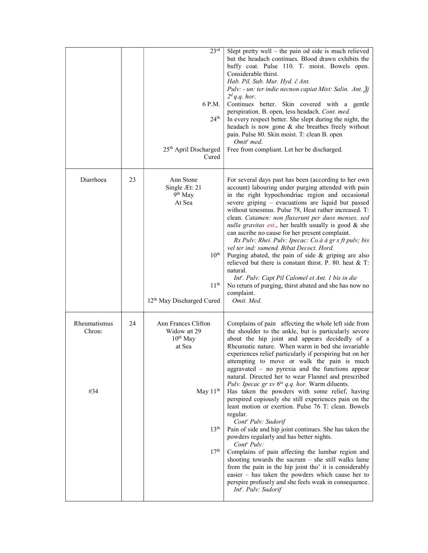|                               |    | 23 <sup>rd</sup><br>6 P.M.<br>24 <sup>th</sup><br>25 <sup>th</sup> April Discharged<br>Cured                                    | Slept pretty well – the pain od side is much relieved<br>but the headach continues. Blood drawn exhibits the<br>buffy coat. Pulse 110. T. moist. Bowels open.<br>Considerable thirst.<br>Hab. Pil. Sub. Mur. Hyd. č Ant.<br>Pulv: - un: ter indie necnon capiat Mist: Salin. Ant. $\tilde{g}$ j<br>$2^d$ q.q. hor.<br>Continues better. Skin covered with a gentle<br>perspiration. B. open, less headach. Cont. med.<br>In every respect better. She slept during the night, the<br>headach is now gone & she breathes freely without<br>pain. Pulse 80. Skin moist. T: clean B. open<br>Omit <sup>r</sup> med.<br>Free from compliant. Let her be discharged.                                                                                                                                                                                                                                                                                                                                                                                                                                                                                                                        |
|-------------------------------|----|---------------------------------------------------------------------------------------------------------------------------------|----------------------------------------------------------------------------------------------------------------------------------------------------------------------------------------------------------------------------------------------------------------------------------------------------------------------------------------------------------------------------------------------------------------------------------------------------------------------------------------------------------------------------------------------------------------------------------------------------------------------------------------------------------------------------------------------------------------------------------------------------------------------------------------------------------------------------------------------------------------------------------------------------------------------------------------------------------------------------------------------------------------------------------------------------------------------------------------------------------------------------------------------------------------------------------------|
| Diarrhoea                     | 23 | Ann Stone<br>Single Æt: 21<br>$9th$ May<br>At Sea<br>$10^{\rm th}$<br>11 <sup>th</sup><br>12 <sup>th</sup> May Discharged Cured | For several days past has been (according to her own<br>account) labouring under purging attended with pain<br>in the right hypochondriac region and occasional<br>severe griping - evacuations are liquid but passed<br>without tenesmus. Pulse 78, Heat rather increased. T:<br>clean. Catamen: non fluxerunt per duos menses, sed<br>nulla gravitas est., her health usually is good & she<br>can ascribe no cause for her present complaint.<br>$Rx$ Pulv: Rhei. Pulv: Ipecac: Co.á á gr x ft pulv; bis<br>vel ter ind: sumend. Bibat Decoct. Hord.<br>Purging abated, the pain of side & griping are also<br>relieved but there is constant thirst. P. 80. heat $&$ T:<br>natural.<br>Int''. Pulv: Capt Pil Calomel et Ant. 1 bis in die<br>No return of purging, thirst abated and she has now no<br>complaint.<br>Omit. Med.                                                                                                                                                                                                                                                                                                                                                    |
| Rheumatismus<br>Chron:<br>#34 | 24 | Ann Frances Clifton<br>Widow æt 29<br>$10^{th}$ May<br>at Sea<br>May 11 <sup>th</sup><br>13 <sup>th</sup><br>17 <sup>th</sup>   | Complains of pain affecting the whole left side from<br>the shoulder to the ankle, but is particularly severe<br>about the hip joint and appears decidedly of a<br>Rheumatic nature. When warm in bed she invariable<br>experiences relief particularly if perspiring but on her<br>attempting to move or walk the pain is much<br>aggravated – no pyrexia and the functions appear<br>natural. Directed her to wear Flannel and prescribed<br>Pulv. Ipecac gr xv 6 <sup>ta</sup> q.q. hor. Warm diluents.<br>Has taken the powders with some relief, having<br>perspired copiously she still experiences pain on the<br>least motion or exertion. Pulse 76 T: clean. Bowels<br>regular.<br>Cont <sup>r</sup> Pulv: Sudorif<br>Pain of side and hip joint continues. She has taken the<br>powders regularly and has better nights.<br>Cont <sup>r</sup> Pulv:<br>Complains of pain affecting the lumbar region and<br>shooting towards the sacrum $-$ she still walks lame<br>from the pain in the hip joint tho' it is considerably<br>easier - has taken the powders which cause her to<br>perspire profusely and she feels weak in consequence.<br>Int <sup>r</sup> . Pulv: Sudorif |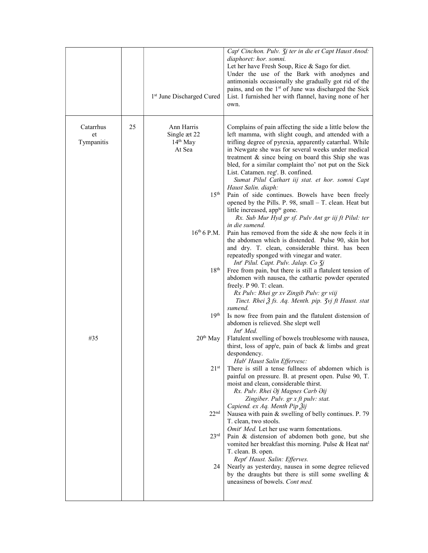|                               |    | 1 <sup>st</sup> June Discharged Cured                                            | Cap <sup>t</sup> Cinchon. Pulv. <i>Jj</i> ter in die et Capt Haust Anod:<br>diaphoret: hor. somni.<br>Let her have Fresh Soup, Rice & Sago for diet.<br>Under the use of the Bark with anodynes and<br>antimonials occasionally she gradually got rid of the<br>pains, and on the 1 <sup>st</sup> of June was discharged the Sick<br>List. I furnished her with flannel, having none of her<br>own.                                                                                                                            |
|-------------------------------|----|----------------------------------------------------------------------------------|--------------------------------------------------------------------------------------------------------------------------------------------------------------------------------------------------------------------------------------------------------------------------------------------------------------------------------------------------------------------------------------------------------------------------------------------------------------------------------------------------------------------------------|
| Catarrhus<br>et<br>Tympanitis | 25 | Ann Harris<br>Single æt 22<br>14 <sup>th</sup> May<br>At Sea<br>$15^{\text{th}}$ | Complains of pain affecting the side a little below the<br>left mamma, with slight cough, and attended with a<br>trifling degree of pyrexia, apparently catarrhal. While<br>in Newgate she was for several weeks under medical<br>treatment & since being on board this Ship she was<br>bled, for a similar complaint tho' not put on the Sick<br>List. Catamen. reg <sup>r</sup> . B. confined.<br>Sumat Pilul Cathart iij stat. et hor. somni Capt<br>Haust Salin. diaph:<br>Pain of side continues. Bowels have been freely |
|                               |    |                                                                                  | opened by the Pills. P. 98, small - T. clean. Heat but<br>little increased, app <sup>te</sup> gone.<br>Rx. Sub Mur Hyd gr sf. Pulv Ant gr iij ft Pilul: ter<br>in die sumend.                                                                                                                                                                                                                                                                                                                                                  |
|                               |    | $16^{th}$ 6 P.M.                                                                 | Pain has removed from the side $\&$ she now feels it in<br>the abdomen which is distended. Pulse 90, skin hot<br>and dry. T. clean, considerable thirst. has been<br>repeatedly sponged with vinegar and water.<br>Int <sup>r</sup> Pilul. Capt. Pulv. Jalap. Co 3j                                                                                                                                                                                                                                                            |
|                               |    | 18 <sup>th</sup>                                                                 | Free from pain, but there is still a flatulent tension of<br>abdomen with nausea, the cathartic powder operated<br>freely. P 90. T: clean.<br>Rx Pulv: Rhei gr xv Zingib Pulv: gr viij<br>Tinct. Rhei $\tilde{A}$ fs. Aq. Menth. pip. 3vj ft Haust. stat<br>sumend.                                                                                                                                                                                                                                                            |
|                               |    | 19 <sup>th</sup>                                                                 | Is now free from pain and the flatulent distension of<br>abdomen is relieved. She slept well<br>Int' Med.                                                                                                                                                                                                                                                                                                                                                                                                                      |
| #35                           |    | $20th$ May                                                                       | Flatulent swelling of bowels troublesome with nausea,<br>thirst, loss of app <sup>t</sup> e, pain of back & limbs and great<br>despondency.<br>Hab' Haust Salin Effervesc:                                                                                                                                                                                                                                                                                                                                                     |
|                               |    | 21 <sup>st</sup>                                                                 | There is still a tense fullness of abdomen which is<br>painful on pressure. B. at present open. Pulse 90, T.<br>moist and clean, considerable thirst.<br>Rx. Pulv. Rhei Əj Magnes Carb Əij<br>Zingiber. Pulv. gr x ft pulv: stat.<br>Capiend. ex Aq. Menth Pip 3ij                                                                                                                                                                                                                                                             |
|                               |    | 22 <sup>nd</sup><br>23 <sup>rd</sup>                                             | Nausea with pain & swelling of belly continues. P. 79<br>T. clean, two stools.<br>Omit' Med. Let her use warm fomentations.<br>Pain & distension of abdomen both gone, but she                                                                                                                                                                                                                                                                                                                                                 |
|                               |    | 24                                                                               | vomited her breakfast this morning. Pulse & Heat nat <sup>1</sup><br>T. clean. B. open.<br>Rept' Haust. Salin: Efferves.<br>Nearly as yesterday, nausea in some degree relieved<br>by the draughts but there is still some swelling $\&$<br>uneasiness of bowels. Cont med.                                                                                                                                                                                                                                                    |
|                               |    |                                                                                  |                                                                                                                                                                                                                                                                                                                                                                                                                                                                                                                                |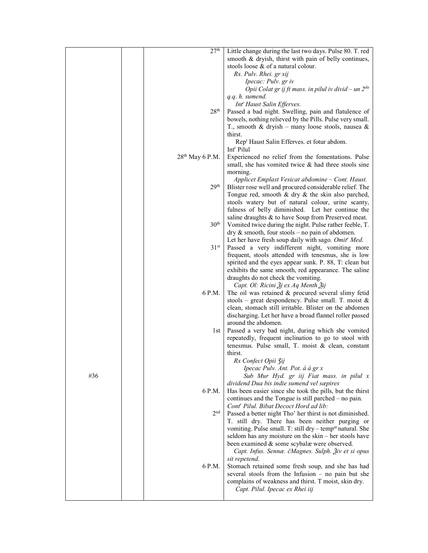|     | 27 <sup>th</sup>            | Little change during the last two days. Pulse 80. T. red                                                         |
|-----|-----------------------------|------------------------------------------------------------------------------------------------------------------|
|     |                             | smooth & dryish, thirst with pain of belly continues,                                                            |
|     |                             | stools loose & of a natural colour.                                                                              |
|     |                             | Rx. Pulv. Rhei. gr xij                                                                                           |
|     |                             | Ipecac: Pulv. gr iv                                                                                              |
|     |                             | Opii Colat gr ij ft mass. in pilul iv divid - un 2da                                                             |
|     |                             | q.q. h. sumend.                                                                                                  |
|     |                             | Int' Haust Salin Efferves.                                                                                       |
|     | 28 <sup>th</sup>            | Passed a bad night. Swelling, pain and flatulence of                                                             |
|     |                             | bowels, nothing relieved by the Pills. Pulse very small.                                                         |
|     |                             | T., smooth & dryish – many loose stools, nausea &                                                                |
|     |                             | thirst.                                                                                                          |
|     |                             | Rep <sup>r</sup> Haust Salin Efferves. et fotur abdom.                                                           |
|     |                             | Int <sup>r</sup> Pilul                                                                                           |
|     | 28 <sup>th</sup> May 6 P.M. | Experienced no relief from the fomentations. Pulse                                                               |
|     |                             | small, she has vomited twice $\&$ had three stools sine                                                          |
|     |                             | morning.                                                                                                         |
|     |                             | Applicet Emplast Vesicat abdomine – Cont. Haust.                                                                 |
|     | 29 <sup>th</sup>            | Blister rose well and procured considerable relief. The                                                          |
|     |                             | Tongue red, smooth $\&$ dry $\&$ the skin also parched,                                                          |
|     |                             | stools watery but of natural colour, urine scanty,                                                               |
|     |                             | fulness of belly diminished. Let her continue the                                                                |
|     | 30 <sup>th</sup>            | saline draughts & to have Soup from Preserved meat.<br>Vomited twice during the night. Pulse rather feeble, T.   |
|     |                             | $\text{dry } \&$ smooth, four stools – no pain of abdomen.                                                       |
|     |                             | Let her have fresh soup daily with sago. Omit' Med.                                                              |
|     | 31 <sup>st</sup>            | Passed a very indifferent night, vomiting more                                                                   |
|     |                             | frequent, stools attended with tenesmus, she is low                                                              |
|     |                             | spirited and the eyes appear sunk. P. 88, T: clean but                                                           |
|     |                             | exhibits the same smooth, red appearance. The saline                                                             |
|     |                             | draughts do not check the vomiting.                                                                              |
|     |                             | Capt. Ol: Ricini Ѯj ex Aq Menth Ѯij                                                                              |
|     | 6 P.M.                      | The oil was retained & procured several slimy fetid                                                              |
|     |                             | stools – great despondency. Pulse small. T. moist $\&$                                                           |
|     |                             | clean, stomach still irritable. Blister on the abdomen                                                           |
|     |                             | discharging. Let her have a broad flannel roller passed                                                          |
|     |                             | around the abdomen.                                                                                              |
|     | lst                         | Passed a very bad night, during which she vomited                                                                |
|     |                             | repeatedly, frequent inclination to go to stool with                                                             |
|     |                             | tenesmus. Pulse small, T. moist $\&$ clean, constant                                                             |
|     |                             | thirst.                                                                                                          |
|     |                             | Rx Confect Opii 3ij                                                                                              |
|     |                             | Ipecac Pulv. Ant. Pot. á á gr x                                                                                  |
| #36 |                             | Sub Mur Hyd. gr iij Fiat mass. in pilul x                                                                        |
|     | 6 P.M.                      | dividend Dua bis indie sumend vel sæpires                                                                        |
|     |                             | Has been easier since she took the pills, but the thirst<br>continues and the Tongue is still parched – no pain. |
|     |                             | Cont <sup>r</sup> Pilul. Bibat Decoct Hord ad lib:                                                               |
|     | 2 <sub>nd</sub>             | Passed a better night Tho' her thirst is not diminished.                                                         |
|     |                             | T. still dry. There has been neither purging or                                                                  |
|     |                             | vomiting. Pulse small. T: still dry – temper natural. She                                                        |
|     |                             | seldom has any moisture on the skin – her stools have                                                            |
|     |                             | been examined & some scybalæ were observed.                                                                      |
|     |                             | Capt. Infus. Sennæ. čMagnes. Sulph. Živ et si opus                                                               |
|     |                             | sit repetend.                                                                                                    |
|     | 6 P.M.                      | Stomach retained some fresh soup, and she has had                                                                |
|     |                             | several stools from the Infusion $-$ no pain but she                                                             |
|     |                             | complains of weakness and thirst. T moist, skin dry.                                                             |
|     |                             | Capt. Pilul. Ipecac ex Rhei iij                                                                                  |
|     |                             |                                                                                                                  |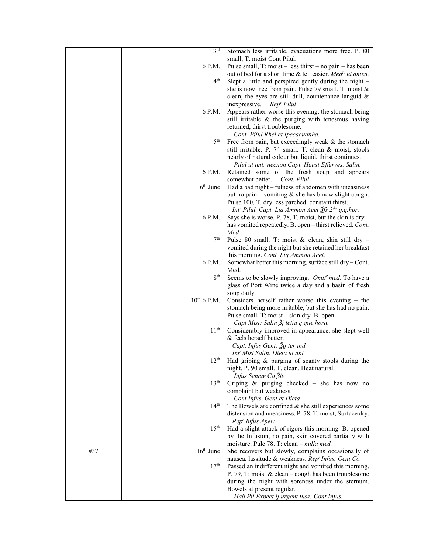|     | 3 <sup>rd</sup>  | Stomach less irritable, evacuations more free. P. 80<br>small, T. moist Cont Pilul.    |
|-----|------------------|----------------------------------------------------------------------------------------|
|     | 6 P.M.           | Pulse small, $T: \text{moist} - \text{less thrust} - \text{no pain} - \text{has been}$ |
|     |                  | out of bed for a short time & felt easier. Med <sup>ta</sup> ut antea.                 |
|     | 4 <sup>th</sup>  |                                                                                        |
|     |                  | Slept a little and perspired gently during the night -                                 |
|     |                  | she is now free from pain. Pulse 79 small. T. moist &                                  |
|     |                  | clean, the eyes are still dull, countenance languid $\&$                               |
|     |                  | inexpressive.<br>Rep' Pilul                                                            |
|     | 6 P.M.           | Appears rather worse this evening, the stomach being                                   |
|     |                  | still irritable & the purging with tenesmus having                                     |
|     |                  | returned, thirst troublesome.                                                          |
|     |                  | Cont. Pilul Rhei et Ipecacuanha.                                                       |
|     | 5 <sup>th</sup>  | Free from pain, but exceedingly weak & the stomach                                     |
|     |                  | still irritable. P. 74 small. T. clean & moist, stools                                 |
|     |                  | nearly of natural colour but liquid, thirst continues.                                 |
|     |                  | Pilul ut ant: necnon Capt. Haust Efferves. Salin.                                      |
|     | 6 P.M.           | Retained some of the fresh soup and appears                                            |
|     |                  |                                                                                        |
|     |                  | somewhat better. Cont. Pilul                                                           |
|     | $6th$ June       | Had a bad night - fulness of abdomen with uneasiness                                   |
|     |                  | but no pain – vomiting $\&$ she has b now slight cough.                                |
|     |                  | Pulse 100, T. dry less parched, constant thirst.                                       |
|     |                  | Int' Pilul. Capt. Liq Ammon Acet 3fs 2 <sup>da</sup> q.q.hor.                          |
|     | 6 P.M.           | Says she is worse. P. 78, T. moist, but the skin is dry -                              |
|     |                  | has vomited repeatedly. B. open-thirst relieved. Cont.                                 |
|     |                  | Med.                                                                                   |
|     | 7 <sup>th</sup>  | Pulse 80 small. T: moist & clean, skin still dry -                                     |
|     |                  | vomited during the night but she retained her breakfast                                |
|     |                  | this morning. Cont. Liq Ammon Acet:                                                    |
|     | 6 P.M.           | Somewhat better this morning, surface still dry – Cont.                                |
|     |                  | Med.                                                                                   |
|     | 8 <sup>th</sup>  | Seems to be slowly improving. Omit' med. To have a                                     |
|     |                  | glass of Port Wine twice a day and a basin of fresh                                    |
|     |                  | soup daily.                                                                            |
|     | $10^{th}$ 6 P.M. |                                                                                        |
|     |                  | Considers herself rather worse this evening $-$ the                                    |
|     |                  | stomach being more irritable, but she has had no pain.                                 |
|     |                  | Pulse small. T: moist – skin dry. B. open.                                             |
|     |                  | Capt Mist: Salin $\tilde{A}$ j tetia q que hora.                                       |
|     | 11 <sup>th</sup> | Considerably improved in appearance, she slept well                                    |
|     |                  | & feels herself better.                                                                |
|     |                  | Capt. Infus Gent: 3ij ter ind.                                                         |
|     |                  | Int' Mist Salin. Dieta ut ant.                                                         |
|     | 12 <sup>th</sup> | Had griping & purging of scanty stools during the                                      |
|     |                  | night. P. 90 small. T. clean. Heat natural.                                            |
|     |                  | Infus Sennæ Co Živ                                                                     |
|     | 13 <sup>th</sup> | Griping $\&$ purging checked – she has now no                                          |
|     |                  | complaint but weakness.                                                                |
|     |                  | Cont Infus. Gent et Dieta                                                              |
|     | 14 <sup>th</sup> | The Bowels are confined $&$ she still experiences some                                 |
|     |                  | distension and uneasiness. P. 78. T: moist, Surface dry.                               |
|     |                  | Rep' Infus Aper:                                                                       |
|     | 15 <sup>th</sup> | Had a slight attack of rigors this morning. B. opened                                  |
|     |                  | by the Infusion, no pain, skin covered partially with                                  |
|     |                  | moisture. Pule 78. T: clean – <i>nulla med.</i>                                        |
| #37 | $16th$ June      | She recovers but slowly, complains occasionally of                                     |
|     |                  |                                                                                        |
|     | 17 <sup>th</sup> | nausea, lassitude & weakness. Rep' Infus. Gent Co.                                     |
|     |                  | Passed an indifferent night and vomited this morning.                                  |
|     |                  | P. 79, T: moist & clean - cough has been troublesome                                   |
|     |                  | during the night with soreness under the sternum.                                      |
|     |                  | Bowels at present regular.                                                             |
|     |                  | Hab Pil Expect ij urgent tuss: Cont Infus.                                             |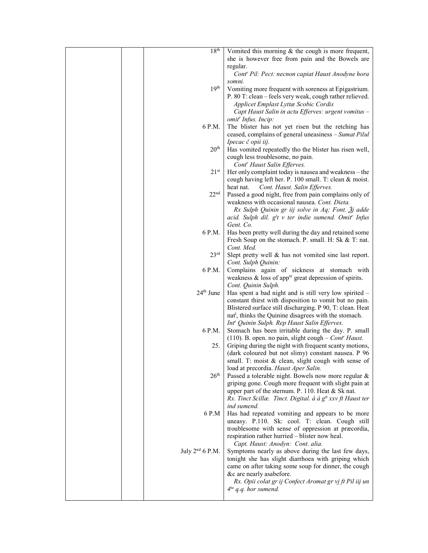|  | 18 <sup>th</sup>  | Vomited this morning $&$ the cough is more frequent,                                                              |
|--|-------------------|-------------------------------------------------------------------------------------------------------------------|
|  |                   | she is however free from pain and the Bowels are                                                                  |
|  |                   | regular.                                                                                                          |
|  |                   | Cont' Pil: Pect: necnon capiat Haust Anodyne hora                                                                 |
|  |                   | somni.                                                                                                            |
|  | 19 <sup>th</sup>  | Vomiting more frequent with soreness at Epigastrium.                                                              |
|  |                   | P. 80 T: clean - feels very weak, cough rather relieved.                                                          |
|  |                   | Applicet Emplast Lyttæ Scobic Cordis                                                                              |
|  |                   | Capt Haust Salin in actu Efferves: urgent vomitus -                                                               |
|  |                   | omit <sup>r</sup> Infus. Incip:                                                                                   |
|  | 6 P.M.            | The blister has not yet risen but the retching has                                                                |
|  |                   | ceased, complains of general uneasiness – Sumat Pilul                                                             |
|  |                   | Ipecac č opii iij.                                                                                                |
|  | 20 <sup>th</sup>  | Has vomited repeatedly tho the blister has risen well,                                                            |
|  |                   | cough less troublesome, no pain.                                                                                  |
|  |                   | Cont <sup>r</sup> Haust Salin Efferves.                                                                           |
|  | $21^{st}$         | Her only complaint today is nausea and weakness - the                                                             |
|  |                   | cough having left her. P. 100 small. T: clean & moist.                                                            |
|  | 22 <sup>nd</sup>  | heat nat.<br>Cont. Haust. Salin Efferves.                                                                         |
|  |                   | Passed a good night, free from pain complains only of                                                             |
|  |                   | weakness with occasional nausea. Cont. Dieta.<br>Rx Sulph Quinin gr iij solve in Aq; Font. $\tilde{\beta}$ j adde |
|  |                   | acid. Sulph dil. g <sup>t</sup> t v ter indie sumend. Omit <sup>r</sup> Infus                                     |
|  |                   | Gent. Co.                                                                                                         |
|  | 6 P.M.            | Has been pretty well during the day and retained some                                                             |
|  |                   | Fresh Soup on the stomach. P. small. H: Sk & T: nat.                                                              |
|  |                   | Cont. Med.                                                                                                        |
|  | $23^{\text{rd}}$  | Slept pretty well & has not vomited sine last report.                                                             |
|  |                   | Cont. Sulph Quinin:                                                                                               |
|  | 6 P.M.            | Complains again of sickness at stomach with                                                                       |
|  |                   | weakness $\&$ loss of app <sup>te</sup> great depression of spirits.                                              |
|  |                   | Cont. Quinin Sulph.                                                                                               |
|  | $24th$ June       | Has spent a bad night and is still very low spirited -                                                            |
|  |                   | constant thirst with disposition to vomit but no pain.                                                            |
|  |                   | Blistered surface still discharging. P 90, T: clean. Heat                                                         |
|  |                   | nat <sup>1</sup> , thinks the Quinine disagrees with the stomach.                                                 |
|  |                   | Int" Quinin Sulph. Rep Haust Salin Efferves.                                                                      |
|  | 6 P.M.            | Stomach has been irritable during the day. P. small                                                               |
|  |                   | (110). B. open. no pain, slight cough – $Contr Haust$ .                                                           |
|  | 25.               | Griping during the night with frequent scanty motions,                                                            |
|  |                   | (dark coloured but not slimy) constant nausea. P 96                                                               |
|  |                   | small. T: moist & clean, slight cough with sense of                                                               |
|  | 26 <sup>th</sup>  | load at precordia. Haust Aper Salin.<br>Passed a tolerable night. Bowels now more regular &                       |
|  |                   | griping gone. Cough more frequent with slight pain at                                                             |
|  |                   | upper part of the sternum. P. 110. Heat & Sk nat.                                                                 |
|  |                   | Rx. Tinct Scillæ. Tinct. Digital. á á g <sup>#</sup> xxv ft Haust ter                                             |
|  |                   | ind sumend.                                                                                                       |
|  | 6 P.M             | Has had repeated vomiting and appears to be more                                                                  |
|  |                   | uneasy. P.110. Sk: cool. T: clean. Cough still                                                                    |
|  |                   | troublesome with sense of oppression at præcordia,                                                                |
|  |                   | respiration rather hurried - blister now heal.                                                                    |
|  |                   | Capt. Haust: Anodyn: Cont. alia.                                                                                  |
|  | July $2nd$ 6 P.M. | Symptoms nearly as above during the last few days,                                                                |
|  |                   | tonight she has slight diarrhoea with griping which                                                               |
|  |                   | came on after taking some soup for dinner, the cough                                                              |
|  |                   | &c are nearly asabefore.                                                                                          |
|  |                   | Rx. Opii colat gr ij Confect Aromat gr vj ft Pil iij un                                                           |
|  |                   | $4^{ta}$ q.q. hor sumend.                                                                                         |
|  |                   |                                                                                                                   |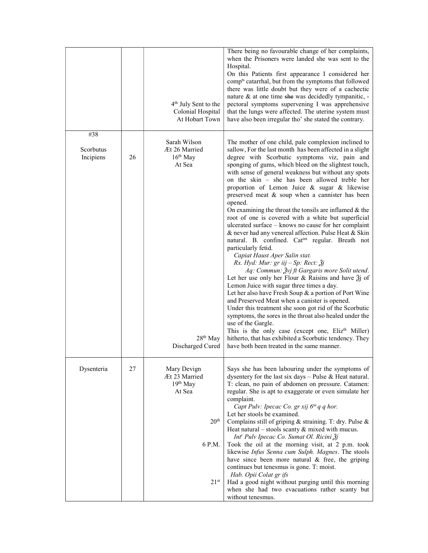|                               |    | 4 <sup>th</sup> July Sent to the<br>Colonial Hospital<br>At Hobart Town                                | There being no favourable change of her complaints,<br>when the Prisoners were landed she was sent to the<br>Hospital.<br>On this Patients first appearance I considered her<br>comp <sup>ts</sup> catarrhal, but from the symptoms that followed<br>there was little doubt but they were of a cachectic<br>nature & at one time she was decidedly tympanitic, -<br>pectoral symptoms supervening I was apprehensive<br>that the lungs were affected. The uterine system must<br>have also been irregular tho' she stated the contrary.                                                                                                                                                                                                                                                                                                                                                                                                                                                                                                                                                                                                                                                                                                                                                                                                                                                                                                       |
|-------------------------------|----|--------------------------------------------------------------------------------------------------------|-----------------------------------------------------------------------------------------------------------------------------------------------------------------------------------------------------------------------------------------------------------------------------------------------------------------------------------------------------------------------------------------------------------------------------------------------------------------------------------------------------------------------------------------------------------------------------------------------------------------------------------------------------------------------------------------------------------------------------------------------------------------------------------------------------------------------------------------------------------------------------------------------------------------------------------------------------------------------------------------------------------------------------------------------------------------------------------------------------------------------------------------------------------------------------------------------------------------------------------------------------------------------------------------------------------------------------------------------------------------------------------------------------------------------------------------------|
| #38<br>Scorbutus<br>Incipiens | 26 | Sarah Wilson<br>Æt 26 Married<br>$16th$ May<br>At Sea<br>28 <sup>th</sup> May<br>Discharged Cured      | The mother of one child, pale complexion inclined to<br>sallow, For the last month has been affected in a slight<br>degree with Scorbutic symptoms viz, pain and<br>sponging of gums, which bleed on the slightest touch,<br>with sense of general weakness but without any spots<br>on the skin – she has been allowed treble her<br>proportion of Lemon Juice & sugar & likewise<br>preserved meat & soup when a cannister has been<br>opened.<br>On examining the throat the tonsils are inflamed $&$ the<br>root of one is covered with a white but superficial<br>ulcerated surface – knows no cause for her complaint<br>& never had any venereal affection. Pulse Heat & Skin<br>natural. B. confined. Catim regular. Breath not<br>particularly fetid.<br>Capiat Haust Aper Salin stat.<br>Rx. Hyd: Mur: gr iij – Sp: Rect: $\tilde{g}j$<br>Aq: Commun: Žvj ft Gargaris more Solit utend.<br>Let her use only her Flour & Raisins and have $\tilde{a}$ of<br>Lemon Juice with sugar three times a day.<br>Let her also have Fresh Soup & a portion of Port Wine<br>and Preserved Meat when a canister is opened.<br>Under this treatment she soon got rid of the Scorbutic<br>symptoms, the sores in the throat also healed under the<br>use of the Gargle.<br>This is the only case (except one, Eliz <sup>th</sup> Miller)<br>hitherto, that has exhibited a Scorbutic tendency. They<br>have both been treated in the same manner. |
| Dysenteria                    | 27 | Mary Devign<br>Æt 23 Married<br>$19th$ May<br>At Sea<br>20 <sup>th</sup><br>6 P.M.<br>21 <sup>st</sup> | Says she has been labouring under the symptoms of<br>dysentery for the last six days $-$ Pulse & Heat natural.<br>T: clean, no pain of abdomen on pressure. Catamen:<br>regular. She is apt to exaggerate or even simulate her<br>complaint.<br>Capt Pulv: Ipecac Co. gr xij 6 <sup>ta</sup> q q hor.<br>Let her stools be examined.<br>Complains still of griping & straining. T: dry. Pulse &<br>Heat natural – stools scanty $\&$ mixed with mucus.<br>Int <sup>r</sup> Pulv Ipecac Co. Sumat Ol. Ricini Žj<br>Took the oil at the morning visit, at 2 p.m. took<br>likewise Infus Senna cum Sulph. Magnes. The stools<br>have since been more natural & free, the griping<br>continues but tenesmus is gone. T: moist.<br>Hab. Opii Colat gr ifs<br>Had a good night without purging until this morning<br>when she had two evacuations rather scanty but<br>without tenesmus.                                                                                                                                                                                                                                                                                                                                                                                                                                                                                                                                                            |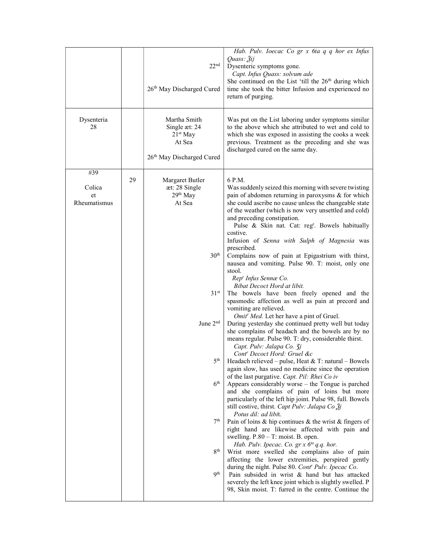| Dysenteria<br>28                    |    | 22 <sup>nd</sup><br>26 <sup>th</sup> May Discharged Cured<br>Martha Smith<br>Single æt: 24                                                                                                                                   | Hab. Pulv. Ioecac Co gr x 6ta q q hor ex Infus<br>Quass: Žij<br>Dysenteric symptoms gone.<br>Capt. Infus Quass: solvum ade<br>She continued on the List 'till the 26 <sup>th</sup> during which<br>time she took the bitter Infusion and experienced no<br>return of purging.<br>Was put on the List laboring under symptoms similar<br>to the above which she attributed to wet and cold to                                                                                                                                                                                                                                                                                                                                                                                                                                                                                                                                                                                                                                                                                                                                                                                                                                                                                                                                                                                                                                                                                                                                                                                                                                                                                                                                                                                                                                                                                                                                                                                           |
|-------------------------------------|----|------------------------------------------------------------------------------------------------------------------------------------------------------------------------------------------------------------------------------|----------------------------------------------------------------------------------------------------------------------------------------------------------------------------------------------------------------------------------------------------------------------------------------------------------------------------------------------------------------------------------------------------------------------------------------------------------------------------------------------------------------------------------------------------------------------------------------------------------------------------------------------------------------------------------------------------------------------------------------------------------------------------------------------------------------------------------------------------------------------------------------------------------------------------------------------------------------------------------------------------------------------------------------------------------------------------------------------------------------------------------------------------------------------------------------------------------------------------------------------------------------------------------------------------------------------------------------------------------------------------------------------------------------------------------------------------------------------------------------------------------------------------------------------------------------------------------------------------------------------------------------------------------------------------------------------------------------------------------------------------------------------------------------------------------------------------------------------------------------------------------------------------------------------------------------------------------------------------------------|
|                                     |    | $21st$ May<br>At Sea<br>26th May Discharged Cured                                                                                                                                                                            | which she was exposed in assisting the cooks a week<br>previous. Treatment as the preceding and she was<br>discharged cured on the same day.                                                                                                                                                                                                                                                                                                                                                                                                                                                                                                                                                                                                                                                                                                                                                                                                                                                                                                                                                                                                                                                                                                                                                                                                                                                                                                                                                                                                                                                                                                                                                                                                                                                                                                                                                                                                                                           |
| #39<br>Colica<br>et<br>Rheumatismus | 29 | Margaret Butler<br>æt: 28 Single<br>29 <sup>th</sup> May<br>At Sea<br>30 <sup>th</sup><br>31 <sup>st</sup><br>June 2 <sup>nd</sup><br>5 <sup>th</sup><br>6 <sup>th</sup><br>7 <sup>th</sup><br>8 <sup>th</sup><br><b>9th</b> | 6 P.M.<br>Was suddenly seized this morning with severe twisting<br>pain of abdomen returning in paroxysms & for which<br>she could ascribe no cause unless the changeable state<br>of the weather (which is now very unsettled and cold)<br>and preceding constipation.<br>Pulse & Skin nat. Cat: reg <sup>r</sup> . Bowels habitually<br>costive.<br>Infusion of Senna with Sulph of Magnesia was<br>prescribed.<br>Complains now of pain at Epigastrium with thirst,<br>nausea and vomiting. Pulse 90. T: moist, only one<br>stool.<br>Rep' Infus Sennæ Co.<br>Bibat Decoct Hord at libit.<br>The bowels have been freely opened and the<br>spasmodic affection as well as pain at precord and<br>vomiting are relieved.<br>Omit' Med. Let her have a pint of Gruel.<br>During yesterday she continued pretty well but today<br>she complains of headach and the bowels are by no<br>means regular. Pulse 90. T: dry, considerable thirst.<br>Capt. Pulv: Jalapa Co. 3j<br>Cont <sup>r</sup> Decoct Hord: Gruel &c<br>Headach relieved - pulse, Heat & T: natural - Bowels<br>again slow, has used no medicine since the operation<br>of the last purgative. Capt. Pil: Rhei Co iv<br>Appears considerably worse – the Tongue is parched<br>and she complains of pain of loins but more<br>particularly of the left hip joint. Pulse 98, full. Bowels<br>still costive, thirst. Capt Pulv: Jalapa Co Žj<br>Potus dil: ad libit.<br>Pain of loins $\&$ hip continues $\&$ the wrist $\&$ fingers of<br>right hand are likewise affected with pain and<br>swelling. $P.80 - T$ : moist. B. open.<br>Hab. Pulv. Ipecac. Co. $gr x 6^{ta} q.q.$ hor.<br>Wrist more swelled she complains also of pain<br>affecting the lower extremities, perspired gently<br>during the night. Pulse 80. Cont' Pulv. Ipecac Co.<br>Pain subsided in wrist & hand but has attacked<br>severely the left knee joint which is slightly swelled. P<br>98, Skin moist. T: furred in the centre. Continue the |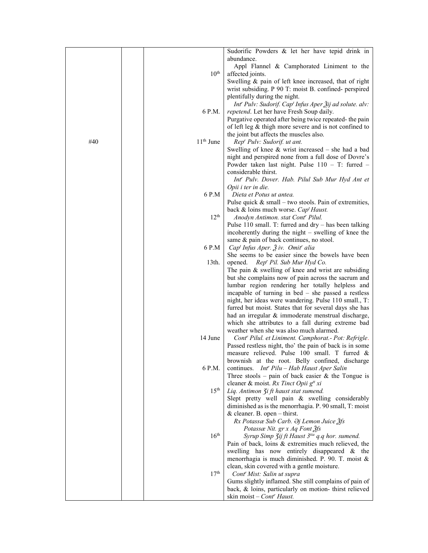|     |                    | Sudorific Powders & let her have tepid drink in                                 |
|-----|--------------------|---------------------------------------------------------------------------------|
|     |                    | abundance.                                                                      |
|     |                    | Appl Flannel & Camphorated Liniment to the                                      |
|     | $10^{\text{th}}$   | affected joints.                                                                |
|     |                    | Swelling & pain of left knee increased, that of right                           |
|     |                    | wrist subsiding. P 90 T: moist B. confined- perspired                           |
|     |                    | plentifully during the night.                                                   |
|     |                    | Int'' Pulv: Sudorif. Cap <sup>t</sup> Infus Aper $\tilde{A}$ ij ad solute. alv: |
|     | 6 P.M.             | repetend. Let her have Fresh Soup daily.                                        |
|     |                    | Purgative operated after being twice repeated- the pain                         |
|     |                    | of left leg & thigh more severe and is not confined to                          |
|     |                    | the joint but affects the muscles also.                                         |
| #40 | $11th$ June        | Rep' Pulv: Sudorif. ut ant.                                                     |
|     |                    | Swelling of knee $&$ wrist increased – she had a bad                            |
|     |                    | night and perspired none from a full dose of Dovre's                            |
|     |                    | Powder taken last night. Pulse 110 - T: furred -                                |
|     |                    | considerable thirst.                                                            |
|     |                    | Int' Pulv. Dover. Hab. Pilul Sub Mur Hyd Ant et                                 |
|     |                    | Opii i ter in die.                                                              |
|     | $6$ $\mathrm{P.M}$ | Dieta et Potus ut antea.                                                        |
|     |                    | Pulse quick $&$ small – two stools. Pain of extremities,                        |
|     |                    | back & loins much worse. Cap' Haust.                                            |
|     | $12^{th}$          | Anodyn Antimon. stat Cont' Pilul.                                               |
|     |                    | Pulse 110 small. T: furred and $\text{dry}$ – has been talking                  |
|     |                    | incoherently during the night – swelling of knee the                            |
|     |                    | same & pain of back continues, no stool.                                        |
|     | 6 P.M              | $Capt Infus Aper. 3 iv. Omit' alia$                                             |
|     |                    | She seems to be easier since the bowels have been                               |
|     | $13th$ .           | opened. Rep' Pil. Sub Mur Hyd Co.                                               |
|     |                    | The pain $&$ swelling of knee and wrist are subsiding                           |
|     |                    | but she complains now of pain across the sacrum and                             |
|     |                    | lumbar region rendering her totally helpless and                                |
|     |                    | incapable of turning in bed $-$ she passed a restless                           |
|     |                    | night, her ideas were wandering. Pulse 110 small., T:                           |
|     |                    | furred but moist. States that for several days she has                          |
|     |                    | had an irregular & immoderate menstrual discharge,                              |
|     |                    | which she attributes to a fall during extreme bad                               |
|     |                    | weather when she was also much alarmed.                                         |
|     | 14 June            | Cont' Pilul. et Liniment. Camphorat.- Pot: Refrigle.                            |
|     |                    | Passed restless night, tho' the pain of back is in some                         |
|     |                    | measure relieved. Pulse 100 small. T furred &                                   |
|     |                    | brownish at the root. Belly confined, discharge                                 |
|     | 6 P.M.             | continues. Int <sup>r</sup> Pilu - Hab Haust Aper Salin                         |
|     |                    | Three stools – pain of back easier $\&$ the Tongue is                           |
|     |                    | cleaner & moist. Rx Tinct Opii g <sup>tt</sup> xi                               |
|     | 15 <sup>th</sup>   | Liq. Antimon 3i ft haust stat sumend.                                           |
|     |                    | Slept pretty well pain & swelling considerably                                  |
|     |                    | diminished as is the menorrhagia. P. 90 small, T: moist                         |
|     |                    | & cleaner. B. open $-$ thirst.                                                  |
|     |                    | Rx Potassæ Sub Carb. Əj Lemon Juice 3fs                                         |
|     |                    | Potassæ Nit. gr x Aq Font 3fs                                                   |
|     | 16 <sup>th</sup>   | Syrup Simp 3ij ft Haust 3tia q.q hor. sumend.                                   |
|     |                    | Pain of back, loins & extremities much relieved, the                            |
|     |                    | swelling has now entirely disappeared & the                                     |
|     |                    | menorrhagia is much diminished. P. 90. T. moist &                               |
|     |                    | clean, skin covered with a gentle moisture.                                     |
|     | 17 <sup>th</sup>   | Cont <sup>r</sup> Mist: Salin ut supra                                          |
|     |                    | Gums slightly inflamed. She still complains of pain of                          |
|     |                    | back, & loins, particularly on motion- thirst relieved                          |
|     |                    | skin moist - Cont' Haust.                                                       |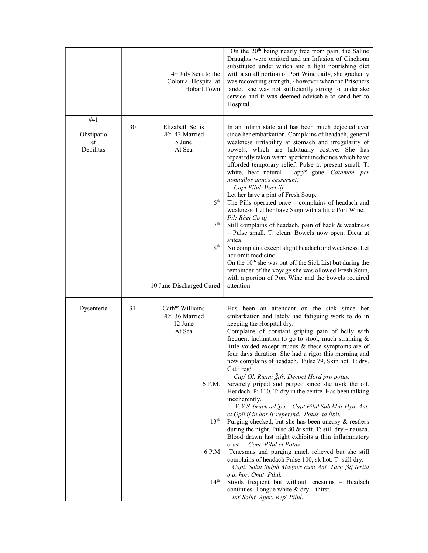|                               |    | 4 <sup>th</sup> July Sent to the<br>Colonial Hospital at<br><b>Hobart Town</b>                                                              | On the 20 <sup>th</sup> being nearly free from pain, the Saline<br>Draughts were omitted and an Infusion of Cinchona<br>substituted under which and a light nourishing diet<br>with a small portion of Port Wine daily, she gradually<br>was recovering strength; - however when the Prisoners<br>landed she was not sufficiently strong to undertake<br>service and it was deemed advisable to send her to<br>Hospital                                                                                                                                                                                                                                                                                                                                                                                                                                                                                                                                                                                                                                                                                                                                                                                                                                                       |
|-------------------------------|----|---------------------------------------------------------------------------------------------------------------------------------------------|-------------------------------------------------------------------------------------------------------------------------------------------------------------------------------------------------------------------------------------------------------------------------------------------------------------------------------------------------------------------------------------------------------------------------------------------------------------------------------------------------------------------------------------------------------------------------------------------------------------------------------------------------------------------------------------------------------------------------------------------------------------------------------------------------------------------------------------------------------------------------------------------------------------------------------------------------------------------------------------------------------------------------------------------------------------------------------------------------------------------------------------------------------------------------------------------------------------------------------------------------------------------------------|
| #41                           |    |                                                                                                                                             |                                                                                                                                                                                                                                                                                                                                                                                                                                                                                                                                                                                                                                                                                                                                                                                                                                                                                                                                                                                                                                                                                                                                                                                                                                                                               |
| Obstipatio<br>et<br>Debilitas | 30 | Elizabeth Sellis<br>Æt: 43 Married<br>5 June<br>At Sea<br>6 <sup>th</sup><br>7 <sup>th</sup><br>8 <sup>th</sup><br>10 June Discharged Cured | In an infirm state and has been much dejected ever<br>since her embarkation. Complains of headach, general<br>weakness irritability at stomach and irregularity of<br>bowels, which are habitually costive. She has<br>repeatedly taken warm aperient medicines which have<br>afforded temporary relief. Pulse at present small. T:<br>white, heat natural – app <sup>te</sup> gone. Catamen. per<br>nonnullos annos cesserunt.<br>Capt Pilul Aloet iij<br>Let her have a pint of Fresh Soup.<br>The Pills operated once - complains of headach and<br>weakness. Let her have Sago with a little Port Wine.<br>Pil: Rhei Co iij<br>Still complains of headach, pain of back & weakness<br>- Pulse small, T: clean. Bowels now open. Dieta ut<br>antea.<br>No complaint except slight headach and weakness. Let<br>her omit medicine.<br>On the 10 <sup>th</sup> she was put off the Sick List but during the<br>remainder of the voyage she was allowed Fresh Soup,<br>with a portion of Port Wine and the bowels required<br>attention.                                                                                                                                                                                                                                      |
| Dysenteria                    | 31 | Cath <sup>ne</sup> Williams<br>Æt: 36 Married<br>12 June<br>At Sea<br>6 P.M.<br>13 <sup>th</sup><br>6 P.M<br>14 <sup>th</sup>               | Has been an attendant on the sick since her<br>embarkation and lately had fatiguing work to do in<br>keeping the Hospital dry.<br>Complains of constant griping pain of belly with<br>frequent inclination to go to stool, much straining &<br>little voided except mucus & these symptoms are of<br>four days duration. She had a rigor this morning and<br>now complains of headach. Pulse 79, Skin hot. T: dry.<br>Catin regr<br>Cap <sup>t</sup> Ol. Ricini Žifs. Decoct Hord pro potus.<br>Severely griped and purged since she took the oil.<br>Headach. P: 110. T: dry in the centre. Has been talking<br>incoherently.<br>F.V.S. brach ad $\frac{3}{2}xx$ – Capt Pilul Sub Mur Hyd. Ant.<br>et Opii ij in hor iv repetend. Potus ad libit.<br>Purging checked, but she has been uneasy $\&$ restless<br>during the night. Pulse $80 \&$ soft. T: still dry – nausea.<br>Blood drawn last night exhibits a thin inflammatory<br>Cont. Pilul et Potus<br>crust.<br>Tenesmus and purging much relieved but she still<br>complains of headach Pulse 100, sk hot. T: still dry.<br>Capt. Solut Sulph Magnes cum Ant. Tart: Žij tertia<br>q.q. hor. Omit <sup>r</sup> Pilul.<br>Stools frequent but without tenesmus - Headach<br>continues. Tongue white $&$ dry – thirst. |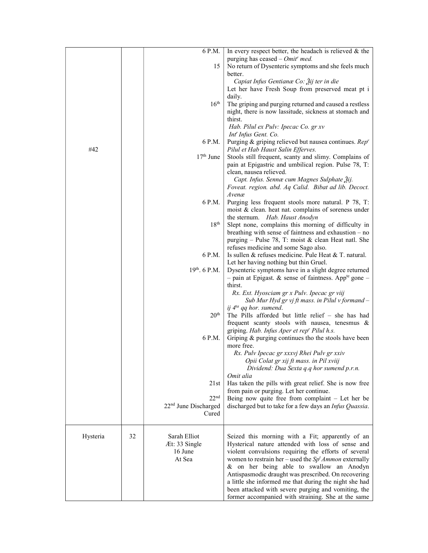|          |    | 6 P.M.                           | In every respect better, the headach is relieved $\&$ the                                                       |
|----------|----|----------------------------------|-----------------------------------------------------------------------------------------------------------------|
|          |    |                                  | purging has ceased $- Omitr$ med.                                                                               |
|          |    | 15                               | No return of Dysenteric symptoms and she feels much<br>better.                                                  |
|          |    |                                  | Capiat Infus Gentianæ Co: Žij ter in die                                                                        |
|          |    |                                  | Let her have Fresh Soup from preserved meat pt i                                                                |
|          |    |                                  | daily.                                                                                                          |
|          |    | $16^{\text{th}}$                 | The griping and purging returned and caused a restless                                                          |
|          |    |                                  | night, there is now lassitude, sickness at stomach and                                                          |
|          |    |                                  | thirst.<br>Hab. Pilul ex Pulv: Ipecac Co. gr xv                                                                 |
|          |    |                                  | Int' Infus Gent. Co.                                                                                            |
|          |    | 6 P.M.                           | Purging & griping relieved but nausea continues. Rep'                                                           |
| #42      |    |                                  | Pilul et Hab Haust Salin Efferves.                                                                              |
|          |    | $17th$ June                      | Stools still frequent, scanty and slimy. Complains of                                                           |
|          |    |                                  | pain at Epigastric and umbilical region. Pulse 78, T:<br>clean, nausea relieved.                                |
|          |    |                                  | Capt. Infus. Sennæ cum Magnes Sulphate Žij.                                                                     |
|          |    |                                  | Foveat. region. abd. Aq Calid. Bibat ad lib. Decoct.                                                            |
|          |    |                                  | Avenæ                                                                                                           |
|          |    | 6 P.M.                           | Purging less frequent stools more natural. P 78, T:<br>moist & clean. heat nat. complains of soreness under     |
|          |    |                                  | the sternum. Hab. Haust Anodyn                                                                                  |
|          |    | 18 <sup>th</sup>                 | Slept none, complains this morning of difficulty in                                                             |
|          |    |                                  | breathing with sense of faintness and exhaustion - no                                                           |
|          |    |                                  | purging - Pulse 78, T: moist & clean Heat natl. She                                                             |
|          |    | 6 P.M.                           | refuses medicine and some Sago also.<br>Is sullen $&$ refuses medicine. Pule Heat $&$ T. natural.               |
|          |    |                                  | Let her having nothing but thin Gruel.                                                                          |
|          |    | 19th. 6 P.M.                     | Dysenteric symptoms have in a slight degree returned                                                            |
|          |    |                                  | - pain at Epigast. & sense of faintness. App <sup>te</sup> gone -                                               |
|          |    |                                  | thirst.                                                                                                         |
|          |    |                                  | Rx. Ext. Hyosciam gr x Pulv. Ipecac gr viij<br>Sub Mur Hyd gr vj ft mass. in Pilul v formand -                  |
|          |    |                                  | ij 4 <sup>ta</sup> qq hor. sumend.                                                                              |
|          |    | 20 <sup>th</sup>                 | The Pills afforded but little relief - she has had                                                              |
|          |    |                                  | frequent scanty stools with nausea, tenesmus &                                                                  |
|          |    | 6 P.M.                           | griping. Hab. Infus Aper et rep' Pilul h.s.                                                                     |
|          |    |                                  | Griping & purging continues tho the stools have been<br>more free.                                              |
|          |    |                                  | Rx. Pulv Ipecac gr xxxvj Rhei Pulv gr xxiv                                                                      |
|          |    |                                  | Opii Colat gr xij ft mass. in Pil xviij                                                                         |
|          |    |                                  | Dividend: Dua Sexta q.q hor sumend p.r.n.                                                                       |
|          |    | 21st                             | Omit alia<br>Has taken the pills with great relief. She is now free                                             |
|          |    |                                  | from pain or purging. Let her continue.                                                                         |
|          |    | 22 <sup>nd</sup>                 | Being now quite free from complaint $-$ Let her be                                                              |
|          |    | 22 <sup>nd</sup> June Discharged | discharged but to take for a few days an Infus Quassia.                                                         |
|          |    | Cured                            |                                                                                                                 |
|          |    |                                  |                                                                                                                 |
| Hysteria | 32 | Sarah Elliot                     | Seized this morning with a Fit; apparently of an                                                                |
|          |    | Æt: 33 Single                    | Hysterical nature attended with loss of sense and                                                               |
|          |    | 16 June<br>At Sea                | violent convulsions requiring the efforts of several<br>women to restrain her – used the $Spt Ammon externally$ |
|          |    |                                  | & on her being able to swallow an Anodyn                                                                        |
|          |    |                                  | Antispasmodic draught was prescribed. On recovering                                                             |
|          |    |                                  | a little she informed me that during the night she had                                                          |
|          |    |                                  | been attacked with severe purging and vomiting, the                                                             |
|          |    |                                  | former accompanied with straining. She at the same                                                              |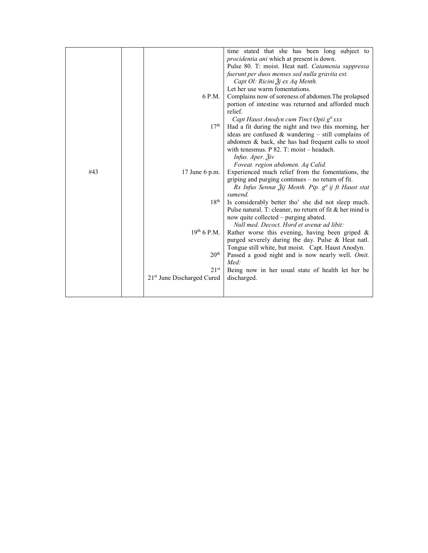|     |                                        | time stated that she has been long subject to                   |  |  |  |  |
|-----|----------------------------------------|-----------------------------------------------------------------|--|--|--|--|
|     |                                        | procidentia ani which at present is down.                       |  |  |  |  |
|     |                                        | Pulse 80. T: moist. Heat natl. Catamenia suppressa              |  |  |  |  |
|     |                                        | fuerunt per duos menses sed nulla gravita est.                  |  |  |  |  |
|     |                                        | Capt Ol: Ricini Ѯj ex Aq Menth.                                 |  |  |  |  |
|     |                                        | Let her use warm fomentations.                                  |  |  |  |  |
|     |                                        |                                                                 |  |  |  |  |
|     | 6 P.M.                                 | Complains now of soreness of abdomen. The prolapsed             |  |  |  |  |
|     |                                        | portion of intestine was returned and afforded much             |  |  |  |  |
|     |                                        | relief.                                                         |  |  |  |  |
|     |                                        | Capt Haust Anodyn cum Tinct Opii g <sup>tt</sup> xxx            |  |  |  |  |
|     | 17 <sup>th</sup>                       | Had a fit during the night and two this morning, her            |  |  |  |  |
|     |                                        | ideas are confused $&$ wandering – still complains of           |  |  |  |  |
|     |                                        | abdomen & back, she has had frequent calls to stool             |  |  |  |  |
|     |                                        | with tenesmus. $P$ 82. T: moist – headach.                      |  |  |  |  |
|     |                                        | Infus. Aper. 3iv                                                |  |  |  |  |
|     |                                        | Foveat. region abdomen. Aq Calid.                               |  |  |  |  |
| #43 | 17 June $6$ p.m.                       | Experienced much relief from the fomentations, the              |  |  |  |  |
|     |                                        | griping and purging continues - no return of fit.               |  |  |  |  |
|     |                                        | Rx Infus Sennæ Žij Menth. Pip. g <sup>tt</sup> ij ft Haust stat |  |  |  |  |
|     |                                        | sumend.                                                         |  |  |  |  |
|     | $18^{\rm th}$                          | Is considerably better tho' she did not sleep much.             |  |  |  |  |
|     |                                        | Pulse natural. T: cleaner, no return of fit & her mind is       |  |  |  |  |
|     |                                        | now quite collected – purging abated.                           |  |  |  |  |
|     |                                        | Null med. Decoct. Hord et avence ad libit:                      |  |  |  |  |
|     | $19^{th}$ 6 P.M.                       | Rather worse this evening, having been griped $\&$              |  |  |  |  |
|     |                                        |                                                                 |  |  |  |  |
|     |                                        | purged severely during the day. Pulse & Heat natl.              |  |  |  |  |
|     | 20 <sup>th</sup>                       | Tongue still white, but moist. Capt. Haust Anodyn.              |  |  |  |  |
|     |                                        | Passed a good night and is now nearly well. Omit.               |  |  |  |  |
|     |                                        | Med:                                                            |  |  |  |  |
|     | $21^{st}$                              | Being now in her usual state of health let her be               |  |  |  |  |
|     | 21 <sup>st</sup> June Discharged Cured | discharged.                                                     |  |  |  |  |
|     |                                        |                                                                 |  |  |  |  |
|     |                                        |                                                                 |  |  |  |  |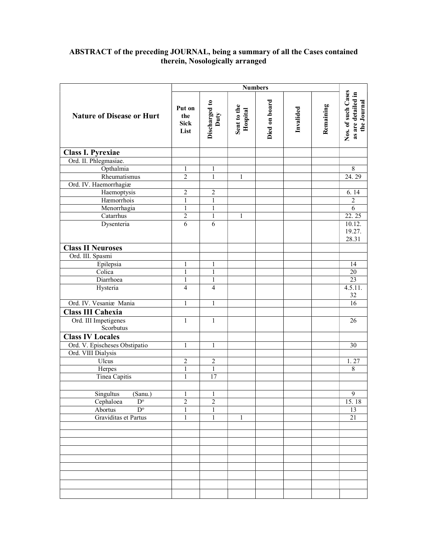## ABSTRACT of the preceding JOURNAL, being a summary of all the Cases contained therein, Nosologically arranged

|                                     |                                      | <b>Numbers</b>        |                         |               |           |           |                                                         |
|-------------------------------------|--------------------------------------|-----------------------|-------------------------|---------------|-----------|-----------|---------------------------------------------------------|
| <b>Nature of Disease or Hurt</b>    | Put on<br>the<br><b>Sick</b><br>List | Discharged to<br>Duty | Sent to the<br>Hospital | Died on board | Invalided | Remaining | Nos. of such Cases<br>as are detailed in<br>the Journal |
| <b>Class I. Pyrexiae</b>            |                                      |                       |                         |               |           |           |                                                         |
| Ord. II. Phlegmasiae.               |                                      |                       |                         |               |           |           |                                                         |
| Opthalmia                           | 1                                    | 1                     |                         |               |           |           | $8\,$                                                   |
| Rheumatismus                        | $\overline{2}$                       | $\mathbf{1}$          | 1                       |               |           |           | 24.29                                                   |
| Ord. IV. Haemorrhagiæ               |                                      |                       |                         |               |           |           |                                                         |
| Haemoptysis                         | 2                                    | $\overline{2}$        |                         |               |           |           | 6.14                                                    |
| Hæmorrhois                          | $\mathbf{1}$                         | $\mathbf{1}$          |                         |               |           |           | $\overline{2}$                                          |
| Menorrhagia                         | $\mathbf{1}$                         | $\mathbf{1}$          |                         |               |           |           | 6                                                       |
| Catarrhus                           | $\overline{2}$                       | $\mathbf{1}$          | $\mathbf{1}$            |               |           |           | 22.25                                                   |
| Dysenteria                          | 6                                    | 6                     |                         |               |           |           | 10.12.                                                  |
|                                     |                                      |                       |                         |               |           |           | 19.27.                                                  |
|                                     |                                      |                       |                         |               |           |           | 28.31                                                   |
| <b>Class II Neuroses</b>            |                                      |                       |                         |               |           |           |                                                         |
| Ord. III. Spasmi                    |                                      |                       |                         |               |           |           |                                                         |
| Epilepsia                           | 1                                    | $\mathbf{1}$          |                         |               |           |           | 14                                                      |
| Colica                              | $\mathbf{1}$                         | $\mathbf{1}$          |                         |               |           |           | $\overline{20}$                                         |
| Diarrhoea                           | $\mathbf{1}$                         | $\mathbf{1}$          |                         |               |           |           | 23                                                      |
| Hysteria                            | $\overline{4}$                       | $\overline{4}$        |                         |               |           |           | 4.5.11.                                                 |
|                                     |                                      |                       |                         |               |           |           | 32                                                      |
| Ord. IV. Vesaniæ Mania              | $\mathbf{1}$                         | $\mathbf{1}$          |                         |               |           |           | 16                                                      |
| Class III Cahexia                   |                                      |                       |                         |               |           |           |                                                         |
| Ord. III Impetigenes                | $\mathbf{1}$                         | $\mathbf{1}$          |                         |               |           |           | 26                                                      |
| Scorbutus                           |                                      |                       |                         |               |           |           |                                                         |
| <b>Class IV Locales</b>             |                                      |                       |                         |               |           |           |                                                         |
| Ord. V. Epischeses Obstipatio       | $\mathbf{1}$                         | $\mathbf{1}$          |                         |               |           |           | $\overline{30}$                                         |
| Ord. VIII Dialysis                  |                                      |                       |                         |               |           |           |                                                         |
| Ulcus                               | $\overline{c}$                       | $\overline{c}$        |                         |               |           |           | 1.27                                                    |
| Herpes                              | $\mathbf{1}$                         | $\mathbf{1}$          |                         |               |           |           | $\,8\,$                                                 |
| <b>Tinea Capitis</b>                | $\,1$                                | 17                    |                         |               |           |           |                                                         |
|                                     |                                      |                       |                         |               |           |           |                                                         |
| Singultus<br>(Sanu.)                | $\mathbf{1}$                         | $\mathbf{1}$          |                         |               |           |           | $\overline{9}$                                          |
| Cephaloea<br>$\overline{D^{\circ}}$ | $\overline{c}$                       | $\overline{2}$        |                         |               |           |           | 15.18                                                   |
| $\overline{D^{\circ}}$<br>Abortus   | $\mathbf{1}$                         | $\mathbf{1}$          |                         |               |           |           | $\overline{13}$                                         |
| Graviditas et Partus                | $\mathbf{1}$                         | $\mathbf{1}$          | $\mathbf{1}$            |               |           |           | $\overline{21}$                                         |
|                                     |                                      |                       |                         |               |           |           |                                                         |
|                                     |                                      |                       |                         |               |           |           |                                                         |
|                                     |                                      |                       |                         |               |           |           |                                                         |
|                                     |                                      |                       |                         |               |           |           |                                                         |
|                                     |                                      |                       |                         |               |           |           |                                                         |
|                                     |                                      |                       |                         |               |           |           |                                                         |
|                                     |                                      |                       |                         |               |           |           |                                                         |
|                                     |                                      |                       |                         |               |           |           |                                                         |
|                                     |                                      |                       |                         |               |           |           |                                                         |
|                                     |                                      |                       |                         |               |           |           |                                                         |